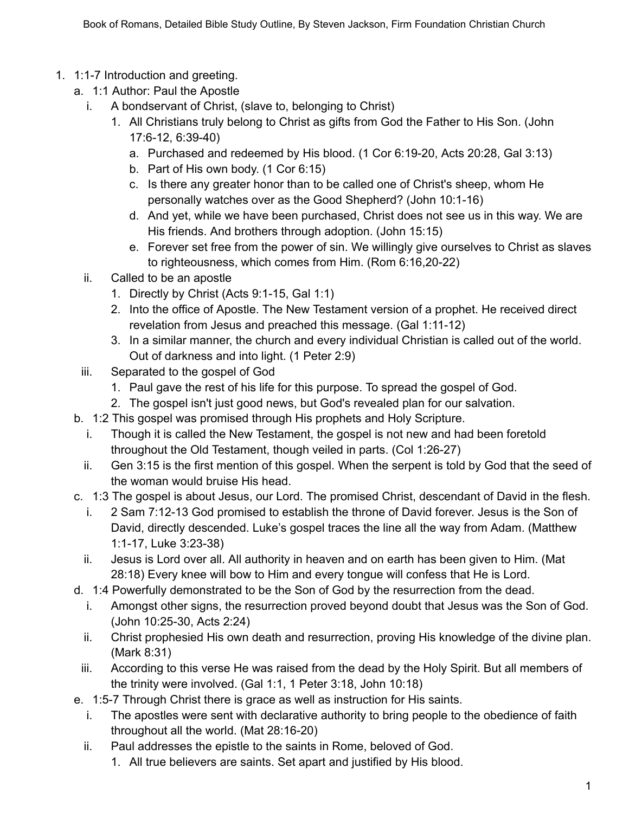- 1. 1:1-7 Introduction and greeting.
	- a. 1:1 Author: Paul the Apostle
		- i. A bondservant of Christ, (slave to, belonging to Christ)
			- 1. All Christians truly belong to Christ as gifts from God the Father to His Son. (John 17:6-12, 6:39-40)
				- a. Purchased and redeemed by His blood. (1 Cor 6:19-20, Acts 20:28, Gal 3:13)
				- b. Part of His own body. (1 Cor 6:15)
				- c. Is there any greater honor than to be called one of Christ's sheep, whom He personally watches over as the Good Shepherd? (John 10:1-16)
				- d. And yet, while we have been purchased, Christ does not see us in this way. We are His friends. And brothers through adoption. (John 15:15)
				- e. Forever set free from the power of sin. We willingly give ourselves to Christ as slaves to righteousness, which comes from Him. (Rom 6:16,20-22)
		- ii. Called to be an apostle
			- 1. Directly by Christ (Acts 9:1-15, Gal 1:1)
			- 2. Into the office of Apostle. The New Testament version of a prophet. He received direct revelation from Jesus and preached this message. (Gal 1:11-12)
			- 3. In a similar manner, the church and every individual Christian is called out of the world. Out of darkness and into light. (1 Peter 2:9)
	- iii. Separated to the gospel of God
		- 1. Paul gave the rest of his life for this purpose. To spread the gospel of God.
		- 2. The gospel isn't just good news, but God's revealed plan for our salvation.
	- b. 1:2 This gospel was promised through His prophets and Holy Scripture.
		- i. Though it is called the New Testament, the gospel is not new and had been foretold throughout the Old Testament, though veiled in parts. (Col 1:26-27)
		- ii. Gen 3:15 is the first mention of this gospel. When the serpent is told by God that the seed of the woman would bruise His head.
	- c. 1:3 The gospel is about Jesus, our Lord. The promised Christ, descendant of David in the flesh.
		- i. 2 Sam 7:12-13 God promised to establish the throne of David forever. Jesus is the Son of David, directly descended. Luke's gospel traces the line all the way from Adam. (Matthew 1:1-17, Luke 3:23-38)
		- ii. Jesus is Lord over all. All authority in heaven and on earth has been given to Him. (Mat 28:18) Every knee will bow to Him and every tongue will confess that He is Lord.
	- d. 1:4 Powerfully demonstrated to be the Son of God by the resurrection from the dead.
		- i. Amongst other signs, the resurrection proved beyond doubt that Jesus was the Son of God. (John 10:25-30, Acts 2:24)
		- ii. Christ prophesied His own death and resurrection, proving His knowledge of the divine plan. (Mark 8:31)
	- iii. According to this verse He was raised from the dead by the Holy Spirit. But all members of the trinity were involved. (Gal 1:1, 1 Peter 3:18, John 10:18)
	- e. 1:5-7 Through Christ there is grace as well as instruction for His saints.
		- i. The apostles were sent with declarative authority to bring people to the obedience of faith throughout all the world. (Mat 28:16-20)
		- ii. Paul addresses the epistle to the saints in Rome, beloved of God.
			- 1. All true believers are saints. Set apart and justified by His blood.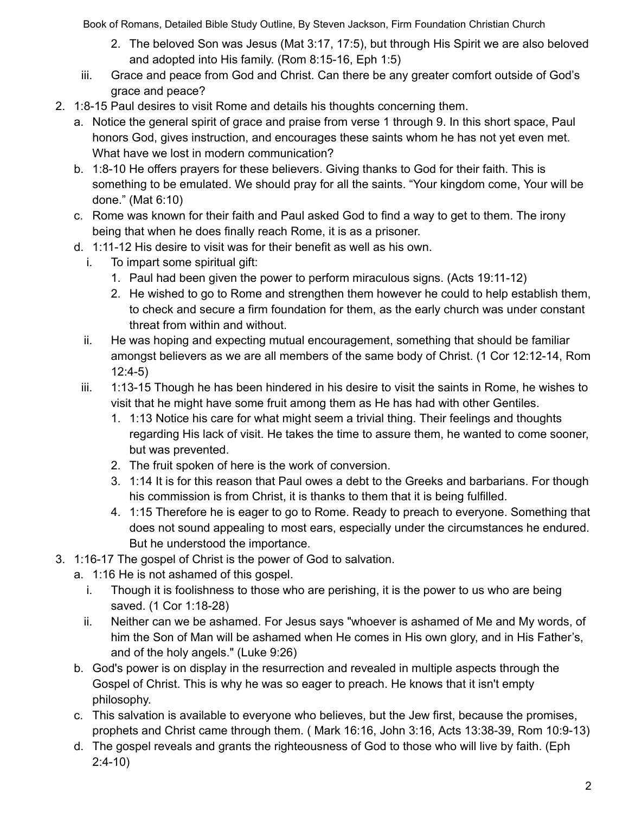- 2. The beloved Son was Jesus (Mat 3:17, 17:5), but through His Spirit we are also beloved and adopted into His family. (Rom 8:15-16, Eph 1:5)
- iii. Grace and peace from God and Christ. Can there be any greater comfort outside of God's grace and peace?
- 2. 1:8-15 Paul desires to visit Rome and details his thoughts concerning them.
	- a. Notice the general spirit of grace and praise from verse 1 through 9. In this short space, Paul honors God, gives instruction, and encourages these saints whom he has not yet even met. What have we lost in modern communication?
	- b. 1:8-10 He offers prayers for these believers. Giving thanks to God for their faith. This is something to be emulated. We should pray for all the saints. "Your kingdom come, Your will be done." (Mat 6:10)
	- c. Rome was known for their faith and Paul asked God to find a way to get to them. The irony being that when he does finally reach Rome, it is as a prisoner.
	- d. 1:11-12 His desire to visit was for their benefit as well as his own.
		- i. To impart some spiritual gift:
			- 1. Paul had been given the power to perform miraculous signs. (Acts 19:11-12)
			- 2. He wished to go to Rome and strengthen them however he could to help establish them, to check and secure a firm foundation for them, as the early church was under constant threat from within and without.
		- ii. He was hoping and expecting mutual encouragement, something that should be familiar amongst believers as we are all members of the same body of Christ. (1 Cor 12:12-14, Rom 12:4-5)
		- iii. 1:13-15 Though he has been hindered in his desire to visit the saints in Rome, he wishes to visit that he might have some fruit among them as He has had with other Gentiles.
			- 1. 1:13 Notice his care for what might seem a trivial thing. Their feelings and thoughts regarding His lack of visit. He takes the time to assure them, he wanted to come sooner, but was prevented.
			- 2. The fruit spoken of here is the work of conversion.
			- 3. 1:14 It is for this reason that Paul owes a debt to the Greeks and barbarians. For though his commission is from Christ, it is thanks to them that it is being fulfilled.
			- 4. 1:15 Therefore he is eager to go to Rome. Ready to preach to everyone. Something that does not sound appealing to most ears, especially under the circumstances he endured. But he understood the importance.
- 3. 1:16-17 The gospel of Christ is the power of God to salvation.
	- a. 1:16 He is not ashamed of this gospel.
		- i. Though it is foolishness to those who are perishing, it is the power to us who are being saved. (1 Cor 1:18-28)
		- ii. Neither can we be ashamed. For Jesus says "whoever is ashamed of Me and My words, of him the Son of Man will be ashamed when He comes in His own glory, and in His Father's, and of the holy angels." (Luke 9:26)
	- b. God's power is on display in the resurrection and revealed in multiple aspects through the Gospel of Christ. This is why he was so eager to preach. He knows that it isn't empty philosophy.
	- c. This salvation is available to everyone who believes, but the Jew first, because the promises, prophets and Christ came through them. ( Mark 16:16, John 3:16, Acts 13:38-39, Rom 10:9-13)
	- d. The gospel reveals and grants the righteousness of God to those who will live by faith. (Eph 2:4-10)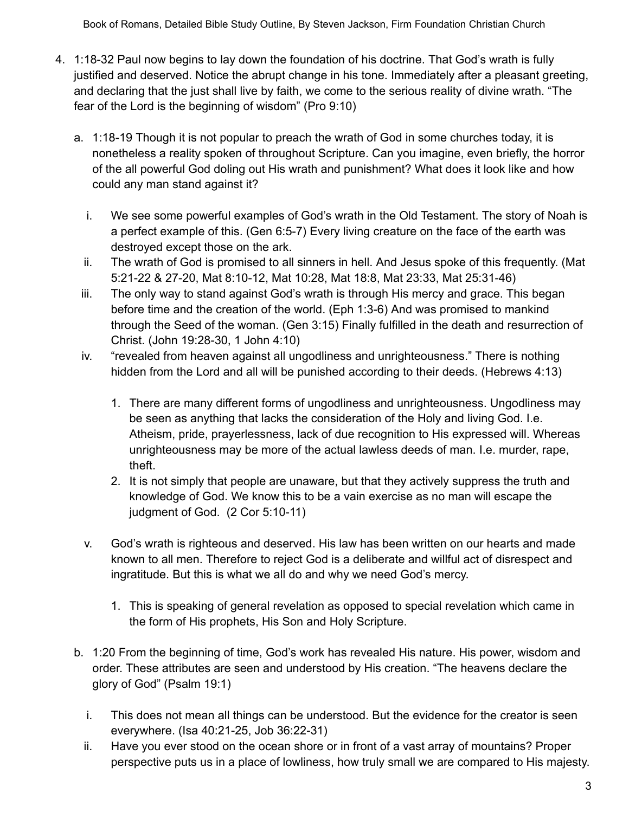- 4. 1:18-32 Paul now begins to lay down the foundation of his doctrine. That God's wrath is fully justified and deserved. Notice the abrupt change in his tone. Immediately after a pleasant greeting, and declaring that the just shall live by faith, we come to the serious reality of divine wrath. "The fear of the Lord is the beginning of wisdom" (Pro 9:10)
	- a. 1:18-19 Though it is not popular to preach the wrath of God in some churches today, it is nonetheless a reality spoken of throughout Scripture. Can you imagine, even briefly, the horror of the all powerful God doling out His wrath and punishment? What does it look like and how could any man stand against it?
		- i. We see some powerful examples of God's wrath in the Old Testament. The story of Noah is a perfect example of this. (Gen 6:5-7) Every living creature on the face of the earth was destroyed except those on the ark.
		- ii. The wrath of God is promised to all sinners in hell. And Jesus spoke of this frequently. (Mat 5:21-22 & 27-20, Mat 8:10-12, Mat 10:28, Mat 18:8, Mat 23:33, Mat 25:31-46)
	- iii. The only way to stand against God's wrath is through His mercy and grace. This began before time and the creation of the world. (Eph 1:3-6) And was promised to mankind through the Seed of the woman. (Gen 3:15) Finally fulfilled in the death and resurrection of Christ. (John 19:28-30, 1 John 4:10)
	- iv. "revealed from heaven against all ungodliness and unrighteousness." There is nothing hidden from the Lord and all will be punished according to their deeds. (Hebrews 4:13)
		- 1. There are many different forms of ungodliness and unrighteousness. Ungodliness may be seen as anything that lacks the consideration of the Holy and living God. I.e. Atheism, pride, prayerlessness, lack of due recognition to His expressed will. Whereas unrighteousness may be more of the actual lawless deeds of man. I.e. murder, rape, theft.
		- 2. It is not simply that people are unaware, but that they actively suppress the truth and knowledge of God. We know this to be a vain exercise as no man will escape the judgment of God. (2 Cor 5:10-11)
	- v. God's wrath is righteous and deserved. His law has been written on our hearts and made known to all men. Therefore to reject God is a deliberate and willful act of disrespect and ingratitude. But this is what we all do and why we need God's mercy.
		- 1. This is speaking of general revelation as opposed to special revelation which came in the form of His prophets, His Son and Holy Scripture.
	- b. 1:20 From the beginning of time, God's work has revealed His nature. His power, wisdom and order. These attributes are seen and understood by His creation. "The heavens declare the glory of God" (Psalm 19:1)
		- i. This does not mean all things can be understood. But the evidence for the creator is seen everywhere. (Isa 40:21-25, Job 36:22-31)
		- ii. Have you ever stood on the ocean shore or in front of a vast array of mountains? Proper perspective puts us in a place of lowliness, how truly small we are compared to His majesty.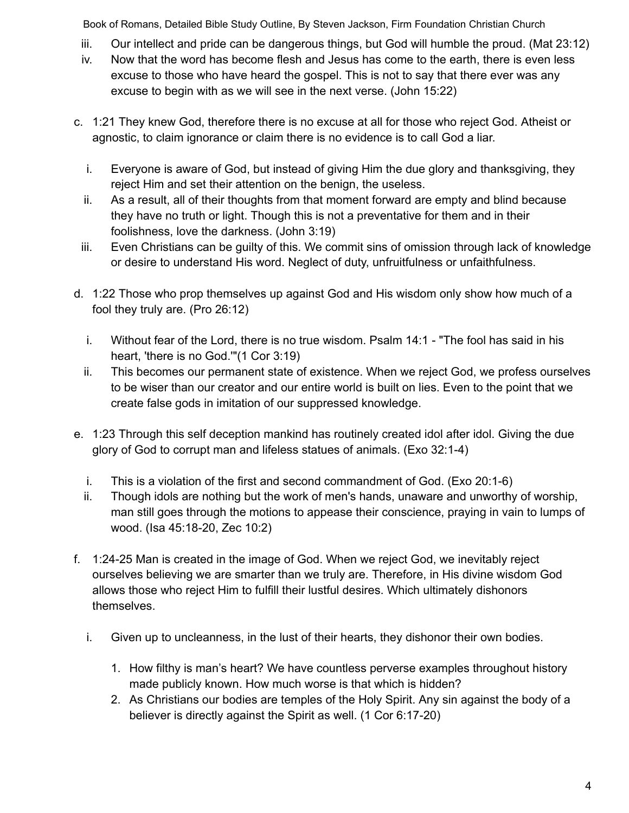- iii. Our intellect and pride can be dangerous things, but God will humble the proud. (Mat 23:12)
- iv. Now that the word has become flesh and Jesus has come to the earth, there is even less excuse to those who have heard the gospel. This is not to say that there ever was any excuse to begin with as we will see in the next verse. (John 15:22)
- c. 1:21 They knew God, therefore there is no excuse at all for those who reject God. Atheist or agnostic, to claim ignorance or claim there is no evidence is to call God a liar.
	- i. Everyone is aware of God, but instead of giving Him the due glory and thanksgiving, they reject Him and set their attention on the benign, the useless.
	- ii. As a result, all of their thoughts from that moment forward are empty and blind because they have no truth or light. Though this is not a preventative for them and in their foolishness, love the darkness. (John 3:19)
- iii. Even Christians can be guilty of this. We commit sins of omission through lack of knowledge or desire to understand His word. Neglect of duty, unfruitfulness or unfaithfulness.
- d. 1:22 Those who prop themselves up against God and His wisdom only show how much of a fool they truly are. (Pro 26:12)
	- i. Without fear of the Lord, there is no true wisdom. Psalm 14:1 "The fool has said in his heart, 'there is no God.'"(1 Cor 3:19)
	- ii. This becomes our permanent state of existence. When we reject God, we profess ourselves to be wiser than our creator and our entire world is built on lies. Even to the point that we create false gods in imitation of our suppressed knowledge.
- e. 1:23 Through this self deception mankind has routinely created idol after idol. Giving the due glory of God to corrupt man and lifeless statues of animals. (Exo 32:1-4)
	- i. This is a violation of the first and second commandment of God. (Exo 20:1-6)
	- ii. Though idols are nothing but the work of men's hands, unaware and unworthy of worship, man still goes through the motions to appease their conscience, praying in vain to lumps of wood. (Isa 45:18-20, Zec 10:2)
- f. 1:24-25 Man is created in the image of God. When we reject God, we inevitably reject ourselves believing we are smarter than we truly are. Therefore, in His divine wisdom God allows those who reject Him to fulfill their lustful desires. Which ultimately dishonors themselves.
	- i. Given up to uncleanness, in the lust of their hearts, they dishonor their own bodies.
		- 1. How filthy is man's heart? We have countless perverse examples throughout history made publicly known. How much worse is that which is hidden?
		- 2. As Christians our bodies are temples of the Holy Spirit. Any sin against the body of a believer is directly against the Spirit as well. (1 Cor 6:17-20)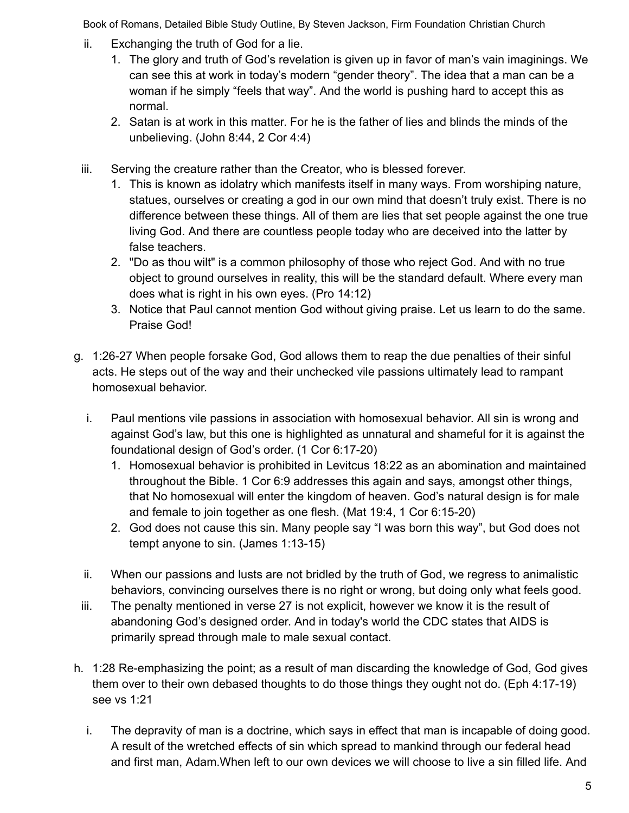- ii. Exchanging the truth of God for a lie.
	- 1. The glory and truth of God's revelation is given up in favor of man's vain imaginings. We can see this at work in today's modern "gender theory". The idea that a man can be a woman if he simply "feels that way". And the world is pushing hard to accept this as normal.
	- 2. Satan is at work in this matter. For he is the father of lies and blinds the minds of the unbelieving. (John 8:44, 2 Cor 4:4)
- iii. Serving the creature rather than the Creator, who is blessed forever.
	- 1. This is known as idolatry which manifests itself in many ways. From worshiping nature, statues, ourselves or creating a god in our own mind that doesn't truly exist. There is no difference between these things. All of them are lies that set people against the one true living God. And there are countless people today who are deceived into the latter by false teachers.
	- 2. "Do as thou wilt" is a common philosophy of those who reject God. And with no true object to ground ourselves in reality, this will be the standard default. Where every man does what is right in his own eyes. (Pro 14:12)
	- 3. Notice that Paul cannot mention God without giving praise. Let us learn to do the same. Praise God!
- g. 1:26-27 When people forsake God, God allows them to reap the due penalties of their sinful acts. He steps out of the way and their unchecked vile passions ultimately lead to rampant homosexual behavior.
	- i. Paul mentions vile passions in association with homosexual behavior. All sin is wrong and against God's law, but this one is highlighted as unnatural and shameful for it is against the foundational design of God's order. (1 Cor 6:17-20)
		- 1. Homosexual behavior is prohibited in Levitcus 18:22 as an abomination and maintained throughout the Bible. 1 Cor 6:9 addresses this again and says, amongst other things, that No homosexual will enter the kingdom of heaven. God's natural design is for male and female to join together as one flesh. (Mat 19:4, 1 Cor 6:15-20)
		- 2. God does not cause this sin. Many people say "I was born this way", but God does not tempt anyone to sin. (James 1:13-15)
	- ii. When our passions and lusts are not bridled by the truth of God, we regress to animalistic behaviors, convincing ourselves there is no right or wrong, but doing only what feels good.
	- iii. The penalty mentioned in verse 27 is not explicit, however we know it is the result of abandoning God's designed order. And in today's world the CDC states that AIDS is primarily spread through male to male sexual contact.
- h. 1:28 Re-emphasizing the point; as a result of man discarding the knowledge of God, God gives them over to their own debased thoughts to do those things they ought not do. (Eph 4:17-19) see vs 1:21
	- i. The depravity of man is a doctrine, which says in effect that man is incapable of doing good. A result of the wretched effects of sin which spread to mankind through our federal head and first man, Adam.When left to our own devices we will choose to live a sin filled life. And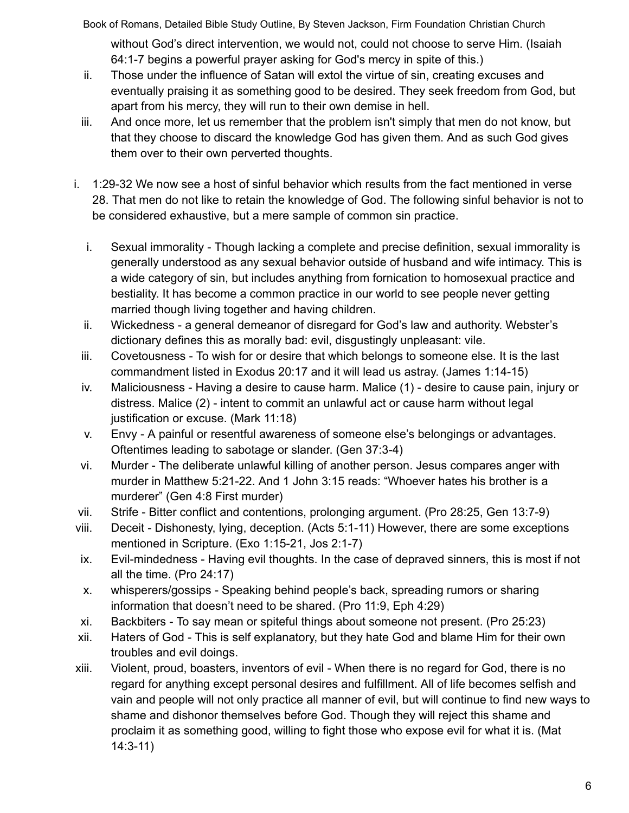Book of Romans, Detailed Bible Study Outline, By Steven Jackson, Firm Foundation Christian Church without God's direct intervention, we would not, could not choose to serve Him. (Isaiah 64:1-7 begins a powerful prayer asking for God's mercy in spite of this.)

- ii. Those under the influence of Satan will extol the virtue of sin, creating excuses and eventually praising it as something good to be desired. They seek freedom from God, but apart from his mercy, they will run to their own demise in hell.
- iii. And once more, let us remember that the problem isn't simply that men do not know, but that they choose to discard the knowledge God has given them. And as such God gives them over to their own perverted thoughts.
- i. 1:29-32 We now see a host of sinful behavior which results from the fact mentioned in verse 28. That men do not like to retain the knowledge of God. The following sinful behavior is not to be considered exhaustive, but a mere sample of common sin practice.
	- i. Sexual immorality Though lacking a complete and precise definition, sexual immorality is generally understood as any sexual behavior outside of husband and wife intimacy. This is a wide category of sin, but includes anything from fornication to homosexual practice and bestiality. It has become a common practice in our world to see people never getting married though living together and having children.
	- ii. Wickedness a general demeanor of disregard for God's law and authority. Webster's dictionary defines this as morally bad: evil, disgustingly unpleasant: vile.
	- iii. Covetousness To wish for or desire that which belongs to someone else. It is the last commandment listed in Exodus 20:17 and it will lead us astray. (James 1:14-15)
	- iv. Maliciousness Having a desire to cause harm. Malice (1) desire to cause pain, injury or distress. Malice (2) - intent to commit an unlawful act or cause harm without legal justification or excuse. (Mark 11:18)
	- v. Envy A painful or resentful awareness of someone else's belongings or advantages. Oftentimes leading to sabotage or slander. (Gen 37:3-4)
	- vi. Murder The deliberate unlawful killing of another person. Jesus compares anger with murder in Matthew 5:21-22. And 1 John 3:15 reads: "Whoever hates his brother is a murderer" (Gen 4:8 First murder)
- vii. Strife Bitter conflict and contentions, prolonging argument. (Pro 28:25, Gen 13:7-9)
- viii. Deceit Dishonesty, lying, deception. (Acts 5:1-11) However, there are some exceptions mentioned in Scripture. (Exo 1:15-21, Jos 2:1-7)
- ix. Evil-mindedness Having evil thoughts. In the case of depraved sinners, this is most if not all the time. (Pro 24:17)
- x. whisperers/gossips Speaking behind people's back, spreading rumors or sharing information that doesn't need to be shared. (Pro 11:9, Eph 4:29)
- xi. Backbiters To say mean or spiteful things about someone not present. (Pro 25:23)
- xii. Haters of God This is self explanatory, but they hate God and blame Him for their own troubles and evil doings.
- xiii. Violent, proud, boasters, inventors of evil When there is no regard for God, there is no regard for anything except personal desires and fulfillment. All of life becomes selfish and vain and people will not only practice all manner of evil, but will continue to find new ways to shame and dishonor themselves before God. Though they will reject this shame and proclaim it as something good, willing to fight those who expose evil for what it is. (Mat 14:3-11)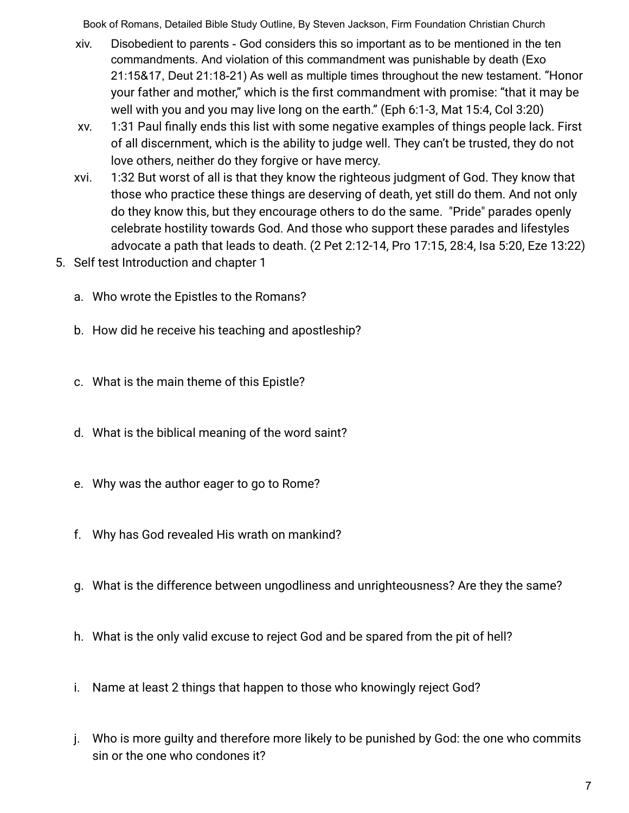- xiv. Disobedient to parents God considers this so important as to be mentioned in the ten commandments. And violation of this commandment was punishable by death (Exo 21:15&17, Deut 21:18-21) As well as multiple times throughout the new testament. "Honor your father and mother," which is the first commandment with promise: "that it may be well with you and you may live long on the earth." (Eph 6:1-3, Mat 15:4, Col 3:20)
- xv. 1:31 Paul finally ends this list with some negative examples of things people lack. First of all discernment, which is the ability to judge well. They can't be trusted, they do not love others, neither do they forgive or have mercy.
- xvi. 1:32 But worst of all is that they know the righteous judgment of God. They know that those who practice these things are deserving of death, yet still do them. And not only do they know this, but they encourage others to do the same. "Pride" parades openly celebrate hostility towards God. And those who support these parades and lifestyles advocate a path that leads to death. (2 Pet 2:12-14, Pro 17:15, 28:4, Isa 5:20, Eze 13:22)
- 5. Self test Introduction and chapter 1
	- a. Who wrote the Epistles to the Romans?
	- b. How did he receive his teaching and apostleship?
	- c. What is the main theme of this Epistle?
	- d. What is the biblical meaning of the word saint?
	- e. Why was the author eager to go to Rome?
	- f. Why has God revealed His wrath on mankind?
	- g. What is the difference between ungodliness and unrighteousness? Are they the same?
	- h. What is the only valid excuse to reject God and be spared from the pit of hell?
	- i. Name at least 2 things that happen to those who knowingly reject God?
	- j. Who is more guilty and therefore more likely to be punished by God: the one who commits sin or the one who condones it?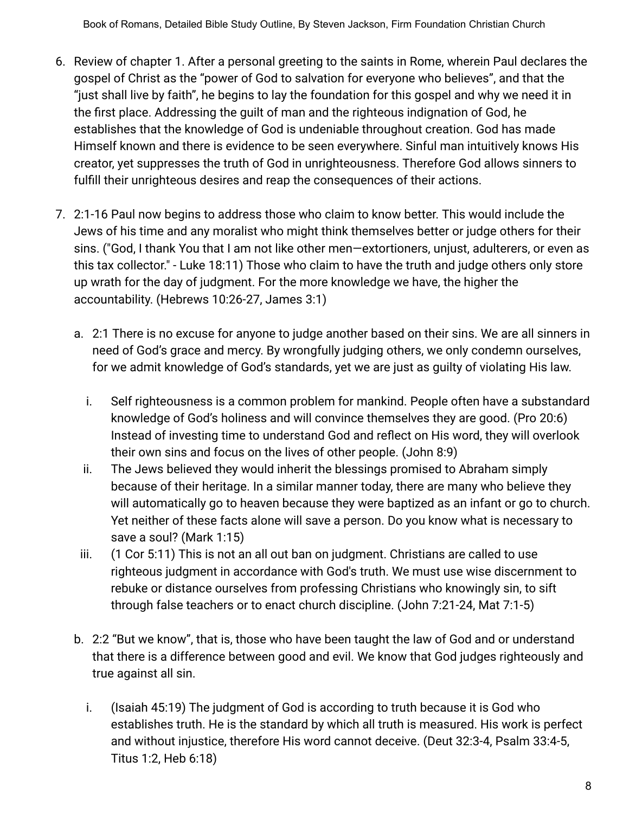- 6. Review of chapter 1. After a personal greeting to the saints in Rome, wherein Paul declares the gospel of Christ as the "power of God to salvation for everyone who believes", and that the "just shall live by faith", he begins to lay the foundation for this gospel and why we need it in the first place. Addressing the guilt of man and the righteous indignation of God, he establishes that the knowledge of God is undeniable throughout creation. God has made Himself known and there is evidence to be seen everywhere. Sinful man intuitively knows His creator, yet suppresses the truth of God in unrighteousness. Therefore God allows sinners to fulfill their unrighteous desires and reap the consequences of their actions.
- 7. 2:1-16 Paul now begins to address those who claim to know better. This would include the Jews of his time and any moralist who might think themselves better or judge others for their sins. ("God, I thank You that I am not like other men—extortioners, unjust, adulterers, or even as this tax collector." - Luke 18:11) Those who claim to have the truth and judge others only store up wrath for the day of judgment. For the more knowledge we have, the higher the accountability. (Hebrews 10:26-27, James 3:1)
	- a. 2:1 There is no excuse for anyone to judge another based on their sins. We are all sinners in need of God's grace and mercy. By wrongfully judging others, we only condemn ourselves, for we admit knowledge of God's standards, yet we are just as guilty of violating His law.
		- i. Self righteousness is a common problem for mankind. People often have a substandard knowledge of God's holiness and will convince themselves they are good. (Pro 20:6) Instead of investing time to understand God and reflect on His word, they will overlook their own sins and focus on the lives of other people. (John 8:9)
		- ii. The Jews believed they would inherit the blessings promised to Abraham simply because of their heritage. In a similar manner today, there are many who believe they will automatically go to heaven because they were baptized as an infant or go to church. Yet neither of these facts alone will save a person. Do you know what is necessary to save a soul? (Mark 1:15)
	- iii. (1 Cor 5:11) This is not an all out ban on judgment. Christians are called to use righteous judgment in accordance with God's truth. We must use wise discernment to rebuke or distance ourselves from professing Christians who knowingly sin, to sift through false teachers or to enact church discipline. (John 7:21-24, Mat 7:1-5)
	- b. 2:2 "But we know", that is, those who have been taught the law of God and or understand that there is a difference between good and evil. We know that God judges righteously and true against all sin.
		- i. (Isaiah 45:19) The judgment of God is according to truth because it is God who establishes truth. He is the standard by which all truth is measured. His work is perfect and without injustice, therefore His word cannot deceive. (Deut 32:3-4, Psalm 33:4-5, Titus 1:2, Heb 6:18)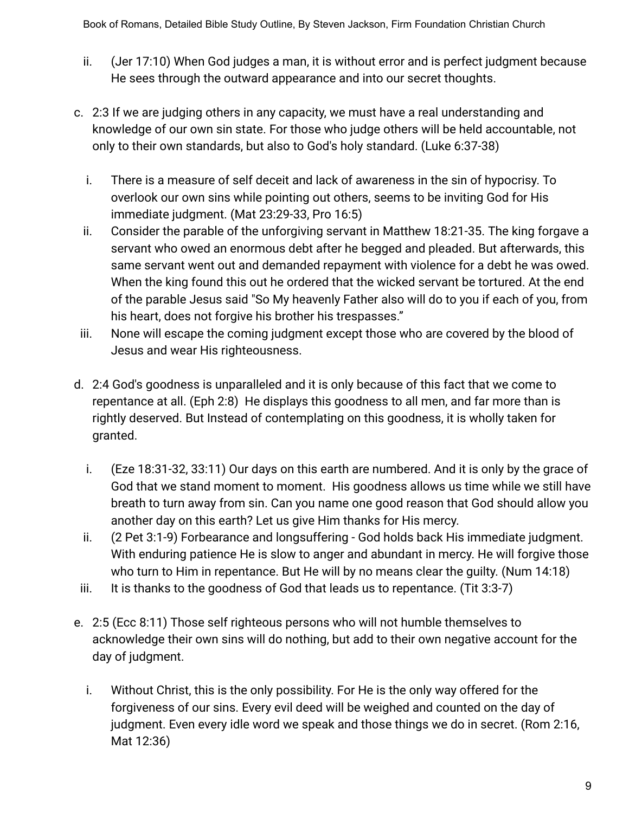- ii. (Jer 17:10) When God judges a man, it is without error and is perfect judgment because He sees through the outward appearance and into our secret thoughts.
- c. 2:3 If we are judging others in any capacity, we must have a real understanding and knowledge of our own sin state. For those who judge others will be held accountable, not only to their own standards, but also to God's holy standard. (Luke 6:37-38)
	- i. There is a measure of self deceit and lack of awareness in the sin of hypocrisy. To overlook our own sins while pointing out others, seems to be inviting God for His immediate judgment. (Mat 23:29-33, Pro 16:5)
	- ii. Consider the parable of the unforgiving servant in Matthew 18:21-35. The king forgave a servant who owed an enormous debt after he begged and pleaded. But afterwards, this same servant went out and demanded repayment with violence for a debt he was owed. When the king found this out he ordered that the wicked servant be tortured. At the end of the parable Jesus said "So My heavenly Father also will do to you if each of you, from his heart, does not forgive his brother his trespasses."
- iii. None will escape the coming judgment except those who are covered by the blood of Jesus and wear His righteousness.
- d. 2:4 God's goodness is unparalleled and it is only because of this fact that we come to repentance at all. (Eph 2:8) He displays this goodness to all men, and far more than is rightly deserved. But Instead of contemplating on this goodness, it is wholly taken for granted.
	- i. (Eze 18:31-32, 33:11) Our days on this earth are numbered. And it is only by the grace of God that we stand moment to moment. His goodness allows us time while we still have breath to turn away from sin. Can you name one good reason that God should allow you another day on this earth? Let us give Him thanks for His mercy.
	- ii. (2 Pet 3:1-9) Forbearance and longsuffering God holds back His immediate judgment. With enduring patience He is slow to anger and abundant in mercy. He will forgive those who turn to Him in repentance. But He will by no means clear the guilty. (Num 14:18)
- iii. It is thanks to the goodness of God that leads us to repentance. (Tit  $3:3-7$ )
- e. 2:5 (Ecc 8:11) Those self righteous persons who will not humble themselves to acknowledge their own sins will do nothing, but add to their own negative account for the day of judgment.
	- i. Without Christ, this is the only possibility. For He is the only way offered for the forgiveness of our sins. Every evil deed will be weighed and counted on the day of judgment. Even every idle word we speak and those things we do in secret. (Rom 2:16, Mat 12:36)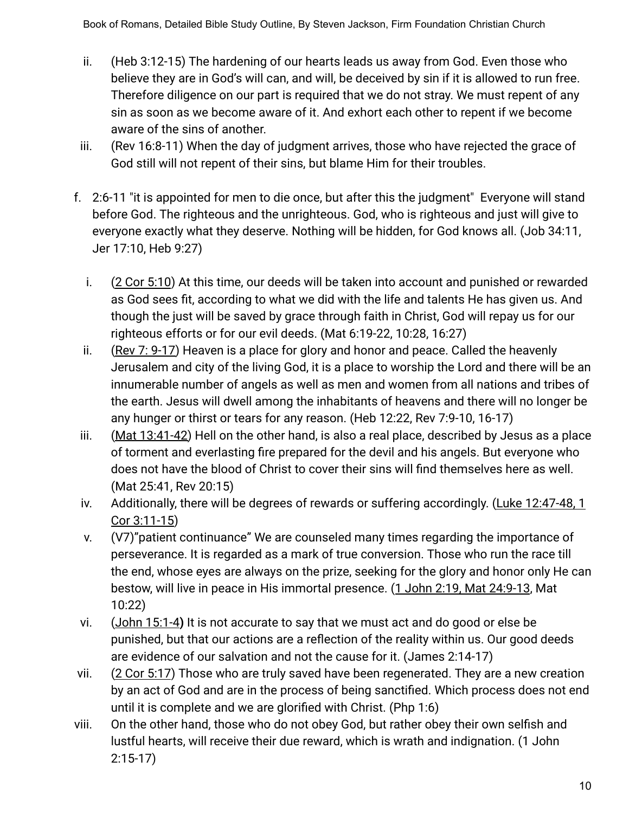- ii. (Heb 3:12-15) The hardening of our hearts leads us away from God. Even those who believe they are in God's will can, and will, be deceived by sin if it is allowed to run free. Therefore diligence on our part is required that we do not stray. We must repent of any sin as soon as we become aware of it. And exhort each other to repent if we become aware of the sins of another.
- iii. (Rev 16:8-11) When the day of judgment arrives, those who have rejected the grace of God still will not repent of their sins, but blame Him for their troubles.
- f. 2:6-11 "it is appointed for men to die once, but after this the judgment" Everyone will stand before God. The righteous and the unrighteous. God, who is righteous and just will give to everyone exactly what they deserve. Nothing will be hidden, for God knows all. (Job 34:11, Jer 17:10, Heb 9:27)
	- i. (2 Cor 5:10) At this time, our deeds will be taken into account and punished or rewarded as God sees fit, according to what we did with the life and talents He has given us. And though the just will be saved by grace through faith in Christ, God will repay us for our righteous efforts or for our evil deeds. (Mat 6:19-22, 10:28, 16:27)
	- ii. (Rev 7: 9-17) Heaven is a place for glory and honor and peace. Called the heavenly Jerusalem and city of the living God, it is a place to worship the Lord and there will be an innumerable number of angels as well as men and women from all nations and tribes of the earth. Jesus will dwell among the inhabitants of heavens and there will no longer be any hunger or thirst or tears for any reason. (Heb 12:22, Rev 7:9-10, 16-17)
- iii. (Mat 13:41-42) Hell on the other hand, is also a real place, described by Jesus as a place of torment and everlasting fire prepared for the devil and his angels. But everyone who does not have the blood of Christ to cover their sins will find themselves here as well. (Mat 25:41, Rev 20:15)
- iv. Additionally, there will be degrees of rewards or suffering accordingly. (Luke 12:47-48, 1 Cor 3:11-15)
- v. (V7)"patient continuance" We are counseled many times regarding the importance of perseverance. It is regarded as a mark of true conversion. Those who run the race till the end, whose eyes are always on the prize, seeking for the glory and honor only He can bestow, will live in peace in His immortal presence. (1 John 2:19, Mat 24:9-13, Mat 10:22)
- vi. (John 15:1-4**)** It is not accurate to say that we must act and do good or else be punished, but that our actions are a reflection of the reality within us. Our good deeds are evidence of our salvation and not the cause for it. (James 2:14-17)
- vii. (2 Cor 5:17) Those who are truly saved have been regenerated. They are a new creation by an act of God and are in the process of being sanctified. Which process does not end until it is complete and we are glorified with Christ. (Php 1:6)
- viii. On the other hand, those who do not obey God, but rather obey their own selfish and lustful hearts, will receive their due reward, which is wrath and indignation. (1 John 2:15-17)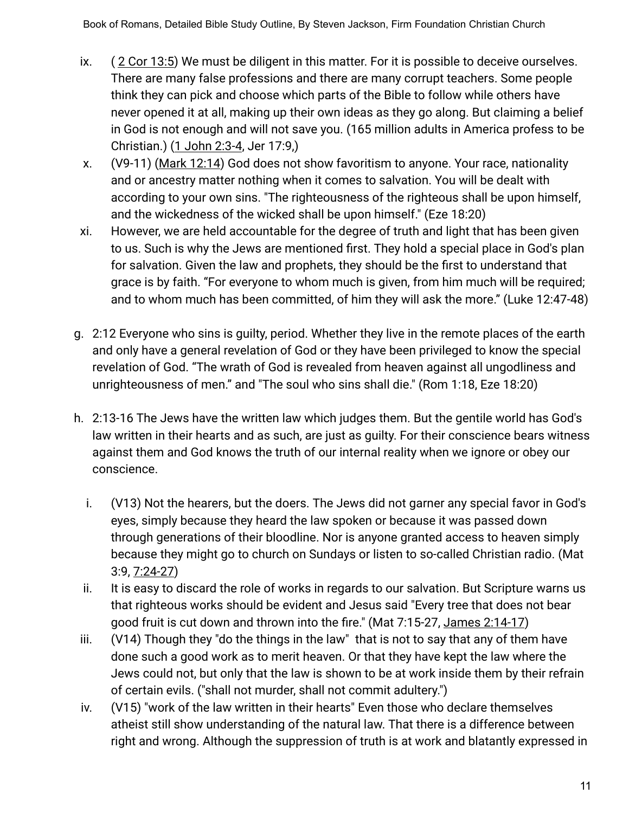- ix. ( 2 Cor 13:5) We must be diligent in this matter. For it is possible to deceive ourselves. There are many false professions and there are many corrupt teachers. Some people think they can pick and choose which parts of the Bible to follow while others have never opened it at all, making up their own ideas as they go along. But claiming a belief in God is not enough and will not save you. (165 million adults in America profess to be Christian.) (1 John 2:3-4, Jer 17:9,)
- x. (V9-11) (Mark 12:14) God does not show favoritism to anyone. Your race, nationality and or ancestry matter nothing when it comes to salvation. You will be dealt with according to your own sins. "The righteousness of the righteous shall be upon himself, and the wickedness of the wicked shall be upon himself." (Eze 18:20)
- xi. However, we are held accountable for the degree of truth and light that has been given to us. Such is why the Jews are mentioned first. They hold a special place in God's plan for salvation. Given the law and prophets, they should be the first to understand that grace is by faith. "For everyone to whom much is given, from him much will be required; and to whom much has been committed, of him they will ask the more." (Luke 12:47-48)
- g. 2:12 Everyone who sins is guilty, period. Whether they live in the remote places of the earth and only have a general revelation of God or they have been privileged to know the special revelation of God. "The wrath of God is revealed from heaven against all ungodliness and unrighteousness of men." and "The soul who sins shall die." (Rom 1:18, Eze 18:20)
- h. 2:13-16 The Jews have the written law which judges them. But the gentile world has God's law written in their hearts and as such, are just as guilty. For their conscience bears witness against them and God knows the truth of our internal reality when we ignore or obey our conscience.
	- i. (V13) Not the hearers, but the doers. The Jews did not garner any special favor in God's eyes, simply because they heard the law spoken or because it was passed down through generations of their bloodline. Nor is anyone granted access to heaven simply because they might go to church on Sundays or listen to so-called Christian radio. (Mat 3:9, 7:24-27)
	- ii. It is easy to discard the role of works in regards to our salvation. But Scripture warns us that righteous works should be evident and Jesus said "Every tree that does not bear good fruit is cut down and thrown into the fire." (Mat 7:15-27, James 2:14-17)
- iii. (V14) Though they "do the things in the law" that is not to say that any of them have done such a good work as to merit heaven. Or that they have kept the law where the Jews could not, but only that the law is shown to be at work inside them by their refrain of certain evils. ("shall not murder, shall not commit adultery.")
- iv. (V15) "work of the law written in their hearts" Even those who declare themselves atheist still show understanding of the natural law. That there is a difference between right and wrong. Although the suppression of truth is at work and blatantly expressed in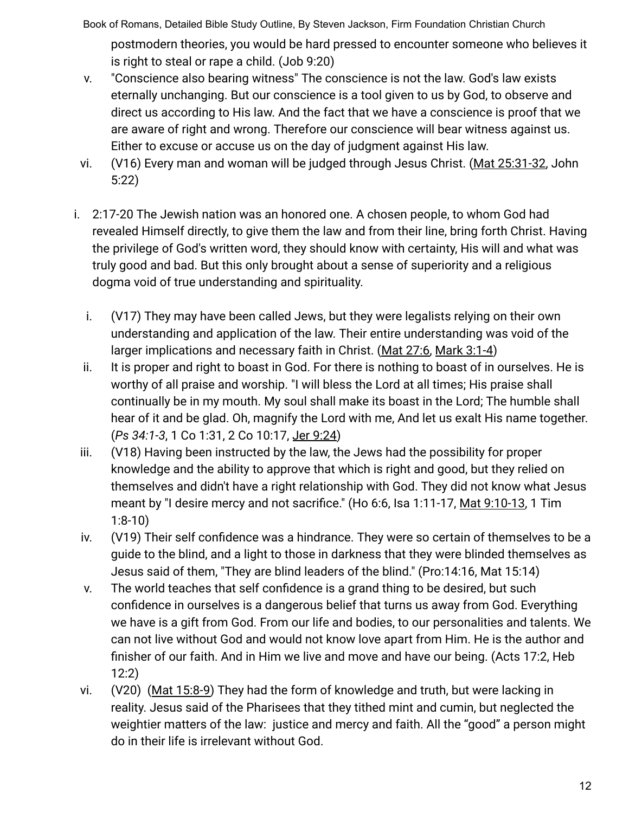postmodern theories, you would be hard pressed to encounter someone who believes it is right to steal or rape a child. (Job 9:20)

- v. "Conscience also bearing witness" The conscience is not the law. God's law exists eternally unchanging. But our conscience is a tool given to us by God, to observe and direct us according to His law. And the fact that we have a conscience is proof that we are aware of right and wrong. Therefore our conscience will bear witness against us. Either to excuse or accuse us on the day of judgment against His law.
- vi. (V16) Every man and woman will be judged through Jesus Christ. (Mat 25:31-32, John 5:22)
- i. 2:17-20 The Jewish nation was an honored one. A chosen people, to whom God had revealed Himself directly, to give them the law and from their line, bring forth Christ. Having the privilege of God's written word, they should know with certainty, His will and what was truly good and bad. But this only brought about a sense of superiority and a religious dogma void of true understanding and spirituality.
	- i. (V17) They may have been called Jews, but they were legalists relying on their own understanding and application of the law. Their entire understanding was void of the larger implications and necessary faith in Christ. (Mat 27:6, Mark 3:1-4)
	- ii. It is proper and right to boast in God. For there is nothing to boast of in ourselves. He is worthy of all praise and worship. "I will bless the Lord at all times; His praise shall continually be in my mouth. My soul shall make its boast in the Lord; The humble shall hear of it and be glad. Oh, magnify the Lord with me, And let us exalt His name together. (*Ps 34:1-3*, 1 Co 1:31, 2 Co 10:17, Jer 9:24)
- iii. (V18) Having been instructed by the law, the Jews had the possibility for proper knowledge and the ability to approve that which is right and good, but they relied on themselves and didn't have a right relationship with God. They did not know what Jesus meant by "I desire mercy and not sacrifice." (Ho 6:6, Isa 1:11-17, Mat 9:10-13, 1 Tim 1:8-10)
- iv. (V19) Their self confidence was a hindrance. They were so certain of themselves to be a guide to the blind, and a light to those in darkness that they were blinded themselves as Jesus said of them, "They are blind leaders of the blind." (Pro:14:16, Mat 15:14)
- v. The world teaches that self confidence is a grand thing to be desired, but such confidence in ourselves is a dangerous belief that turns us away from God. Everything we have is a gift from God. From our life and bodies, to our personalities and talents. We can not live without God and would not know love apart from Him. He is the author and finisher of our faith. And in Him we live and move and have our being. (Acts 17:2, Heb 12:2)
- vi. (V20) (Mat 15:8-9) They had the form of knowledge and truth, but were lacking in reality. Jesus said of the Pharisees that they tithed mint and cumin, but neglected the weightier matters of the law: justice and mercy and faith. All the "good" a person might do in their life is irrelevant without God.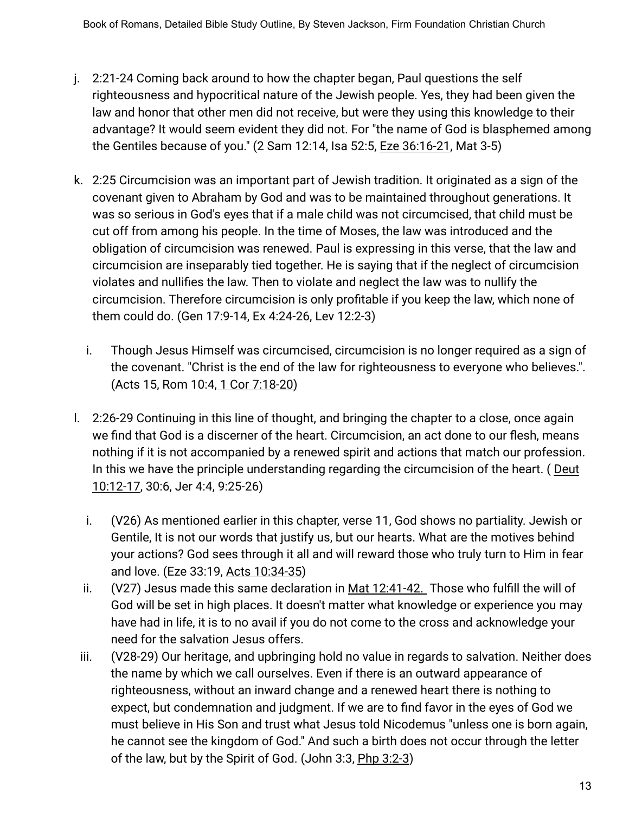- j. 2:21-24 Coming back around to how the chapter began, Paul questions the self righteousness and hypocritical nature of the Jewish people. Yes, they had been given the law and honor that other men did not receive, but were they using this knowledge to their advantage? It would seem evident they did not. For "the name of God is blasphemed among the Gentiles because of you." (2 Sam 12:14, Isa 52:5, **Eze 36:16-21**, Mat 3-5)
- k. 2:25 Circumcision was an important part of Jewish tradition. It originated as a sign of the covenant given to Abraham by God and was to be maintained throughout generations. It was so serious in God's eyes that if a male child was not circumcised, that child must be cut off from among his people. In the time of Moses, the law was introduced and the obligation of circumcision was renewed. Paul is expressing in this verse, that the law and circumcision are inseparably tied together. He is saying that if the neglect of circumcision violates and nullifies the law. Then to violate and neglect the law was to nullify the circumcision. Therefore circumcision is only profitable if you keep the law, which none of them could do. (Gen 17:9-14, Ex 4:24-26, Lev 12:2-3)
	- i. Though Jesus Himself was circumcised, circumcision is no longer required as a sign of the covenant. "Christ is the end of the law for righteousness to everyone who believes.". (Acts 15, Rom 10:4, 1 Cor 7:18-20)
- l. 2:26-29 Continuing in this line of thought, and bringing the chapter to a close, once again we find that God is a discerner of the heart. Circumcision, an act done to our flesh, means nothing if it is not accompanied by a renewed spirit and actions that match our profession. In this we have the principle understanding regarding the circumcision of the heart. ( Deut 10:12-17, 30:6, Jer 4:4, 9:25-26)
	- i. (V26) As mentioned earlier in this chapter, verse 11, God shows no partiality. Jewish or Gentile, It is not our words that justify us, but our hearts. What are the motives behind your actions? God sees through it all and will reward those who truly turn to Him in fear and love. (Eze 33:19, Acts 10:34-35)
	- ii. (V27) Jesus made this same declaration in Mat 12:41-42. Those who fulfill the will of God will be set in high places. It doesn't matter what knowledge or experience you may have had in life, it is to no avail if you do not come to the cross and acknowledge your need for the salvation Jesus offers.
- iii. (V28-29) Our heritage, and upbringing hold no value in regards to salvation. Neither does the name by which we call ourselves. Even if there is an outward appearance of righteousness, without an inward change and a renewed heart there is nothing to expect, but condemnation and judgment. If we are to find favor in the eyes of God we must believe in His Son and trust what Jesus told Nicodemus "unless one is born again, he cannot see the kingdom of God." And such a birth does not occur through the letter of the law, but by the Spirit of God. (John 3:3, Php 3:2-3)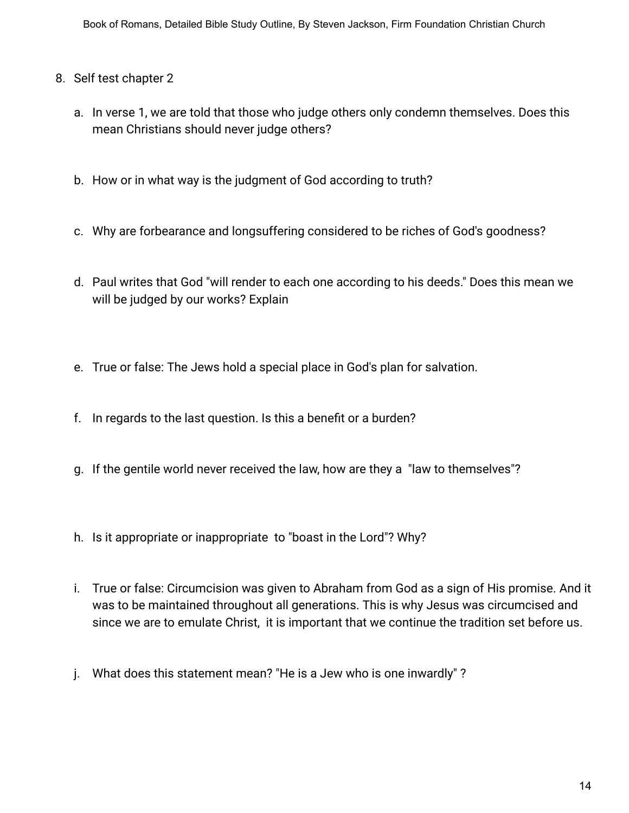- 8. Self test chapter 2
	- a. In verse 1, we are told that those who judge others only condemn themselves. Does this mean Christians should never judge others?
	- b. How or in what way is the judgment of God according to truth?
	- c. Why are forbearance and longsuffering considered to be riches of God's goodness?
	- d. Paul writes that God "will render to each one according to his deeds." Does this mean we will be judged by our works? Explain
	- e. True or false: The Jews hold a special place in God's plan for salvation.
	- f. In regards to the last question. Is this a benefit or a burden?
	- g. If the gentile world never received the law, how are they a "law to themselves"?
	- h. Is it appropriate or inappropriate to "boast in the Lord"? Why?
	- i. True or false: Circumcision was given to Abraham from God as a sign of His promise. And it was to be maintained throughout all generations. This is why Jesus was circumcised and since we are to emulate Christ, it is important that we continue the tradition set before us.
	- j. What does this statement mean? "He is a Jew who is one inwardly" ?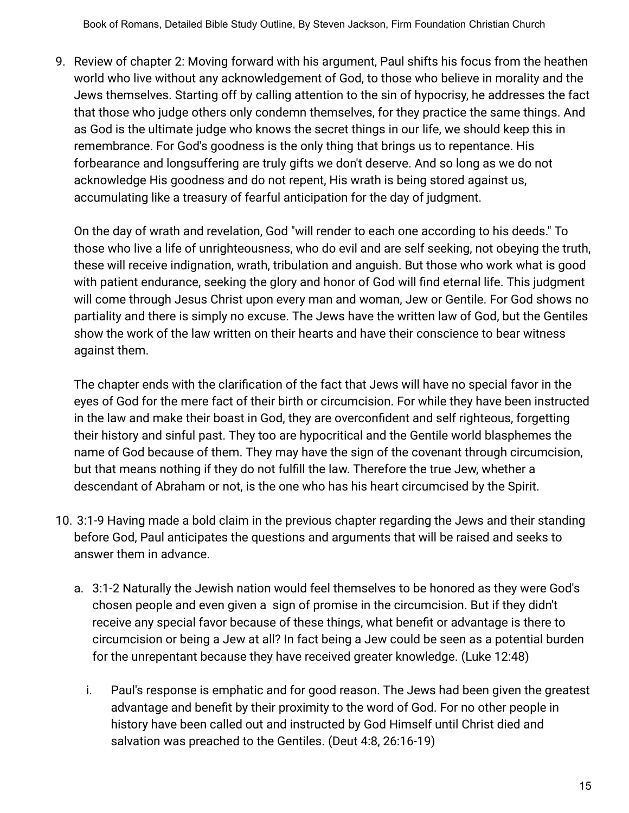9. Review of chapter 2: Moving forward with his argument, Paul shifts his focus from the heathen world who live without any acknowledgement of God, to those who believe in morality and the Jews themselves. Starting off by calling attention to the sin of hypocrisy, he addresses the fact that those who judge others only condemn themselves, for they practice the same things. And as God is the ultimate judge who knows the secret things in our life, we should keep this in remembrance. For God's goodness is the only thing that brings us to repentance. His forbearance and longsuffering are truly gifts we don't deserve. And so long as we do not acknowledge His goodness and do not repent, His wrath is being stored against us, accumulating like a treasury of fearful anticipation for the day of judgment.

On the day of wrath and revelation, God "will render to each one according to his deeds." To those who live a life of unrighteousness, who do evil and are self seeking, not obeying the truth, these will receive indignation, wrath, tribulation and anguish. But those who work what is good with patient endurance, seeking the glory and honor of God will find eternal life. This judgment will come through Jesus Christ upon every man and woman, Jew or Gentile. For God shows no partiality and there is simply no excuse. The Jews have the written law of God, but the Gentiles show the work of the law written on their hearts and have their conscience to bear witness against them.

The chapter ends with the clarification of the fact that Jews will have no special favor in the eyes of God for the mere fact of their birth or circumcision. For while they have been instructed in the law and make their boast in God, they are overconfident and self righteous, forgetting their history and sinful past. They too are hypocritical and the Gentile world blasphemes the name of God because of them. They may have the sign of the covenant through circumcision, but that means nothing if they do not fulfill the law. Therefore the true Jew, whether a descendant of Abraham or not, is the one who has his heart circumcised by the Spirit.

- 10. 3:1-9 Having made a bold claim in the previous chapter regarding the Jews and their standing before God, Paul anticipates the questions and arguments that will be raised and seeks to answer them in advance.
	- a. 3:1-2 Naturally the Jewish nation would feel themselves to be honored as they were God's chosen people and even given a sign of promise in the circumcision. But if they didn't receive any special favor because of these things, what benefit or advantage is there to circumcision or being a Jew at all? In fact being a Jew could be seen as a potential burden for the unrepentant because they have received greater knowledge. (Luke 12:48)
		- i. Paul's response is emphatic and for good reason. The Jews had been given the greatest advantage and benefit by their proximity to the word of God. For no other people in history have been called out and instructed by God Himself until Christ died and salvation was preached to the Gentiles. (Deut 4:8, 26:16-19)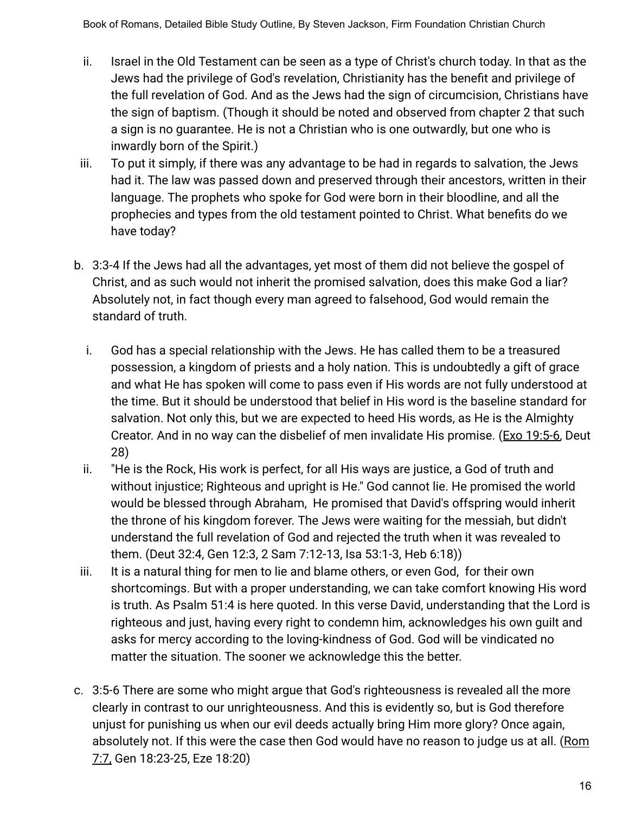- ii. Israel in the Old Testament can be seen as a type of Christ's church today. In that as the Jews had the privilege of God's revelation, Christianity has the benefit and privilege of the full revelation of God. And as the Jews had the sign of circumcision, Christians have the sign of baptism. (Though it should be noted and observed from chapter 2 that such a sign is no guarantee. He is not a Christian who is one outwardly, but one who is inwardly born of the Spirit.)
- iii. To put it simply, if there was any advantage to be had in regards to salvation, the Jews had it. The law was passed down and preserved through their ancestors, written in their language. The prophets who spoke for God were born in their bloodline, and all the prophecies and types from the old testament pointed to Christ. What benefits do we have today?
- b. 3:3-4 If the Jews had all the advantages, yet most of them did not believe the gospel of Christ, and as such would not inherit the promised salvation, does this make God a liar? Absolutely not, in fact though every man agreed to falsehood, God would remain the standard of truth.
	- i. God has a special relationship with the Jews. He has called them to be a treasured possession, a kingdom of priests and a holy nation. This is undoubtedly a gift of grace and what He has spoken will come to pass even if His words are not fully understood at the time. But it should be understood that belief in His word is the baseline standard for salvation. Not only this, but we are expected to heed His words, as He is the Almighty Creator. And in no way can the disbelief of men invalidate His promise. (Exo 19:5-6, Deut 28)
	- ii. "He is the Rock, His work is perfect, for all His ways are justice, a God of truth and without injustice; Righteous and upright is He." God cannot lie. He promised the world would be blessed through Abraham, He promised that David's offspring would inherit the throne of his kingdom forever. The Jews were waiting for the messiah, but didn't understand the full revelation of God and rejected the truth when it was revealed to them. (Deut 32:4, Gen 12:3, 2 Sam 7:12-13, Isa 53:1-3, Heb 6:18))
- iii. It is a natural thing for men to lie and blame others, or even God, for their own shortcomings. But with a proper understanding, we can take comfort knowing His word is truth. As Psalm 51:4 is here quoted. In this verse David, understanding that the Lord is righteous and just, having every right to condemn him, acknowledges his own guilt and asks for mercy according to the loving-kindness of God. God will be vindicated no matter the situation. The sooner we acknowledge this the better.
- c. 3:5-6 There are some who might argue that God's righteousness is revealed all the more clearly in contrast to our unrighteousness. And this is evidently so, but is God therefore unjust for punishing us when our evil deeds actually bring Him more glory? Once again, absolutely not. If this were the case then God would have no reason to judge us at all. (Rom 7:7, Gen 18:23-25, Eze 18:20)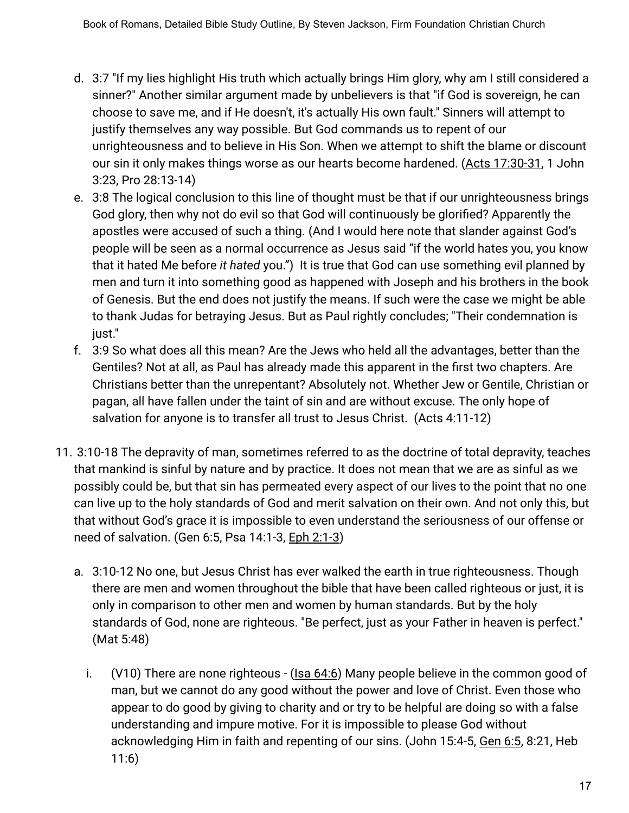- d. 3:7 "If my lies highlight His truth which actually brings Him glory, why am I still considered a sinner?" Another similar argument made by unbelievers is that "if God is sovereign, he can choose to save me, and if He doesn't, it's actually His own fault." Sinners will attempt to justify themselves any way possible. But God commands us to repent of our unrighteousness and to believe in His Son. When we attempt to shift the blame or discount our sin it only makes things worse as our hearts become hardened. (Acts 17:30-31, 1 John 3:23, Pro 28:13-14)
- e. 3:8 The logical conclusion to this line of thought must be that if our unrighteousness brings God glory, then why not do evil so that God will continuously be glorified? Apparently the apostles were accused of such a thing. (And I would here note that slander against God's people will be seen as a normal occurrence as Jesus said "if the world hates you, you know that it hated Me before *it hated* you.") It is true that God can use something evil planned by men and turn it into something good as happened with Joseph and his brothers in the book of Genesis. But the end does not justify the means. If such were the case we might be able to thank Judas for betraying Jesus. But as Paul rightly concludes; "Their condemnation is just."
- f. 3:9 So what does all this mean? Are the Jews who held all the advantages, better than the Gentiles? Not at all, as Paul has already made this apparent in the first two chapters. Are Christians better than the unrepentant? Absolutely not. Whether Jew or Gentile, Christian or pagan, all have fallen under the taint of sin and are without excuse. The only hope of salvation for anyone is to transfer all trust to Jesus Christ. (Acts 4:11-12)
- 11. 3:10-18 The depravity of man, sometimes referred to as the doctrine of total depravity, teaches that mankind is sinful by nature and by practice. It does not mean that we are as sinful as we possibly could be, but that sin has permeated every aspect of our lives to the point that no one can live up to the holy standards of God and merit salvation on their own. And not only this, but that without God's grace it is impossible to even understand the seriousness of our offense or need of salvation. (Gen 6:5, Psa 14:1-3, Eph 2:1-3)
	- a. 3:10-12 No one, but Jesus Christ has ever walked the earth in true righteousness. Though there are men and women throughout the bible that have been called righteous or just, it is only in comparison to other men and women by human standards. But by the holy standards of God, none are righteous. "Be perfect, just as your Father in heaven is perfect." (Mat 5:48)
		- i. (V10) There are none righteous (Isa 64:6) Many people believe in the common good of man, but we cannot do any good without the power and love of Christ. Even those who appear to do good by giving to charity and or try to be helpful are doing so with a false understanding and impure motive. For it is impossible to please God without acknowledging Him in faith and repenting of our sins. (John 15:4-5, Gen 6:5, 8:21, Heb 11:6)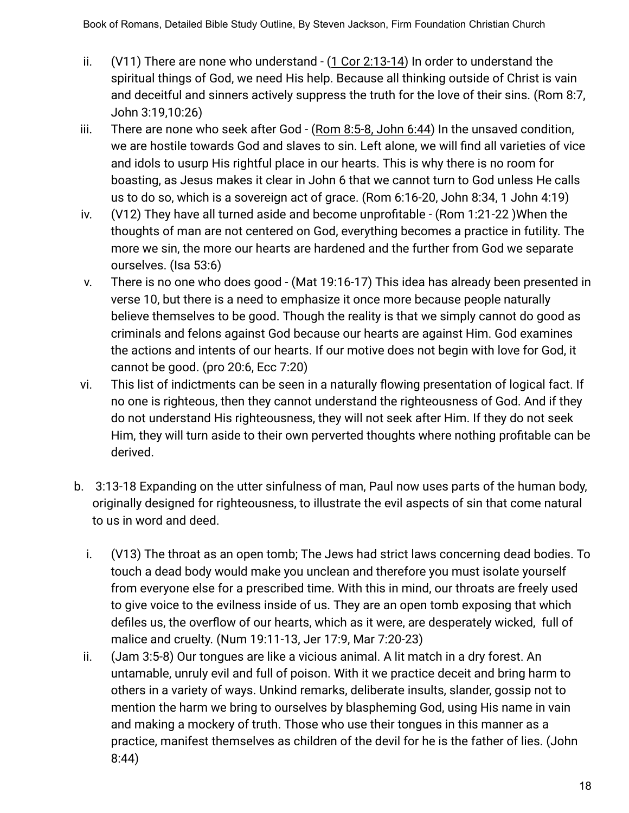- ii. (V11) There are none who understand (1 Cor 2:13-14) In order to understand the spiritual things of God, we need His help. Because all thinking outside of Christ is vain and deceitful and sinners actively suppress the truth for the love of their sins. (Rom 8:7, John 3:19,10:26)
- iii. There are none who seek after God  $-$  (Rom 8:5-8, John 6:44) In the unsaved condition, we are hostile towards God and slaves to sin. Left alone, we will find all varieties of vice and idols to usurp His rightful place in our hearts. This is why there is no room for boasting, as Jesus makes it clear in John 6 that we cannot turn to God unless He calls us to do so, which is a sovereign act of grace. (Rom 6:16-20, John 8:34, 1 John 4:19)
- iv. (V12) They have all turned aside and become unprofitable (Rom 1:21-22 )When the thoughts of man are not centered on God, everything becomes a practice in futility. The more we sin, the more our hearts are hardened and the further from God we separate ourselves. (Isa 53:6)
- v. There is no one who does good (Mat 19:16-17) This idea has already been presented in verse 10, but there is a need to emphasize it once more because people naturally believe themselves to be good. Though the reality is that we simply cannot do good as criminals and felons against God because our hearts are against Him. God examines the actions and intents of our hearts. If our motive does not begin with love for God, it cannot be good. (pro 20:6, Ecc 7:20)
- vi. This list of indictments can be seen in a naturally flowing presentation of logical fact. If no one is righteous, then they cannot understand the righteousness of God. And if they do not understand His righteousness, they will not seek after Him. If they do not seek Him, they will turn aside to their own perverted thoughts where nothing profitable can be derived.
- b. 3:13-18 Expanding on the utter sinfulness of man, Paul now uses parts of the human body, originally designed for righteousness, to illustrate the evil aspects of sin that come natural to us in word and deed.
	- i. (V13) The throat as an open tomb; The Jews had strict laws concerning dead bodies. To touch a dead body would make you unclean and therefore you must isolate yourself from everyone else for a prescribed time. With this in mind, our throats are freely used to give voice to the evilness inside of us. They are an open tomb exposing that which defiles us, the overflow of our hearts, which as it were, are desperately wicked, full of malice and cruelty. (Num 19:11-13, Jer 17:9, Mar 7:20-23)
	- ii. (Jam 3:5-8) Our tongues are like a vicious animal. A lit match in a dry forest. An untamable, unruly evil and full of poison. With it we practice deceit and bring harm to others in a variety of ways. Unkind remarks, deliberate insults, slander, gossip not to mention the harm we bring to ourselves by blaspheming God, using His name in vain and making a mockery of truth. Those who use their tongues in this manner as a practice, manifest themselves as children of the devil for he is the father of lies. (John 8:44)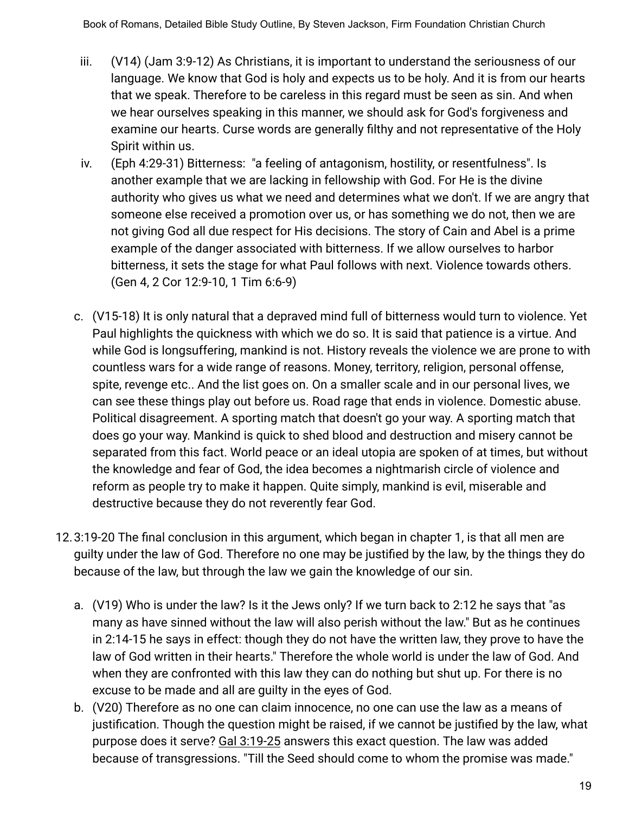- iii. (V14) (Jam 3:9-12) As Christians, it is important to understand the seriousness of our language. We know that God is holy and expects us to be holy. And it is from our hearts that we speak. Therefore to be careless in this regard must be seen as sin. And when we hear ourselves speaking in this manner, we should ask for God's forgiveness and examine our hearts. Curse words are generally filthy and not representative of the Holy Spirit within us.
- iv. (Eph 4:29-31) Bitterness: "a feeling of antagonism, hostility, or resentfulness". Is another example that we are lacking in fellowship with God. For He is the divine authority who gives us what we need and determines what we don't. If we are angry that someone else received a promotion over us, or has something we do not, then we are not giving God all due respect for His decisions. The story of Cain and Abel is a prime example of the danger associated with bitterness. If we allow ourselves to harbor bitterness, it sets the stage for what Paul follows with next. Violence towards others. (Gen 4, 2 Cor 12:9-10, 1 Tim 6:6-9)
- c. (V15-18) It is only natural that a depraved mind full of bitterness would turn to violence. Yet Paul highlights the quickness with which we do so. It is said that patience is a virtue. And while God is longsuffering, mankind is not. History reveals the violence we are prone to with countless wars for a wide range of reasons. Money, territory, religion, personal offense, spite, revenge etc.. And the list goes on. On a smaller scale and in our personal lives, we can see these things play out before us. Road rage that ends in violence. Domestic abuse. Political disagreement. A sporting match that doesn't go your way. A sporting match that does go your way. Mankind is quick to shed blood and destruction and misery cannot be separated from this fact. World peace or an ideal utopia are spoken of at times, but without the knowledge and fear of God, the idea becomes a nightmarish circle of violence and reform as people try to make it happen. Quite simply, mankind is evil, miserable and destructive because they do not reverently fear God.
- 12.3:19-20 The final conclusion in this argument, which began in chapter 1, is that all men are guilty under the law of God. Therefore no one may be justified by the law, by the things they do because of the law, but through the law we gain the knowledge of our sin.
	- a. (V19) Who is under the law? Is it the Jews only? If we turn back to 2:12 he says that "as many as have sinned without the law will also perish without the law." But as he continues in 2:14-15 he says in effect: though they do not have the written law, they prove to have the law of God written in their hearts." Therefore the whole world is under the law of God. And when they are confronted with this law they can do nothing but shut up. For there is no excuse to be made and all are guilty in the eyes of God.
	- b. (V20) Therefore as no one can claim innocence, no one can use the law as a means of justification. Though the question might be raised, if we cannot be justified by the law, what purpose does it serve? Gal 3:19-25 answers this exact question. The law was added because of transgressions. "Till the Seed should come to whom the promise was made."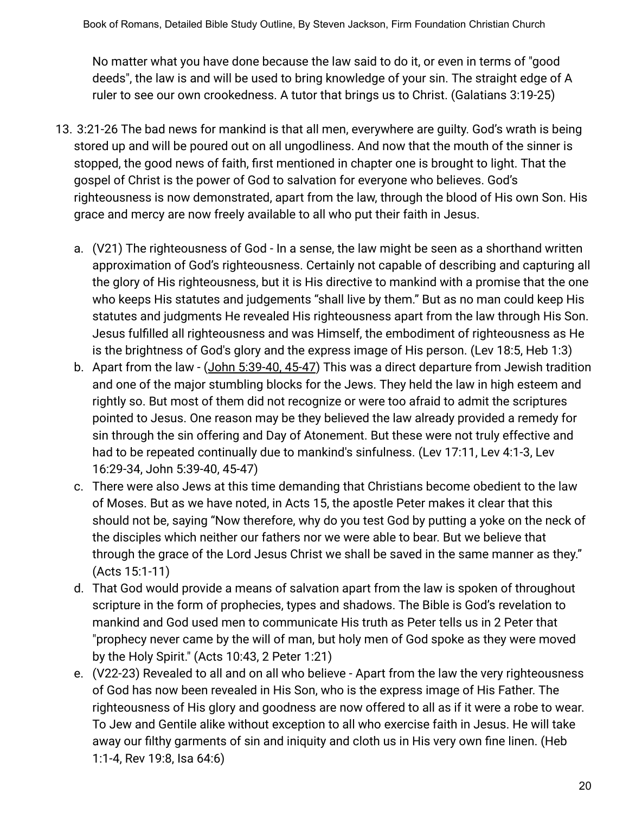No matter what you have done because the law said to do it, or even in terms of "good deeds", the law is and will be used to bring knowledge of your sin. The straight edge of A ruler to see our own crookedness. A tutor that brings us to Christ. (Galatians 3:19-25)

- 13. 3:21-26 The bad news for mankind is that all men, everywhere are guilty. God's wrath is being stored up and will be poured out on all ungodliness. And now that the mouth of the sinner is stopped, the good news of faith, first mentioned in chapter one is brought to light. That the gospel of Christ is the power of God to salvation for everyone who believes. God's righteousness is now demonstrated, apart from the law, through the blood of His own Son. His grace and mercy are now freely available to all who put their faith in Jesus.
	- a. (V21) The righteousness of God In a sense, the law might be seen as a shorthand written approximation of God's righteousness. Certainly not capable of describing and capturing all the glory of His righteousness, but it is His directive to mankind with a promise that the one who keeps His statutes and judgements "shall live by them." But as no man could keep His statutes and judgments He revealed His righteousness apart from the law through His Son. Jesus fulfilled all righteousness and was Himself, the embodiment of righteousness as He is the brightness of God's glory and the express image of His person. (Lev 18:5, Heb 1:3)
	- b. Apart from the law (John 5:39-40, 45-47) This was a direct departure from Jewish tradition and one of the major stumbling blocks for the Jews. They held the law in high esteem and rightly so. But most of them did not recognize or were too afraid to admit the scriptures pointed to Jesus. One reason may be they believed the law already provided a remedy for sin through the sin offering and Day of Atonement. But these were not truly effective and had to be repeated continually due to mankind's sinfulness. (Lev 17:11, Lev 4:1-3, Lev 16:29-34, John 5:39-40, 45-47)
	- c. There were also Jews at this time demanding that Christians become obedient to the law of Moses. But as we have noted, in Acts 15, the apostle Peter makes it clear that this should not be, saying "Now therefore, why do you test God by putting a yoke on the neck of the disciples which neither our fathers nor we were able to bear. But we believe that through the grace of the Lord Jesus Christ we shall be saved in the same manner as they." (Acts 15:1-11)
	- d. That God would provide a means of salvation apart from the law is spoken of throughout scripture in the form of prophecies, types and shadows. The Bible is God's revelation to mankind and God used men to communicate His truth as Peter tells us in 2 Peter that "prophecy never came by the will of man, but holy men of God spoke as they were moved by the Holy Spirit." (Acts 10:43, 2 Peter 1:21)
	- e. (V22-23) Revealed to all and on all who believe Apart from the law the very righteousness of God has now been revealed in His Son, who is the express image of His Father. The righteousness of His glory and goodness are now offered to all as if it were a robe to wear. To Jew and Gentile alike without exception to all who exercise faith in Jesus. He will take away our filthy garments of sin and iniquity and cloth us in His very own fine linen. (Heb 1:1-4, Rev 19:8, Isa 64:6)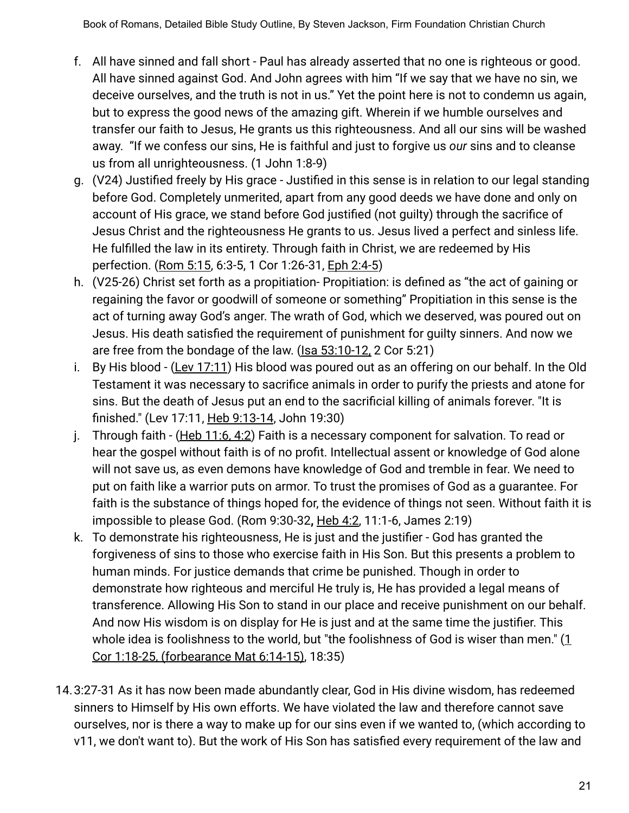- f. All have sinned and fall short Paul has already asserted that no one is righteous or good. All have sinned against God. And John agrees with him "If we say that we have no sin, we deceive ourselves, and the truth is not in us." Yet the point here is not to condemn us again, but to express the good news of the amazing gift. Wherein if we humble ourselves and transfer our faith to Jesus, He grants us this righteousness. And all our sins will be washed away. "If we confess our sins, He is faithful and just to forgive us *our* sins and to cleanse us from all unrighteousness. (1 John 1:8-9)
- g. (V24) Justified freely by His grace Justified in this sense is in relation to our legal standing before God. Completely unmerited, apart from any good deeds we have done and only on account of His grace, we stand before God justified (not guilty) through the sacrifice of Jesus Christ and the righteousness He grants to us. Jesus lived a perfect and sinless life. He fulfilled the law in its entirety. Through faith in Christ, we are redeemed by His perfection. (Rom 5:15, 6:3-5, 1 Cor 1:26-31, Eph 2:4-5)
- h. (V25-26) Christ set forth as a propitiation- Propitiation: is defined as "the act of gaining or regaining the favor or goodwill of someone or something" Propitiation in this sense is the act of turning away God's anger. The wrath of God, which we deserved, was poured out on Jesus. His death satisfied the requirement of punishment for guilty sinners. And now we are free from the bondage of the law. (Isa 53:10-12, 2 Cor 5:21)
- i. By His blood (Lev 17:11) His blood was poured out as an offering on our behalf. In the Old Testament it was necessary to sacrifice animals in order to purify the priests and atone for sins. But the death of Jesus put an end to the sacrificial killing of animals forever. "It is finished." (Lev 17:11, Heb 9:13-14, John 19:30)
- j. Through faith (Heb 11:6, 4:2) Faith is a necessary component for salvation. To read or hear the gospel without faith is of no profit. Intellectual assent or knowledge of God alone will not save us, as even demons have knowledge of God and tremble in fear. We need to put on faith like a warrior puts on armor. To trust the promises of God as a guarantee. For faith is the substance of things hoped for, the evidence of things not seen. Without faith it is impossible to please God. (Rom 9:30-32**,** Heb 4:2, 11:1-6, James 2:19)
- k. To demonstrate his righteousness, He is just and the justifier God has granted the forgiveness of sins to those who exercise faith in His Son. But this presents a problem to human minds. For justice demands that crime be punished. Though in order to demonstrate how righteous and merciful He truly is, He has provided a legal means of transference. Allowing His Son to stand in our place and receive punishment on our behalf. And now His wisdom is on display for He is just and at the same time the justifier. This whole idea is foolishness to the world, but "the foolishness of God is wiser than men." (1 Cor 1:18-25, (forbearance Mat 6:14-15), 18:35)
- 14.3:27-31 As it has now been made abundantly clear, God in His divine wisdom, has redeemed sinners to Himself by His own efforts. We have violated the law and therefore cannot save ourselves, nor is there a way to make up for our sins even if we wanted to, (which according to v11, we don't want to). But the work of His Son has satisfied every requirement of the law and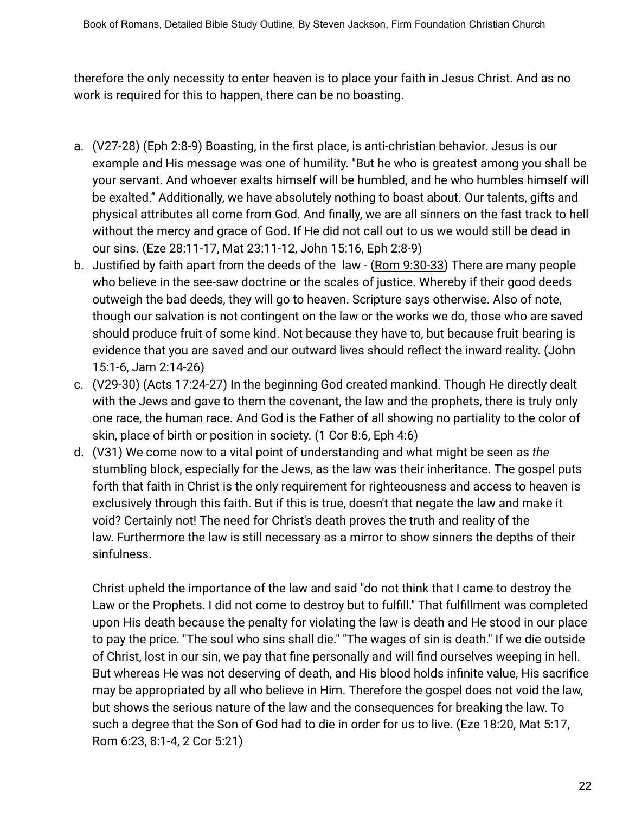therefore the only necessity to enter heaven is to place your faith in Jesus Christ. And as no work is required for this to happen, there can be no boasting.

- a. (V27-28) (Eph 2:8-9) Boasting, in the first place, is anti-christian behavior. Jesus is our example and His message was one of humility. "But he who is greatest among you shall be your servant. And whoever exalts himself will be humbled, and he who humbles himself will be exalted." Additionally, we have absolutely nothing to boast about. Our talents, gifts and physical attributes all come from God. And finally, we are all sinners on the fast track to hell without the mercy and grace of God. If He did not call out to us we would still be dead in our sins. (Eze 28:11-17, Mat 23:11-12, John 15:16, Eph 2:8-9)
- b. Justified by faith apart from the deeds of the law (Rom 9:30-33) There are many people who believe in the see-saw doctrine or the scales of justice. Whereby if their good deeds outweigh the bad deeds, they will go to heaven. Scripture says otherwise. Also of note, though our salvation is not contingent on the law or the works we do, those who are saved should produce fruit of some kind. Not because they have to, but because fruit bearing is evidence that you are saved and our outward lives should reflect the inward reality. (John 15:1-6, Jam 2:14-26)
- c. (V29-30) (Acts 17:24-27) In the beginning God created mankind. Though He directly dealt with the Jews and gave to them the covenant, the law and the prophets, there is truly only one race, the human race. And God is the Father of all showing no partiality to the color of skin, place of birth or position in society. (1 Cor 8:6, Eph 4:6)
- d. (V31) We come now to a vital point of understanding and what might be seen as *the* stumbling block, especially for the Jews, as the law was their inheritance. The gospel puts forth that faith in Christ is the only requirement for righteousness and access to heaven is exclusively through this faith. But if this is true, doesn't that negate the law and make it void? Certainly not! The need for Christ's death proves the truth and reality of the law. Furthermore the law is still necessary as a mirror to show sinners the depths of their sinfulness.

Christ upheld the importance of the law and said "do not think that I came to destroy the Law or the Prophets. I did not come to destroy but to fulfill." That fulfillment was completed upon His death because the penalty for violating the law is death and He stood in our place to pay the price. "The soul who sins shall die." "The wages of sin is death." If we die outside of Christ, lost in our sin, we pay that fine personally and will find ourselves weeping in hell. But whereas He was not deserving of death, and His blood holds infinite value, His sacrifice may be appropriated by all who believe in Him. Therefore the gospel does not void the law, but shows the serious nature of the law and the consequences for breaking the law. To such a degree that the Son of God had to die in order for us to live. (Eze 18:20, Mat 5:17, Rom 6:23, 8:1-4, 2 Cor 5:21)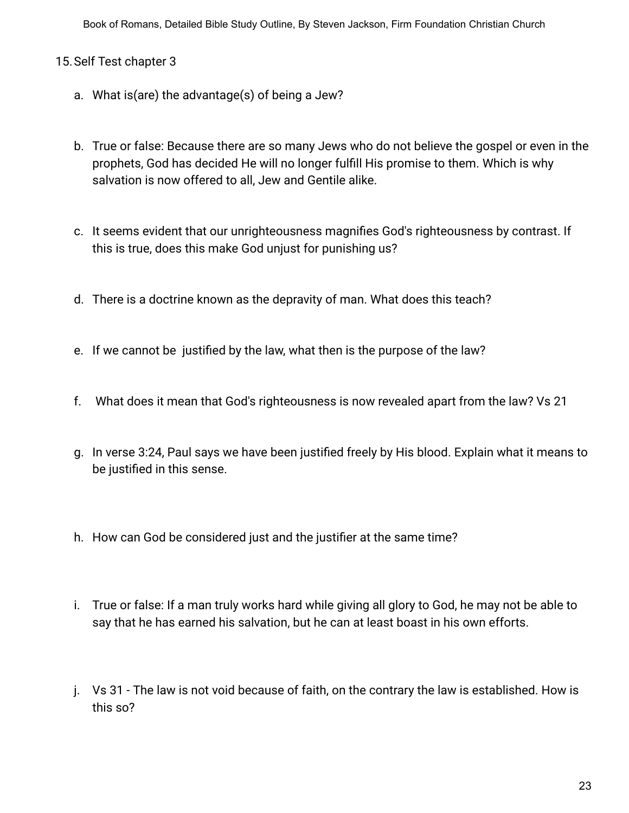## 15.Self Test chapter 3

- a. What is(are) the advantage(s) of being a Jew?
- b. True or false: Because there are so many Jews who do not believe the gospel or even in the prophets, God has decided He will no longer fulfill His promise to them. Which is why salvation is now offered to all, Jew and Gentile alike.
- c. It seems evident that our unrighteousness magnifies God's righteousness by contrast. If this is true, does this make God unjust for punishing us?
- d. There is a doctrine known as the depravity of man. What does this teach?
- e. If we cannot be justified by the law, what then is the purpose of the law?
- f. What does it mean that God's righteousness is now revealed apart from the law? Vs 21
- g. In verse 3:24, Paul says we have been justified freely by His blood. Explain what it means to be justified in this sense.
- h. How can God be considered just and the justifier at the same time?
- i. True or false: If a man truly works hard while giving all glory to God, he may not be able to say that he has earned his salvation, but he can at least boast in his own efforts.
- j. Vs 31 The law is not void because of faith, on the contrary the law is established. How is this so?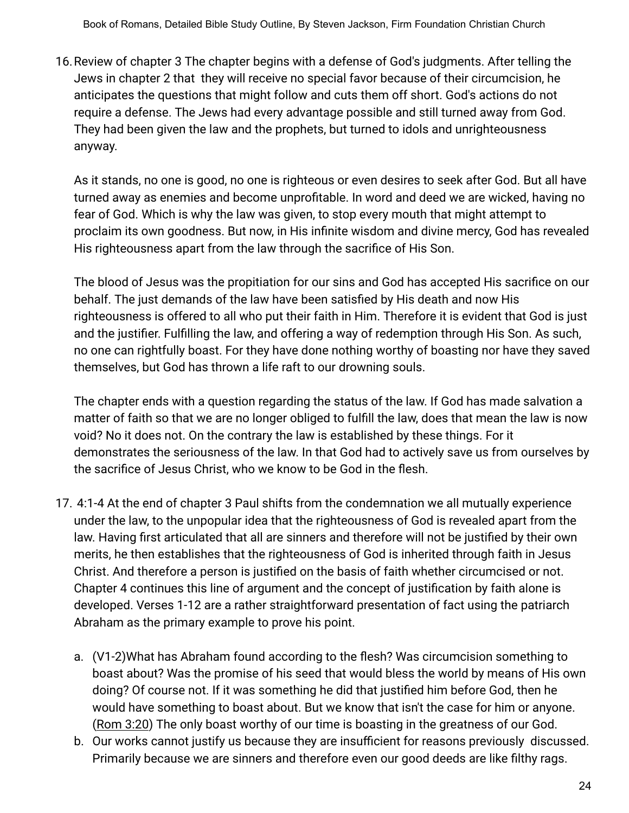16.Review of chapter 3 The chapter begins with a defense of God's judgments. After telling the Jews in chapter 2 that they will receive no special favor because of their circumcision, he anticipates the questions that might follow and cuts them off short. God's actions do not require a defense. The Jews had every advantage possible and still turned away from God. They had been given the law and the prophets, but turned to idols and unrighteousness anyway.

As it stands, no one is good, no one is righteous or even desires to seek after God. But all have turned away as enemies and become unprofitable. In word and deed we are wicked, having no fear of God. Which is why the law was given, to stop every mouth that might attempt to proclaim its own goodness. But now, in His infinite wisdom and divine mercy, God has revealed His righteousness apart from the law through the sacrifice of His Son.

The blood of Jesus was the propitiation for our sins and God has accepted His sacrifice on our behalf. The just demands of the law have been satisfied by His death and now His righteousness is offered to all who put their faith in Him. Therefore it is evident that God is just and the justifier. Fulfilling the law, and offering a way of redemption through His Son. As such, no one can rightfully boast. For they have done nothing worthy of boasting nor have they saved themselves, but God has thrown a life raft to our drowning souls.

The chapter ends with a question regarding the status of the law. If God has made salvation a matter of faith so that we are no longer obliged to fulfill the law, does that mean the law is now void? No it does not. On the contrary the law is established by these things. For it demonstrates the seriousness of the law. In that God had to actively save us from ourselves by the sacrifice of Jesus Christ, who we know to be God in the flesh.

- 17. 4:1-4 At the end of chapter 3 Paul shifts from the condemnation we all mutually experience under the law, to the unpopular idea that the righteousness of God is revealed apart from the law. Having first articulated that all are sinners and therefore will not be justified by their own merits, he then establishes that the righteousness of God is inherited through faith in Jesus Christ. And therefore a person is justified on the basis of faith whether circumcised or not. Chapter 4 continues this line of argument and the concept of justification by faith alone is developed. Verses 1-12 are a rather straightforward presentation of fact using the patriarch Abraham as the primary example to prove his point.
	- a. (V1-2)What has Abraham found according to the flesh? Was circumcision something to boast about? Was the promise of his seed that would bless the world by means of His own doing? Of course not. If it was something he did that justified him before God, then he would have something to boast about. But we know that isn't the case for him or anyone. (Rom 3:20) The only boast worthy of our time is boasting in the greatness of our God.
	- b. Our works cannot justify us because they are insufficient for reasons previously discussed. Primarily because we are sinners and therefore even our good deeds are like filthy rags.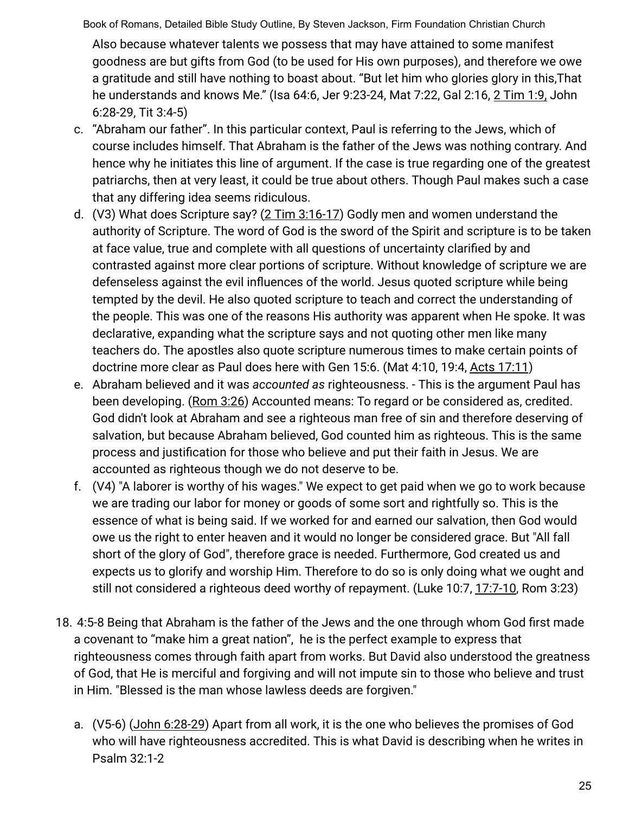Also because whatever talents we possess that may have attained to some manifest goodness are but gifts from God (to be used for His own purposes), and therefore we owe a gratitude and still have nothing to boast about. "But let him who glories glory in this,That he understands and knows Me." (Isa 64:6, Jer 9:23-24, Mat 7:22, Gal 2:16, 2 Tim 1:9, John 6:28-29, Tit 3:4-5)

- c. "Abraham our father". In this particular context, Paul is referring to the Jews, which of course includes himself. That Abraham is the father of the Jews was nothing contrary. And hence why he initiates this line of argument. If the case is true regarding one of the greatest patriarchs, then at very least, it could be true about others. Though Paul makes such a case that any differing idea seems ridiculous.
- d. (V3) What does Scripture say? (2 Tim 3:16-17) Godly men and women understand the authority of Scripture. The word of God is the sword of the Spirit and scripture is to be taken at face value, true and complete with all questions of uncertainty clarified by and contrasted against more clear portions of scripture. Without knowledge of scripture we are defenseless against the evil influences of the world. Jesus quoted scripture while being tempted by the devil. He also quoted scripture to teach and correct the understanding of the people. This was one of the reasons His authority was apparent when He spoke. It was declarative, expanding what the scripture says and not quoting other men like many teachers do. The apostles also quote scripture numerous times to make certain points of doctrine more clear as Paul does here with Gen 15:6. (Mat 4:10, 19:4, Acts 17:11)
- e. Abraham believed and it was *accounted as* righteousness. This is the argument Paul has been developing. (Rom 3:26) Accounted means: To regard or be considered as, credited. God didn't look at Abraham and see a righteous man free of sin and therefore deserving of salvation, but because Abraham believed, God counted him as righteous. This is the same process and justification for those who believe and put their faith in Jesus. We are accounted as righteous though we do not deserve to be.
- f. (V4) "A laborer is worthy of his wages." We expect to get paid when we go to work because we are trading our labor for money or goods of some sort and rightfully so. This is the essence of what is being said. If we worked for and earned our salvation, then God would owe us the right to enter heaven and it would no longer be considered grace. But "All fall short of the glory of God", therefore grace is needed. Furthermore, God created us and expects us to glorify and worship Him. Therefore to do so is only doing what we ought and still not considered a righteous deed worthy of repayment. (Luke 10:7, 17:7-10, Rom 3:23)
- 18. 4:5-8 Being that Abraham is the father of the Jews and the one through whom God first made a covenant to "make him a great nation", he is the perfect example to express that righteousness comes through faith apart from works. But David also understood the greatness of God, that He is merciful and forgiving and will not impute sin to those who believe and trust in Him. "Blessed is the man whose lawless deeds are forgiven."
	- a. (V5-6) (John 6:28-29) Apart from all work, it is the one who believes the promises of God who will have righteousness accredited. This is what David is describing when he writes in Psalm 32:1-2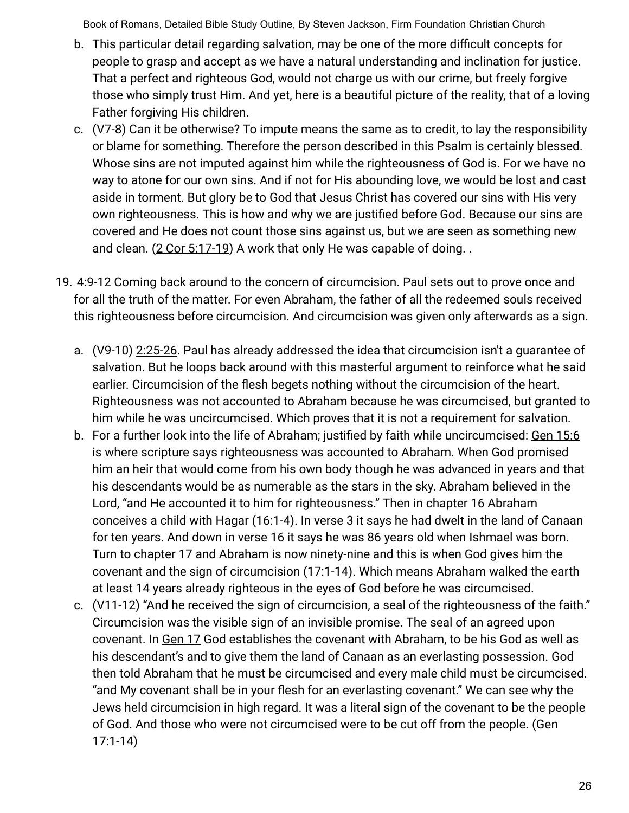- b. This particular detail regarding salvation, may be one of the more difficult concepts for people to grasp and accept as we have a natural understanding and inclination for justice. That a perfect and righteous God, would not charge us with our crime, but freely forgive those who simply trust Him. And yet, here is a beautiful picture of the reality, that of a loving Father forgiving His children.
- c. (V7-8) Can it be otherwise? To impute means the same as to credit, to lay the responsibility or blame for something. Therefore the person described in this Psalm is certainly blessed. Whose sins are not imputed against him while the righteousness of God is. For we have no way to atone for our own sins. And if not for His abounding love, we would be lost and cast aside in torment. But glory be to God that Jesus Christ has covered our sins with His very own righteousness. This is how and why we are justified before God. Because our sins are covered and He does not count those sins against us, but we are seen as something new and clean.  $(2$  Cor 5:17-19) A work that only He was capable of doing..
- 19. 4:9-12 Coming back around to the concern of circumcision. Paul sets out to prove once and for all the truth of the matter. For even Abraham, the father of all the redeemed souls received this righteousness before circumcision. And circumcision was given only afterwards as a sign.
	- a. (V9-10) 2:25-26. Paul has already addressed the idea that circumcision isn't a guarantee of salvation. But he loops back around with this masterful argument to reinforce what he said earlier. Circumcision of the flesh begets nothing without the circumcision of the heart. Righteousness was not accounted to Abraham because he was circumcised, but granted to him while he was uncircumcised. Which proves that it is not a requirement for salvation.
	- b. For a further look into the life of Abraham; justified by faith while uncircumcised: Gen 15:6 is where scripture says righteousness was accounted to Abraham. When God promised him an heir that would come from his own body though he was advanced in years and that his descendants would be as numerable as the stars in the sky. Abraham believed in the Lord, "and He accounted it to him for righteousness." Then in chapter 16 Abraham conceives a child with Hagar (16:1-4). In verse 3 it says he had dwelt in the land of Canaan for ten years. And down in verse 16 it says he was 86 years old when Ishmael was born. Turn to chapter 17 and Abraham is now ninety-nine and this is when God gives him the covenant and the sign of circumcision (17:1-14). Which means Abraham walked the earth at least 14 years already righteous in the eyes of God before he was circumcised.
	- c. (V11-12) "And he received the sign of circumcision, a seal of the righteousness of the faith." Circumcision was the visible sign of an invisible promise. The seal of an agreed upon covenant. In Gen 17 God establishes the covenant with Abraham, to be his God as well as his descendant's and to give them the land of Canaan as an everlasting possession. God then told Abraham that he must be circumcised and every male child must be circumcised. "and My covenant shall be in your flesh for an everlasting covenant." We can see why the Jews held circumcision in high regard. It was a literal sign of the covenant to be the people of God. And those who were not circumcised were to be cut off from the people. (Gen 17:1-14)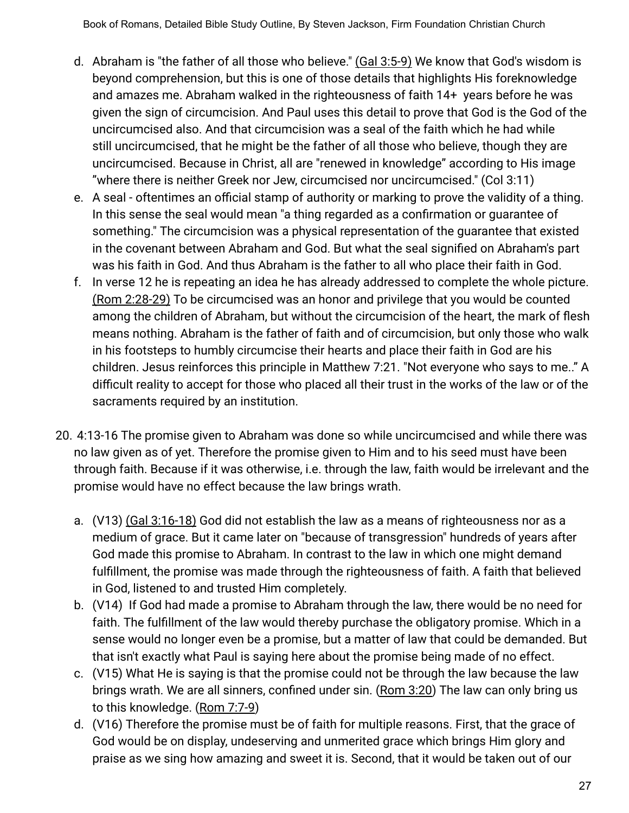- d. Abraham is "the father of all those who believe." (Gal 3:5-9) We know that God's wisdom is beyond comprehension, but this is one of those details that highlights His foreknowledge and amazes me. Abraham walked in the righteousness of faith 14+ years before he was given the sign of circumcision. And Paul uses this detail to prove that God is the God of the uncircumcised also. And that circumcision was a seal of the faith which he had while still uncircumcised, that he might be the father of all those who believe, though they are uncircumcised. Because in Christ, all are "renewed in knowledge" according to His image "where there is neither Greek nor Jew, circumcised nor uncircumcised." (Col 3:11)
- e. A seal oftentimes an official stamp of authority or marking to prove the validity of a thing. In this sense the seal would mean "a thing regarded as a confirmation or guarantee of something." The circumcision was a physical representation of the guarantee that existed in the covenant between Abraham and God. But what the seal signified on Abraham's part was his faith in God. And thus Abraham is the father to all who place their faith in God.
- f. In verse 12 he is repeating an idea he has already addressed to complete the whole picture. (Rom 2:28-29) To be circumcised was an honor and privilege that you would be counted among the children of Abraham, but without the circumcision of the heart, the mark of flesh means nothing. Abraham is the father of faith and of circumcision, but only those who walk in his footsteps to humbly circumcise their hearts and place their faith in God are his children. Jesus reinforces this principle in Matthew 7:21. "Not everyone who says to me.." A difficult reality to accept for those who placed all their trust in the works of the law or of the sacraments required by an institution.
- 20. 4:13-16 The promise given to Abraham was done so while uncircumcised and while there was no law given as of yet. Therefore the promise given to Him and to his seed must have been through faith. Because if it was otherwise, i.e. through the law, faith would be irrelevant and the promise would have no effect because the law brings wrath.
	- a. (V13) (Gal 3:16-18) God did not establish the law as a means of righteousness nor as a medium of grace. But it came later on "because of transgression" hundreds of years after God made this promise to Abraham. In contrast to the law in which one might demand fulfillment, the promise was made through the righteousness of faith. A faith that believed in God, listened to and trusted Him completely.
	- b. (V14) If God had made a promise to Abraham through the law, there would be no need for faith. The fulfillment of the law would thereby purchase the obligatory promise. Which in a sense would no longer even be a promise, but a matter of law that could be demanded. But that isn't exactly what Paul is saying here about the promise being made of no effect.
	- c. (V15) What He is saying is that the promise could not be through the law because the law brings wrath. We are all sinners, confined under sin. (Rom 3:20) The law can only bring us to this knowledge. (Rom 7:7-9)
	- d. (V16) Therefore the promise must be of faith for multiple reasons. First, that the grace of God would be on display, undeserving and unmerited grace which brings Him glory and praise as we sing how amazing and sweet it is. Second, that it would be taken out of our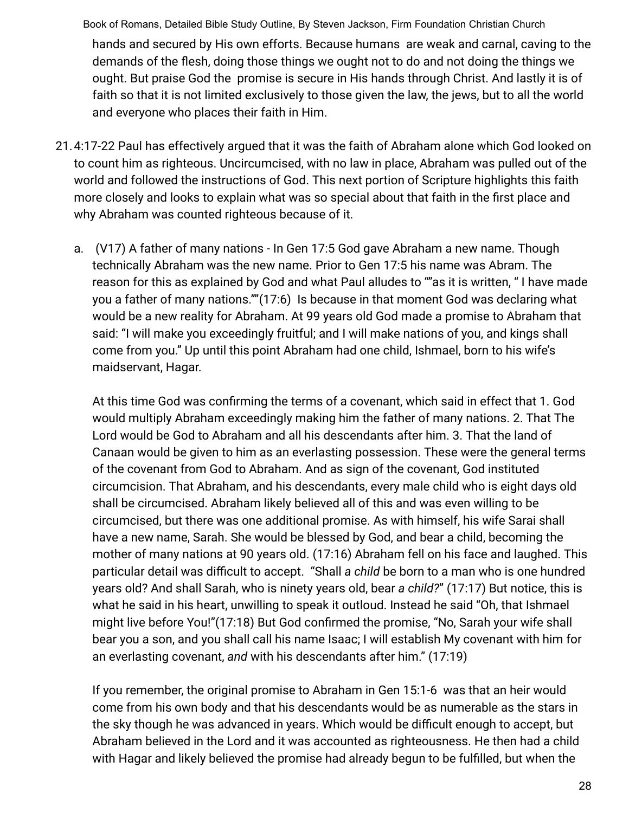Book of Romans, Detailed Bible Study Outline, By Steven Jackson, Firm Foundation Christian Church hands and secured by His own efforts. Because humans are weak and carnal, caving to the demands of the flesh, doing those things we ought not to do and not doing the things we ought. But praise God the promise is secure in His hands through Christ. And lastly it is of faith so that it is not limited exclusively to those given the law, the jews, but to all the world and everyone who places their faith in Him.

- 21.4:17-22 Paul has effectively argued that it was the faith of Abraham alone which God looked on to count him as righteous. Uncircumcised, with no law in place, Abraham was pulled out of the world and followed the instructions of God. This next portion of Scripture highlights this faith more closely and looks to explain what was so special about that faith in the first place and why Abraham was counted righteous because of it.
	- a. (V17) A father of many nations In Gen 17:5 God gave Abraham a new name. Though technically Abraham was the new name. Prior to Gen 17:5 his name was Abram. The reason for this as explained by God and what Paul alludes to ""as it is written, " I have made you a father of many nations.""(17:6) Is because in that moment God was declaring what would be a new reality for Abraham. At 99 years old God made a promise to Abraham that said: "I will make you exceedingly fruitful; and I will make nations of you, and kings shall come from you." Up until this point Abraham had one child, Ishmael, born to his wife's maidservant, Hagar.

At this time God was confirming the terms of a covenant, which said in effect that 1. God would multiply Abraham exceedingly making him the father of many nations. 2. That The Lord would be God to Abraham and all his descendants after him. 3. That the land of Canaan would be given to him as an everlasting possession. These were the general terms of the covenant from God to Abraham. And as sign of the covenant, God instituted circumcision. That Abraham, and his descendants, every male child who is eight days old shall be circumcised. Abraham likely believed all of this and was even willing to be circumcised, but there was one additional promise. As with himself, his wife Sarai shall have a new name, Sarah. She would be blessed by God, and bear a child, becoming the mother of many nations at 90 years old. (17:16) Abraham fell on his face and laughed. This particular detail was difficult to accept. "Shall *a child* be born to a man who is one hundred years old? And shall Sarah, who is ninety years old, bear *a child?*" (17:17) But notice, this is what he said in his heart, unwilling to speak it outloud. Instead he said "Oh, that Ishmael might live before You!"(17:18) But God confirmed the promise, "No, Sarah your wife shall bear you a son, and you shall call his name Isaac; I will establish My covenant with him for an everlasting covenant, *and* with his descendants after him." (17:19)

If you remember, the original promise to Abraham in Gen 15:1-6 was that an heir would come from his own body and that his descendants would be as numerable as the stars in the sky though he was advanced in years. Which would be difficult enough to accept, but Abraham believed in the Lord and it was accounted as righteousness. He then had a child with Hagar and likely believed the promise had already begun to be fulfilled, but when the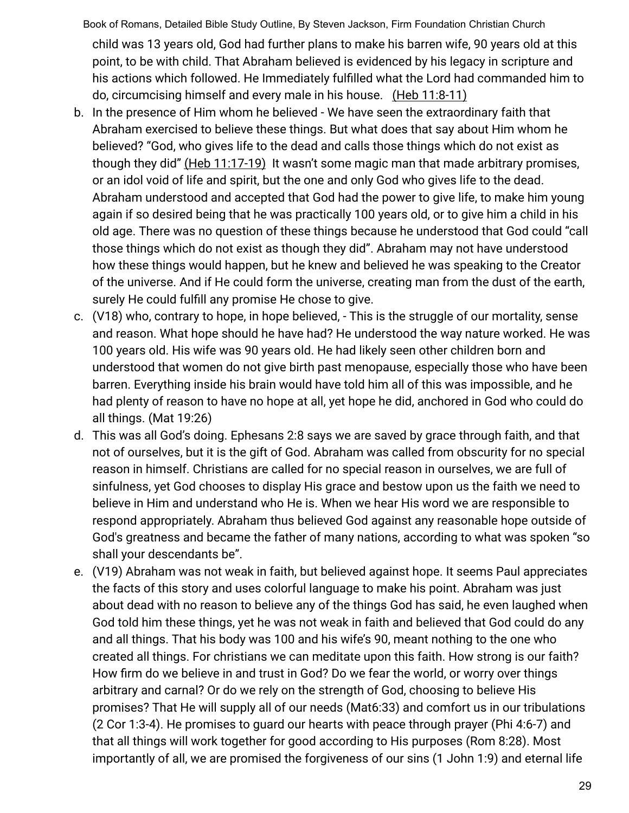Book of Romans, Detailed Bible Study Outline, By Steven Jackson, Firm Foundation Christian Church child was 13 years old, God had further plans to make his barren wife, 90 years old at this point, to be with child. That Abraham believed is evidenced by his legacy in scripture and his actions which followed. He Immediately fulfilled what the Lord had commanded him to do, circumcising himself and every male in his house. (Heb 11:8-11)

- b. In the presence of Him whom he believed We have seen the extraordinary faith that Abraham exercised to believe these things. But what does that say about Him whom he believed? "God, who gives life to the dead and calls those things which do not exist as though they did" (Heb 11:17-19) It wasn't some magic man that made arbitrary promises, or an idol void of life and spirit, but the one and only God who gives life to the dead. Abraham understood and accepted that God had the power to give life, to make him young again if so desired being that he was practically 100 years old, or to give him a child in his old age. There was no question of these things because he understood that God could "call those things which do not exist as though they did". Abraham may not have understood how these things would happen, but he knew and believed he was speaking to the Creator of the universe. And if He could form the universe, creating man from the dust of the earth, surely He could fulfill any promise He chose to give.
- c. (V18) who, contrary to hope, in hope believed, This is the struggle of our mortality, sense and reason. What hope should he have had? He understood the way nature worked. He was 100 years old. His wife was 90 years old. He had likely seen other children born and understood that women do not give birth past menopause, especially those who have been barren. Everything inside his brain would have told him all of this was impossible, and he had plenty of reason to have no hope at all, yet hope he did, anchored in God who could do all things. (Mat 19:26)
- d. This was all God's doing. Ephesans 2:8 says we are saved by grace through faith, and that not of ourselves, but it is the gift of God. Abraham was called from obscurity for no special reason in himself. Christians are called for no special reason in ourselves, we are full of sinfulness, yet God chooses to display His grace and bestow upon us the faith we need to believe in Him and understand who He is. When we hear His word we are responsible to respond appropriately. Abraham thus believed God against any reasonable hope outside of God's greatness and became the father of many nations, according to what was spoken "so shall your descendants be".
- e. (V19) Abraham was not weak in faith, but believed against hope. It seems Paul appreciates the facts of this story and uses colorful language to make his point. Abraham was just about dead with no reason to believe any of the things God has said, he even laughed when God told him these things, yet he was not weak in faith and believed that God could do any and all things. That his body was 100 and his wife's 90, meant nothing to the one who created all things. For christians we can meditate upon this faith. How strong is our faith? How firm do we believe in and trust in God? Do we fear the world, or worry over things arbitrary and carnal? Or do we rely on the strength of God, choosing to believe His promises? That He will supply all of our needs (Mat6:33) and comfort us in our tribulations (2 Cor 1:3-4). He promises to guard our hearts with peace through prayer (Phi 4:6-7) and that all things will work together for good according to His purposes (Rom 8:28). Most importantly of all, we are promised the forgiveness of our sins (1 John 1:9) and eternal life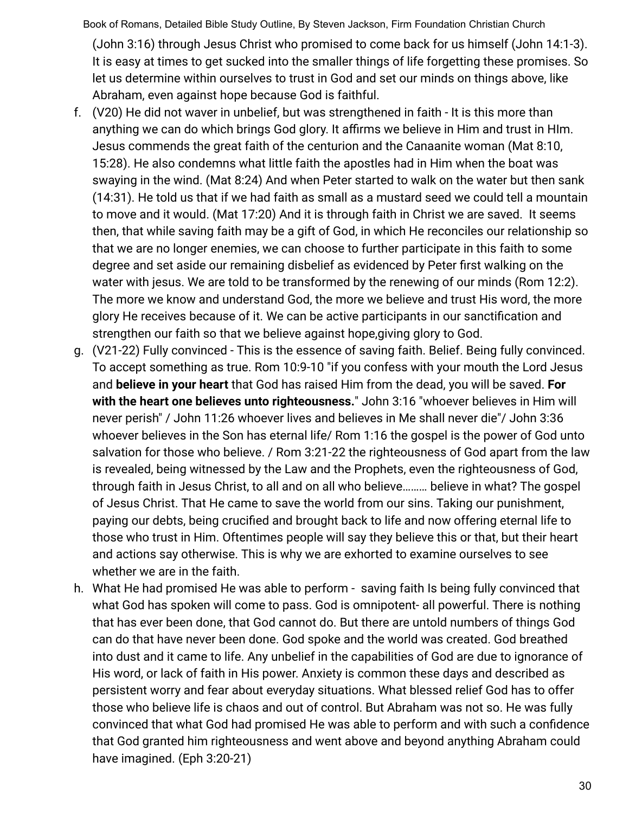Book of Romans, Detailed Bible Study Outline, By Steven Jackson, Firm Foundation Christian Church (John 3:16) through Jesus Christ who promised to come back for us himself (John 14:1-3). It is easy at times to get sucked into the smaller things of life forgetting these promises. So let us determine within ourselves to trust in God and set our minds on things above, like Abraham, even against hope because God is faithful.

- f. (V20) He did not waver in unbelief, but was strengthened in faith It is this more than anything we can do which brings God glory. It affirms we believe in Him and trust in HIm. Jesus commends the great faith of the centurion and the Canaanite woman (Mat 8:10, 15:28). He also condemns what little faith the apostles had in Him when the boat was swaying in the wind. (Mat 8:24) And when Peter started to walk on the water but then sank (14:31). He told us that if we had faith as small as a mustard seed we could tell a mountain to move and it would. (Mat 17:20) And it is through faith in Christ we are saved. It seems then, that while saving faith may be a gift of God, in which He reconciles our relationship so that we are no longer enemies, we can choose to further participate in this faith to some degree and set aside our remaining disbelief as evidenced by Peter first walking on the water with jesus. We are told to be transformed by the renewing of our minds (Rom 12:2). The more we know and understand God, the more we believe and trust His word, the more glory He receives because of it. We can be active participants in our sanctification and strengthen our faith so that we believe against hope,giving glory to God.
- g. (V21-22) Fully convinced This is the essence of saving faith. Belief. Being fully convinced. To accept something as true. Rom 10:9-10 "if you confess with your mouth the Lord Jesus and **believe in your heart** that God has raised Him from the dead, you will be saved. **For with the heart one believes unto righteousness.**" John 3:16 "whoever believes in Him will never perish" / John 11:26 whoever lives and believes in Me shall never die"/ John 3:36 whoever believes in the Son has eternal life/ Rom 1:16 the gospel is the power of God unto salvation for those who believe. / Rom 3:21-22 the righteousness of God apart from the law is revealed, being witnessed by the Law and the Prophets, even the righteousness of God, through faith in Jesus Christ, to all and on all who believe……… believe in what? The gospel of Jesus Christ. That He came to save the world from our sins. Taking our punishment, paying our debts, being crucified and brought back to life and now offering eternal life to those who trust in Him. Oftentimes people will say they believe this or that, but their heart and actions say otherwise. This is why we are exhorted to examine ourselves to see whether we are in the faith.
- h. What He had promised He was able to perform saving faith Is being fully convinced that what God has spoken will come to pass. God is omnipotent- all powerful. There is nothing that has ever been done, that God cannot do. But there are untold numbers of things God can do that have never been done. God spoke and the world was created. God breathed into dust and it came to life. Any unbelief in the capabilities of God are due to ignorance of His word, or lack of faith in His power. Anxiety is common these days and described as persistent worry and fear about everyday situations. What blessed relief God has to offer those who believe life is chaos and out of control. But Abraham was not so. He was fully convinced that what God had promised He was able to perform and with such a confidence that God granted him righteousness and went above and beyond anything Abraham could have imagined. (Eph 3:20-21)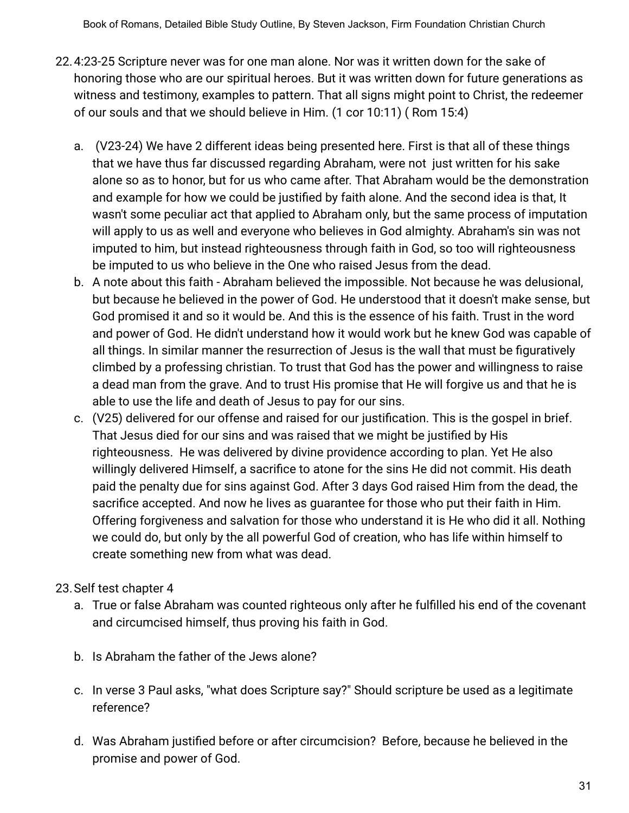- 22.4:23-25 Scripture never was for one man alone. Nor was it written down for the sake of honoring those who are our spiritual heroes. But it was written down for future generations as witness and testimony, examples to pattern. That all signs might point to Christ, the redeemer of our souls and that we should believe in Him. (1 cor 10:11) ( Rom 15:4)
	- a. (V23-24) We have 2 different ideas being presented here. First is that all of these things that we have thus far discussed regarding Abraham, were not just written for his sake alone so as to honor, but for us who came after. That Abraham would be the demonstration and example for how we could be justified by faith alone. And the second idea is that, It wasn't some peculiar act that applied to Abraham only, but the same process of imputation will apply to us as well and everyone who believes in God almighty. Abraham's sin was not imputed to him, but instead righteousness through faith in God, so too will righteousness be imputed to us who believe in the One who raised Jesus from the dead.
	- b. A note about this faith Abraham believed the impossible. Not because he was delusional, but because he believed in the power of God. He understood that it doesn't make sense, but God promised it and so it would be. And this is the essence of his faith. Trust in the word and power of God. He didn't understand how it would work but he knew God was capable of all things. In similar manner the resurrection of Jesus is the wall that must be figuratively climbed by a professing christian. To trust that God has the power and willingness to raise a dead man from the grave. And to trust His promise that He will forgive us and that he is able to use the life and death of Jesus to pay for our sins.
	- c. (V25) delivered for our offense and raised for our justification. This is the gospel in brief. That Jesus died for our sins and was raised that we might be justified by His righteousness. He was delivered by divine providence according to plan. Yet He also willingly delivered Himself, a sacrifice to atone for the sins He did not commit. His death paid the penalty due for sins against God. After 3 days God raised Him from the dead, the sacrifice accepted. And now he lives as guarantee for those who put their faith in Him. Offering forgiveness and salvation for those who understand it is He who did it all. Nothing we could do, but only by the all powerful God of creation, who has life within himself to create something new from what was dead.

## 23.Self test chapter 4

- a. True or false Abraham was counted righteous only after he fulfilled his end of the covenant and circumcised himself, thus proving his faith in God.
- b. Is Abraham the father of the Jews alone?
- c. In verse 3 Paul asks, "what does Scripture say?" Should scripture be used as a legitimate reference?
- d. Was Abraham justified before or after circumcision? Before, because he believed in the promise and power of God.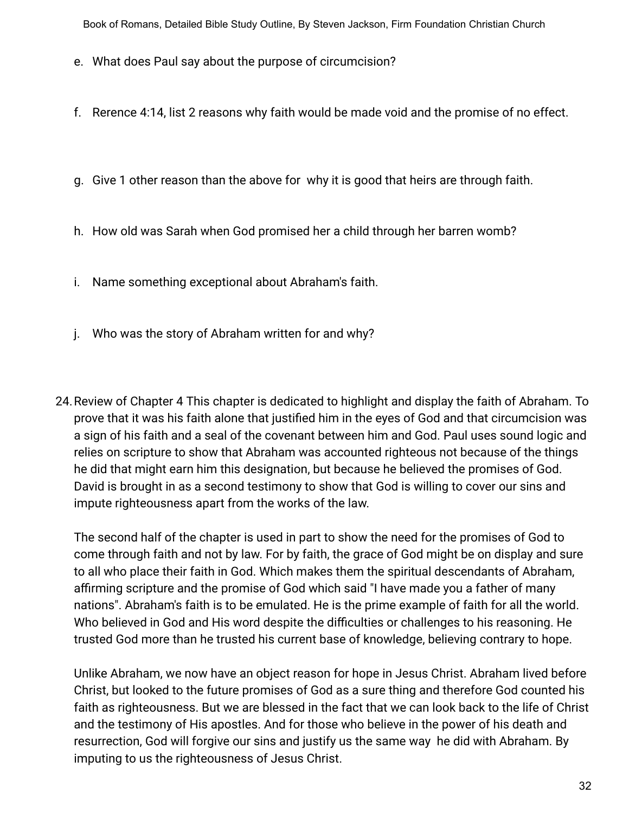- e. What does Paul say about the purpose of circumcision?
- f. Rerence 4:14, list 2 reasons why faith would be made void and the promise of no effect.
- g. Give 1 other reason than the above for why it is good that heirs are through faith.
- h. How old was Sarah when God promised her a child through her barren womb?
- i. Name something exceptional about Abraham's faith.
- j. Who was the story of Abraham written for and why?
- 24.Review of Chapter 4 This chapter is dedicated to highlight and display the faith of Abraham. To prove that it was his faith alone that justified him in the eyes of God and that circumcision was a sign of his faith and a seal of the covenant between him and God. Paul uses sound logic and relies on scripture to show that Abraham was accounted righteous not because of the things he did that might earn him this designation, but because he believed the promises of God. David is brought in as a second testimony to show that God is willing to cover our sins and impute righteousness apart from the works of the law.

The second half of the chapter is used in part to show the need for the promises of God to come through faith and not by law. For by faith, the grace of God might be on display and sure to all who place their faith in God. Which makes them the spiritual descendants of Abraham, affirming scripture and the promise of God which said "I have made you a father of many nations". Abraham's faith is to be emulated. He is the prime example of faith for all the world. Who believed in God and His word despite the difficulties or challenges to his reasoning. He trusted God more than he trusted his current base of knowledge, believing contrary to hope.

Unlike Abraham, we now have an object reason for hope in Jesus Christ. Abraham lived before Christ, but looked to the future promises of God as a sure thing and therefore God counted his faith as righteousness. But we are blessed in the fact that we can look back to the life of Christ and the testimony of His apostles. And for those who believe in the power of his death and resurrection, God will forgive our sins and justify us the same way he did with Abraham. By imputing to us the righteousness of Jesus Christ.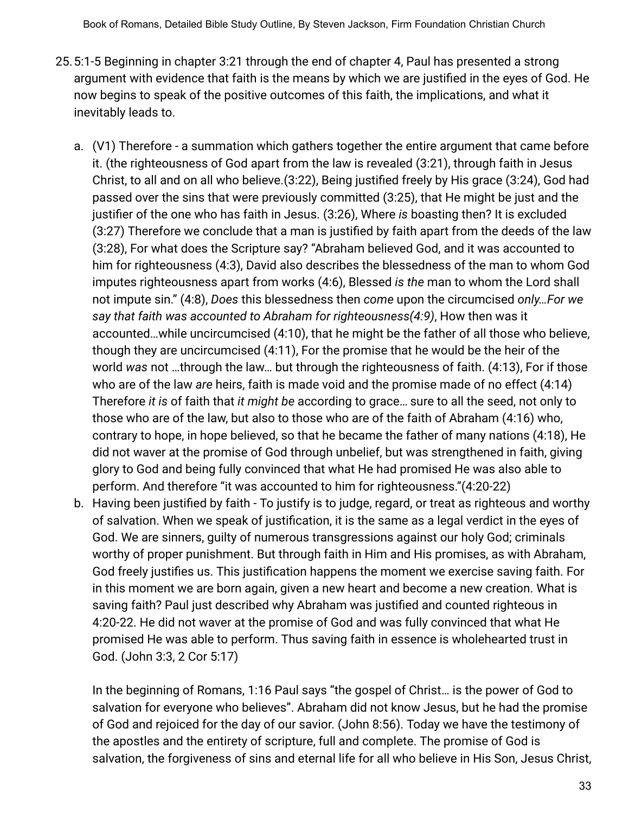- 25.5:1-5 Beginning in chapter 3:21 through the end of chapter 4, Paul has presented a strong argument with evidence that faith is the means by which we are justified in the eyes of God. He now begins to speak of the positive outcomes of this faith, the implications, and what it inevitably leads to.
	- a. (V1) Therefore a summation which gathers together the entire argument that came before it. (the righteousness of God apart from the law is revealed (3:21), through faith in Jesus Christ, to all and on all who believe.(3:22), Being justified freely by His grace (3:24), God had passed over the sins that were previously committed (3:25), that He might be just and the justifier of the one who has faith in Jesus. (3:26), Where *is* boasting then? It is excluded (3:27) Therefore we conclude that a man is justified by faith apart from the deeds of the law (3:28), For what does the Scripture say? "Abraham believed God, and it was accounted to him for righteousness (4:3), David also describes the blessedness of the man to whom God imputes righteousness apart from works (4:6), Blessed *is the* man to whom the Lord shall not impute sin." (4:8), *Does* this blessedness then *come* upon the circumcised *only…For we say that faith was accounted to Abraham for righteousness(4:9)*, How then was it accounted…while uncircumcised (4:10), that he might be the father of all those who believe, though they are uncircumcised (4:11), For the promise that he would be the heir of the world *was* not …through the law… but through the righteousness of faith. (4:13), For if those who are of the law *are* heirs, faith is made void and the promise made of no effect (4:14) Therefore *it is* of faith that *it might be* according to grace… sure to all the seed, not only to those who are of the law, but also to those who are of the faith of Abraham (4:16) who, contrary to hope, in hope believed, so that he became the father of many nations (4:18), He did not waver at the promise of God through unbelief, but was strengthened in faith, giving glory to God and being fully convinced that what He had promised He was also able to perform. And therefore "it was accounted to him for righteousness."(4:20-22)
	- b. Having been justified by faith To justify is to judge, regard, or treat as [righteous](https://www.merriam-webster.com/dictionary/righteous) and worthy of salvation. When we speak of justification, it is the same as a legal verdict in the eyes of God. We are sinners, guilty of numerous transgressions against our holy God; criminals worthy of proper punishment. But through faith in Him and His promises, as with Abraham, God freely justifies us. This justification happens the moment we exercise saving faith. For in this moment we are born again, given a new heart and become a new creation. What is saving faith? Paul just described why Abraham was justified and counted righteous in 4:20-22. He did not waver at the promise of God and was fully convinced that what He promised He was able to perform. Thus saving faith in essence is wholehearted trust in God. (John 3:3, 2 Cor 5:17)

In the beginning of Romans, 1:16 Paul says "the gospel of Christ… is the power of God to salvation for everyone who believes". Abraham did not know Jesus, but he had the promise of God and rejoiced for the day of our savior. (John 8:56). Today we have the testimony of the apostles and the entirety of scripture, full and complete. The promise of God is salvation, the forgiveness of sins and eternal life for all who believe in His Son, Jesus Christ,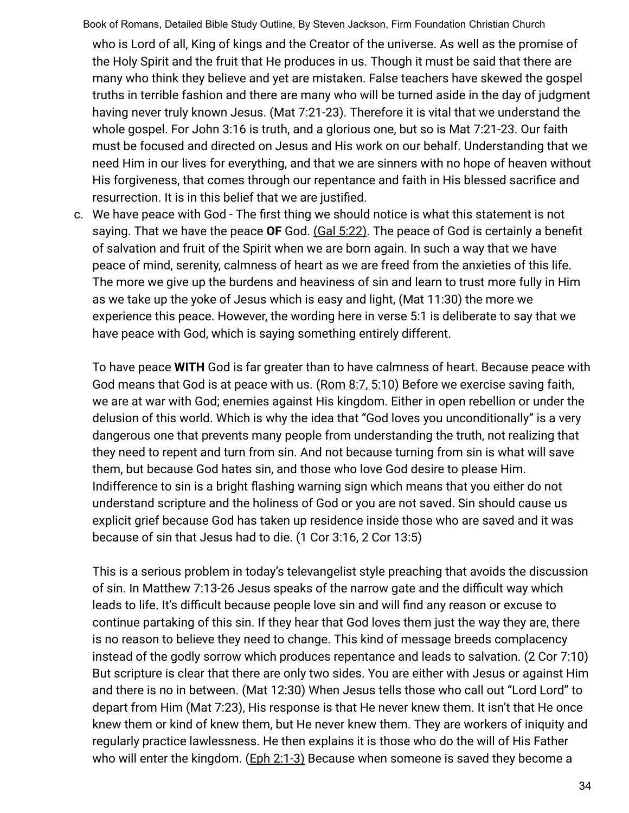who is Lord of all, King of kings and the Creator of the universe. As well as the promise of the Holy Spirit and the fruit that He produces in us. Though it must be said that there are many who think they believe and yet are mistaken. False teachers have skewed the gospel truths in terrible fashion and there are many who will be turned aside in the day of judgment having never truly known Jesus. (Mat 7:21-23). Therefore it is vital that we understand the whole gospel. For John 3:16 is truth, and a glorious one, but so is Mat 7:21-23. Our faith must be focused and directed on Jesus and His work on our behalf. Understanding that we need Him in our lives for everything, and that we are sinners with no hope of heaven without His forgiveness, that comes through our repentance and faith in His blessed sacrifice and resurrection. It is in this belief that we are justified.

c. We have peace with God - The first thing we should notice is what this statement is not saying. That we have the peace **OF** God. (Gal 5:22). The peace of God is certainly a benefit of salvation and fruit of the Spirit when we are born again. In such a way that we have peace of mind, serenity, calmness of heart as we are freed from the anxieties of this life. The more we give up the burdens and heaviness of sin and learn to trust more fully in Him as we take up the yoke of Jesus which is easy and light, (Mat 11:30) the more we experience this peace. However, the wording here in verse 5:1 is deliberate to say that we have peace with God, which is saying something entirely different.

To have peace **WITH** God is far greater than to have calmness of heart. Because peace with God means that God is at peace with us. (Rom 8:7, 5:10) Before we exercise saving faith, we are at war with God; enemies against His kingdom. Either in open rebellion or under the delusion of this world. Which is why the idea that "God loves you unconditionally" is a very dangerous one that prevents many people from understanding the truth, not realizing that they need to repent and turn from sin. And not because turning from sin is what will save them, but because God hates sin, and those who love God desire to please Him. Indifference to sin is a bright flashing warning sign which means that you either do not understand scripture and the holiness of God or you are not saved. Sin should cause us explicit grief because God has taken up residence inside those who are saved and it was because of sin that Jesus had to die. (1 Cor 3:16, 2 Cor 13:5)

This is a serious problem in today's televangelist style preaching that avoids the discussion of sin. In Matthew 7:13-26 Jesus speaks of the narrow gate and the difficult way which leads to life. It's difficult because people love sin and will find any reason or excuse to continue partaking of this sin. If they hear that God loves them just the way they are, there is no reason to believe they need to change. This kind of message breeds complacency instead of the godly sorrow which produces repentance and leads to salvation. (2 Cor 7:10) But scripture is clear that there are only two sides. You are either with Jesus or against Him and there is no in between. (Mat 12:30) When Jesus tells those who call out "Lord Lord" to depart from Him (Mat 7:23), His response is that He never knew them. It isn't that He once knew them or kind of knew them, but He never knew them. They are workers of iniquity and regularly practice lawlessness. He then explains it is those who do the will of His Father who will enter the kingdom. (Eph 2:1-3) Because when someone is saved they become a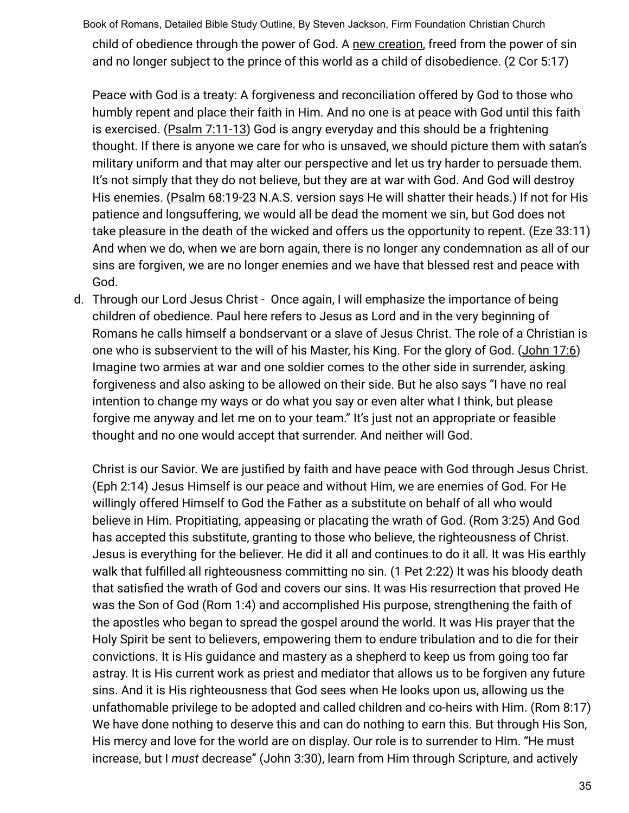Book of Romans, Detailed Bible Study Outline, By Steven Jackson, Firm Foundation Christian Church child of obedience through the power of God. A new creation, freed from the power of sin and no longer subject to the prince of this world as a child of disobedience. (2 Cor 5:17)

Peace with God is a treaty: A forgiveness and reconciliation offered by God to those who humbly repent and place their faith in Him. And no one is at peace with God until this faith is exercised. (Psalm 7:11-13) God is angry everyday and this should be a frightening thought. If there is anyone we care for who is unsaved, we should picture them with satan's military uniform and that may alter our perspective and let us try harder to persuade them. It's not simply that they do not believe, but they are at war with God. And God will destroy His enemies. (Psalm 68:19-23 N.A.S. version says He will shatter their heads.) If not for His patience and longsuffering, we would all be dead the moment we sin, but God does not take pleasure in the death of the wicked and offers us the opportunity to repent. (Eze 33:11) And when we do, when we are born again, there is no longer any condemnation as all of our sins are forgiven, we are no longer enemies and we have that blessed rest and peace with God.

d. Through our Lord Jesus Christ - Once again, I will emphasize the importance of being children of obedience. Paul here refers to Jesus as Lord and in the very beginning of Romans he calls himself a bondservant or a slave of Jesus Christ. The role of a Christian is one who is subservient to the will of his Master, his King. For the glory of God. (John 17:6) Imagine two armies at war and one soldier comes to the other side in surrender, asking forgiveness and also asking to be allowed on their side. But he also says "I have no real intention to change my ways or do what you say or even alter what I think, but please forgive me anyway and let me on to your team." It's just not an appropriate or feasible thought and no one would accept that surrender. And neither will God.

Christ is our Savior. We are justified by faith and have peace with God through Jesus Christ. (Eph 2:14) Jesus Himself is our peace and without Him, we are enemies of God. For He willingly offered Himself to God the Father as a substitute on behalf of all who would believe in Him. Propitiating, appeasing or placating the wrath of God. (Rom 3:25) And God has accepted this substitute, granting to those who believe, the righteousness of Christ. Jesus is everything for the believer. He did it all and continues to do it all. It was His earthly walk that fulfilled all righteousness committing no sin. (1 Pet 2:22) It was his bloody death that satisfied the wrath of God and covers our sins. It was His resurrection that proved He was the Son of God (Rom 1:4) and accomplished His purpose, strengthening the faith of the apostles who began to spread the gospel around the world. It was His prayer that the Holy Spirit be sent to believers, empowering them to endure tribulation and to die for their convictions. It is His guidance and mastery as a shepherd to keep us from going too far astray. It is His current work as priest and mediator that allows us to be forgiven any future sins. And it is His righteousness that God sees when He looks upon us, allowing us the unfathomable privilege to be adopted and called children and co-heirs with Him. (Rom 8:17) We have done nothing to deserve this and can do nothing to earn this. But through His Son, His mercy and love for the world are on display. Our role is to surrender to Him. "He must increase, but I *must* decrease" (John 3:30), learn from Him through Scripture, and actively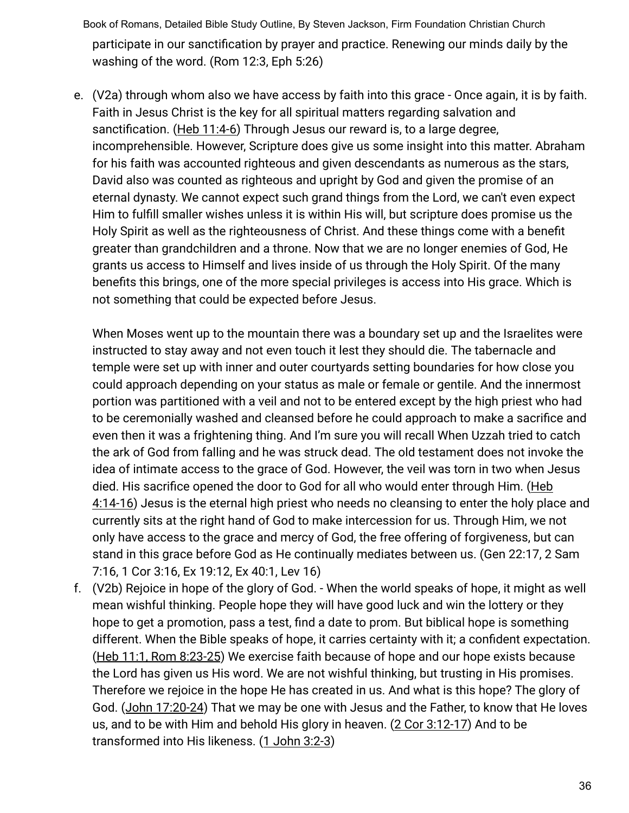Book of Romans, Detailed Bible Study Outline, By Steven Jackson, Firm Foundation Christian Church participate in our sanctification by prayer and practice. Renewing our minds daily by the washing of the word. (Rom 12:3, Eph 5:26)

e. (V2a) through whom also we have access by faith into this grace - Once again, it is by faith. Faith in Jesus Christ is the key for all spiritual matters regarding salvation and sanctification. (Heb 11:4-6) Through Jesus our reward is, to a large degree, incomprehensible. However, Scripture does give us some insight into this matter. Abraham for his faith was accounted righteous and given descendants as numerous as the stars, David also was counted as righteous and upright by God and given the promise of an eternal dynasty. We cannot expect such grand things from the Lord, we can't even expect Him to fulfill smaller wishes unless it is within His will, but scripture does promise us the Holy Spirit as well as the righteousness of Christ. And these things come with a benefit greater than grandchildren and a throne. Now that we are no longer enemies of God, He grants us access to Himself and lives inside of us through the Holy Spirit. Of the many benefits this brings, one of the more special privileges is access into His grace. Which is not something that could be expected before Jesus.

When Moses went up to the mountain there was a boundary set up and the Israelites were instructed to stay away and not even touch it lest they should die. The tabernacle and temple were set up with inner and outer courtyards setting boundaries for how close you could approach depending on your status as male or female or gentile. And the innermost portion was partitioned with a veil and not to be entered except by the high priest who had to be ceremonially washed and cleansed before he could approach to make a sacrifice and even then it was a frightening thing. And I'm sure you will recall When Uzzah tried to catch the ark of God from falling and he was struck dead. The old testament does not invoke the idea of intimate access to the grace of God. However, the veil was torn in two when Jesus died. His sacrifice opened the door to God for all who would enter through Him. (Heb 4:14-16) Jesus is the eternal high priest who needs no cleansing to enter the holy place and currently sits at the right hand of God to make intercession for us. Through Him, we not only have access to the grace and mercy of God, the free offering of forgiveness, but can stand in this grace before God as He continually mediates between us. (Gen 22:17, 2 Sam 7:16, 1 Cor 3:16, Ex 19:12, Ex 40:1, Lev 16)

f. (V2b) Rejoice in hope of the glory of God. - When the world speaks of hope, it might as well mean wishful thinking. People hope they will have good luck and win the lottery or they hope to get a promotion, pass a test, find a date to prom. But biblical hope is something different. When the Bible speaks of hope, it carries certainty with it; a confident expectation. (Heb 11:1, Rom 8:23-25) We exercise faith because of hope and our hope exists because the Lord has given us His word. We are not wishful thinking, but trusting in His promises. Therefore we rejoice in the hope He has created in us. And what is this hope? The glory of God. (John 17:20-24) That we may be one with Jesus and the Father, to know that He loves us, and to be with Him and behold His glory in heaven. (2 Cor 3:12-17) And to be transformed into His likeness. (1 John 3:2-3)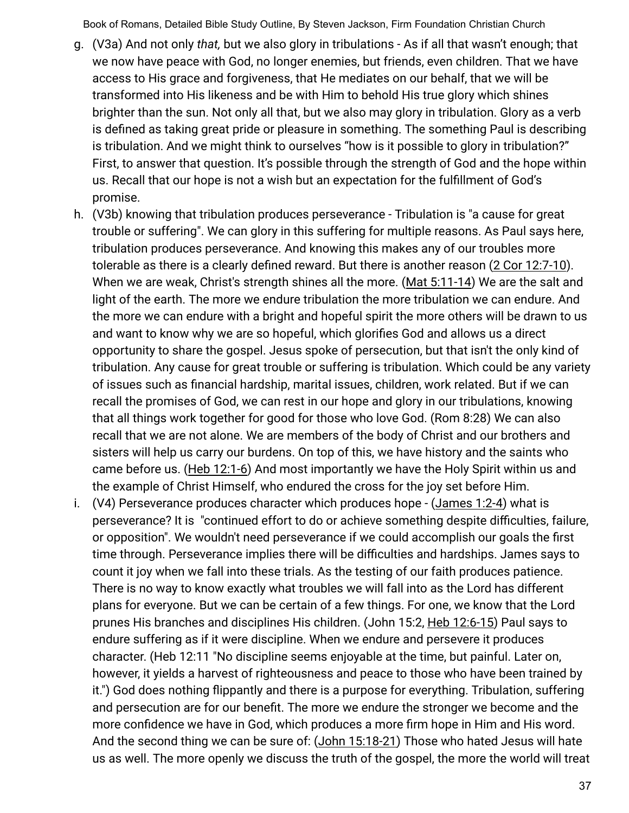- g. (V3a) And not only *that,* but we also glory in tribulations As if all that wasn't enough; that we now have peace with God, no longer enemies, but friends, even children. That we have access to His grace and forgiveness, that He mediates on our behalf, that we will be transformed into His likeness and be with Him to behold His true glory which shines brighter than the sun. Not only all that, but we also may glory in tribulation. Glory as a verb is defined as taking great pride or pleasure in something. The something Paul is describing is tribulation. And we might think to ourselves "how is it possible to glory in tribulation?" First, to answer that question. It's possible through the strength of God and the hope within us. Recall that our hope is not a wish but an expectation for the fulfillment of God's promise.
- h. (V3b) knowing that tribulation produces perseverance Tribulation is "a cause for great trouble or suffering". We can glory in this suffering for multiple reasons. As Paul says here, tribulation produces perseverance. And knowing this makes any of our troubles more tolerable as there is a clearly defined reward. But there is another reason (2 Cor 12:7-10). When we are weak, Christ's strength shines all the more. (Mat 5:11-14) We are the salt and light of the earth. The more we endure tribulation the more tribulation we can endure. And the more we can endure with a bright and hopeful spirit the more others will be drawn to us and want to know why we are so hopeful, which glorifies God and allows us a direct opportunity to share the gospel. Jesus spoke of persecution, but that isn't the only kind of tribulation. Any cause for great trouble or suffering is tribulation. Which could be any variety of issues such as financial hardship, marital issues, children, work related. But if we can recall the promises of God, we can rest in our hope and glory in our tribulations, knowing that all things work together for good for those who love God. (Rom 8:28) We can also recall that we are not alone. We are members of the body of Christ and our brothers and sisters will help us carry our burdens. On top of this, we have history and the saints who came before us. (Heb 12:1-6) And most importantly we have the Holy Spirit within us and the example of Christ Himself, who endured the cross for the joy set before Him.
- i. (V4) Perseverance produces character which produces hope (James 1:2-4) what is perseverance? It is "continued effort to do or achieve something despite difficulties, failure, or opposition". We wouldn't need perseverance if we could accomplish our goals the first time through. Perseverance implies there will be difficulties and hardships. James says to count it joy when we fall into these trials. As the testing of our faith produces patience. There is no way to know exactly what troubles we will fall into as the Lord has different plans for everyone. But we can be certain of a few things. For one, we know that the Lord prunes His branches and disciplines His children. (John 15:2, Heb 12:6-15) Paul says to endure suffering as if it were discipline. When we endure and persevere it produces character. (Heb 12:11 "No discipline seems enjoyable at the time, but painful. Later on, however, it yields a harvest of righteousness and peace to those who have been trained by it.") God does nothing flippantly and there is a purpose for everything. Tribulation, suffering and persecution are for our benefit. The more we endure the stronger we become and the more confidence we have in God, which produces a more firm hope in Him and His word. And the second thing we can be sure of: (John 15:18-21) Those who hated Jesus will hate us as well. The more openly we discuss the truth of the gospel, the more the world will treat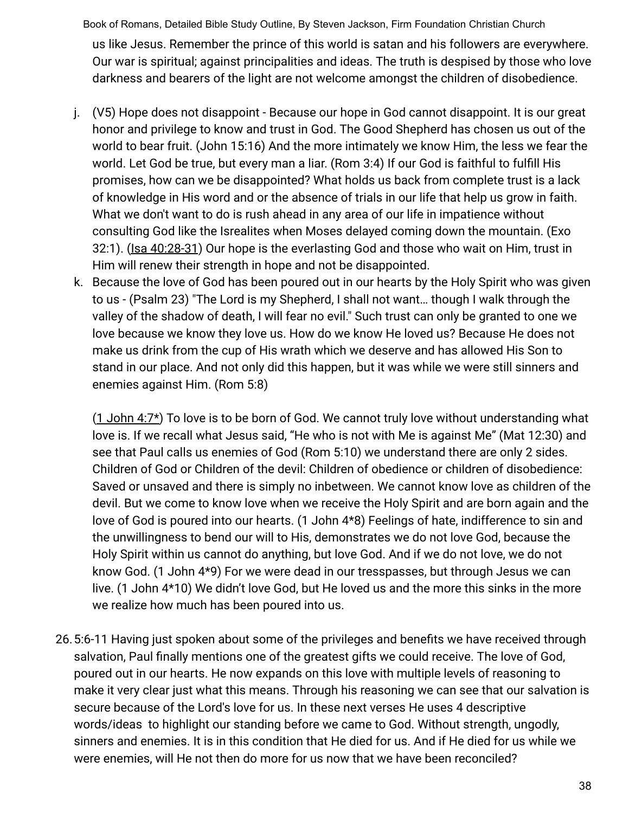Book of Romans, Detailed Bible Study Outline, By Steven Jackson, Firm Foundation Christian Church us like Jesus. Remember the prince of this world is satan and his followers are everywhere. Our war is spiritual; against principalities and ideas. The truth is despised by those who love darkness and bearers of the light are not welcome amongst the children of disobedience.

- j. (V5) Hope does not disappoint Because our hope in God cannot disappoint. It is our great honor and privilege to know and trust in God. The Good Shepherd has chosen us out of the world to bear fruit. (John 15:16) And the more intimately we know Him, the less we fear the world. Let God be true, but every man a liar. (Rom 3:4) If our God is faithful to fulfill His promises, how can we be disappointed? What holds us back from complete trust is a lack of knowledge in His word and or the absence of trials in our life that help us grow in faith. What we don't want to do is rush ahead in any area of our life in impatience without consulting God like the Isrealites when Moses delayed coming down the mountain. (Exo 32:1). (Isa 40:28-31) Our hope is the everlasting God and those who wait on Him, trust in Him will renew their strength in hope and not be disappointed.
- k. Because the love of God has been poured out in our hearts by the Holy Spirit who was given to us - (Psalm 23) "The Lord is my Shepherd, I shall not want… though I walk through the valley of the shadow of death, I will fear no evil." Such trust can only be granted to one we love because we know they love us. How do we know He loved us? Because He does not make us drink from the cup of His wrath which we deserve and has allowed His Son to stand in our place. And not only did this happen, but it was while we were still sinners and enemies against Him. (Rom 5:8)

(1 John 4:7\*) To love is to be born of God. We cannot truly love without understanding what love is. If we recall what Jesus said, "He who is not with Me is against Me" (Mat 12:30) and see that Paul calls us enemies of God (Rom 5:10) we understand there are only 2 sides. Children of God or Children of the devil: Children of obedience or children of disobedience: Saved or unsaved and there is simply no inbetween. We cannot know love as children of the devil. But we come to know love when we receive the Holy Spirit and are born again and the love of God is poured into our hearts. (1 John 4\*8) Feelings of hate, indifference to sin and the unwillingness to bend our will to His, demonstrates we do not love God, because the Holy Spirit within us cannot do anything, but love God. And if we do not love, we do not know God. (1 John 4\*9) For we were dead in our tresspasses, but through Jesus we can live. (1 John 4\*10) We didn't love God, but He loved us and the more this sinks in the more we realize how much has been poured into us.

26.5:6-11 Having just spoken about some of the privileges and benefits we have received through salvation, Paul finally mentions one of the greatest gifts we could receive. The love of God, poured out in our hearts. He now expands on this love with multiple levels of reasoning to make it very clear just what this means. Through his reasoning we can see that our salvation is secure because of the Lord's love for us. In these next verses He uses 4 descriptive words/ideas to highlight our standing before we came to God. Without strength, ungodly, sinners and enemies. It is in this condition that He died for us. And if He died for us while we were enemies, will He not then do more for us now that we have been reconciled?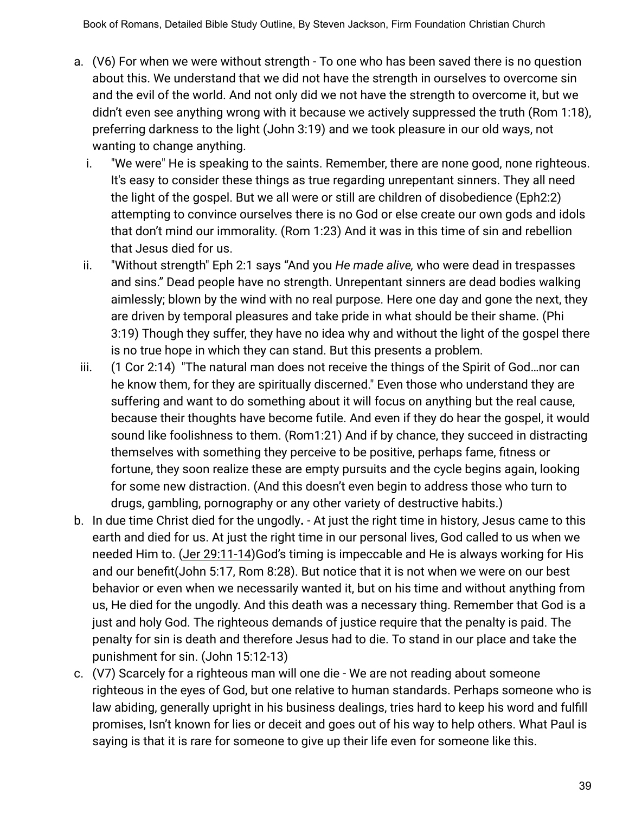- a. (V6) For when we were without strength To one who has been saved there is no question about this. We understand that we did not have the strength in ourselves to overcome sin and the evil of the world. And not only did we not have the strength to overcome it, but we didn't even see anything wrong with it because we actively suppressed the truth (Rom 1:18), preferring darkness to the light (John 3:19) and we took pleasure in our old ways, not wanting to change anything.
	- i. "We were" He is speaking to the saints. Remember, there are none good, none righteous. It's easy to consider these things as true regarding unrepentant sinners. They all need the light of the gospel. But we all were or still are children of disobedience (Eph2:2) attempting to convince ourselves there is no God or else create our own gods and idols that don't mind our immorality. (Rom 1:23) And it was in this time of sin and rebellion that Jesus died for us.
	- ii. "Without strength" Eph 2:1 says "And you *He made alive,* who were dead in trespasses and sins." Dead people have no strength. Unrepentant sinners are dead bodies walking aimlessly; blown by the wind with no real purpose. Here one day and gone the next, they are driven by temporal pleasures and take pride in what should be their shame. (Phi 3:19) Though they suffer, they have no idea why and without the light of the gospel there is no true hope in which they can stand. But this presents a problem.
- iii. (1 Cor 2:14) "The natural man does not receive the things of the Spirit of God…nor can he know them, for they are spiritually discerned." Even those who understand they are suffering and want to do something about it will focus on anything but the real cause, because their thoughts have become futile. And even if they do hear the gospel, it would sound like foolishness to them. (Rom1:21) And if by chance, they succeed in distracting themselves with something they perceive to be positive, perhaps fame, fitness or fortune, they soon realize these are empty pursuits and the cycle begins again, looking for some new distraction. (And this doesn't even begin to address those who turn to drugs, gambling, pornography or any other variety of destructive habits.)
- b. In due time Christ died for the ungodly**.** At just the right time in history, Jesus came to this earth and died for us. At just the right time in our personal lives, God called to us when we needed Him to. (Jer 29:11-14)God's timing is impeccable and He is always working for His and our benefit(John 5:17, Rom 8:28). But notice that it is not when we were on our best behavior or even when we necessarily wanted it, but on his time and without anything from us, He died for the ungodly. And this death was a necessary thing. Remember that God is a just and holy God. The righteous demands of justice require that the penalty is paid. The penalty for sin is death and therefore Jesus had to die. To stand in our place and take the punishment for sin. (John 15:12-13)
- c. (V7) Scarcely for a righteous man will one die We are not reading about someone righteous in the eyes of God, but one relative to human standards. Perhaps someone who is law abiding, generally upright in his business dealings, tries hard to keep his word and fulfill promises, Isn't known for lies or deceit and goes out of his way to help others. What Paul is saying is that it is rare for someone to give up their life even for someone like this.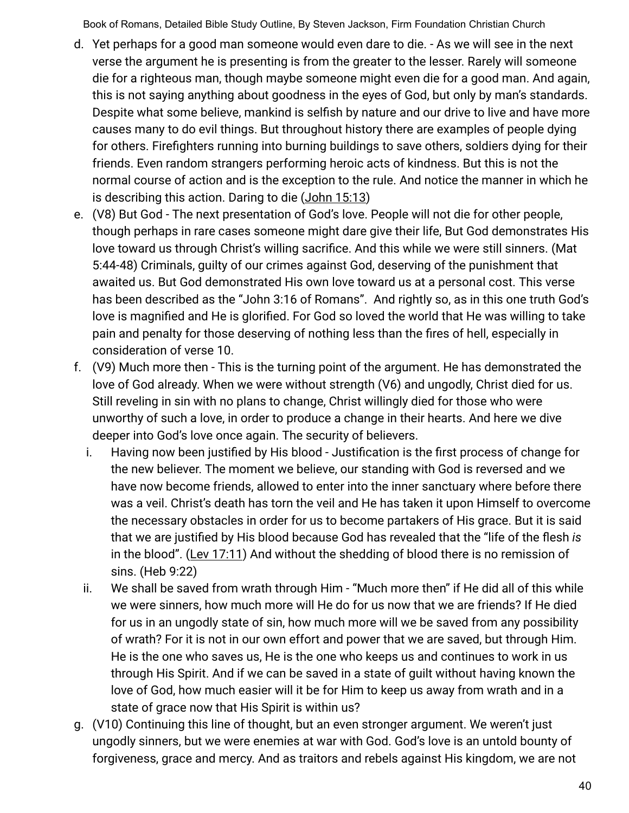- d. Yet perhaps for a good man someone would even dare to die. As we will see in the next verse the argument he is presenting is from the greater to the lesser. Rarely will someone die for a righteous man, though maybe someone might even die for a good man. And again, this is not saying anything about goodness in the eyes of God, but only by man's standards. Despite what some believe, mankind is selfish by nature and our drive to live and have more causes many to do evil things. But throughout history there are examples of people dying for others. Firefighters running into burning buildings to save others, soldiers dying for their friends. Even random strangers performing heroic acts of kindness. But this is not the normal course of action and is the exception to the rule. And notice the manner in which he is describing this action. Daring to die (John 15:13)
- e. (V8) But God The next presentation of God's love. People will not die for other people, though perhaps in rare cases someone might dare give their life, But God demonstrates His love toward us through Christ's willing sacrifice. And this while we were still sinners. (Mat 5:44-48) Criminals, guilty of our crimes against God, deserving of the punishment that awaited us. But God demonstrated His own love toward us at a personal cost. This verse has been described as the "John 3:16 of Romans". And rightly so, as in this one truth God's love is magnified and He is glorified. For God so loved the world that He was willing to take pain and penalty for those deserving of nothing less than the fires of hell, especially in consideration of verse 10.
- f. (V9) Much more then This is the turning point of the argument. He has demonstrated the love of God already. When we were without strength (V6) and ungodly, Christ died for us. Still reveling in sin with no plans to change, Christ willingly died for those who were unworthy of such a love, in order to produce a change in their hearts. And here we dive deeper into God's love once again. The security of believers.
	- i. Having now been justified by His blood Justification is the first process of change for the new believer. The moment we believe, our standing with God is reversed and we have now become friends, allowed to enter into the inner sanctuary where before there was a veil. Christ's death has torn the veil and He has taken it upon Himself to overcome the necessary obstacles in order for us to become partakers of His grace. But it is said that we are justified by His blood because God has revealed that the "life of the flesh *is* in the blood". (Lev 17:11) And without the shedding of blood there is no remission of sins. (Heb 9:22)
	- ii. We shall be saved from wrath through Him "Much more then" if He did all of this while we were sinners, how much more will He do for us now that we are friends? If He died for us in an ungodly state of sin, how much more will we be saved from any possibility of wrath? For it is not in our own effort and power that we are saved, but through Him. He is the one who saves us, He is the one who keeps us and continues to work in us through His Spirit. And if we can be saved in a state of guilt without having known the love of God, how much easier will it be for Him to keep us away from wrath and in a state of grace now that His Spirit is within us?
- g. (V10) Continuing this line of thought, but an even stronger argument. We weren't just ungodly sinners, but we were enemies at war with God. God's love is an untold bounty of forgiveness, grace and mercy. And as traitors and rebels against His kingdom, we are not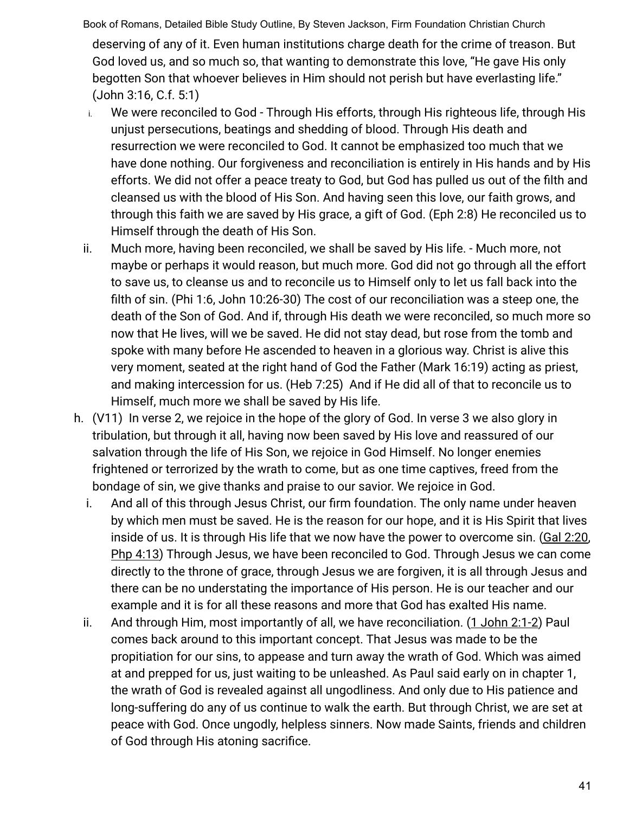Book of Romans, Detailed Bible Study Outline, By Steven Jackson, Firm Foundation Christian Church deserving of any of it. Even human institutions charge death for the crime of treason. But God loved us, and so much so, that wanting to demonstrate this love, "He gave His only begotten Son that whoever believes in Him should not perish but have everlasting life." (John 3:16, C.f. 5:1)

- i. We were reconciled to God Through His efforts, through His righteous life, through His unjust persecutions, beatings and shedding of blood. Through His death and resurrection we were reconciled to God. It cannot be emphasized too much that we have done nothing. Our forgiveness and reconciliation is entirely in His hands and by His efforts. We did not offer a peace treaty to God, but God has pulled us out of the filth and cleansed us with the blood of His Son. And having seen this love, our faith grows, and through this faith we are saved by His grace, a gift of God. (Eph 2:8) He reconciled us to Himself through the death of His Son.
- ii. Much more, having been reconciled, we shall be saved by His life. Much more, not maybe or perhaps it would reason, but much more. God did not go through all the effort to save us, to cleanse us and to reconcile us to Himself only to let us fall back into the filth of sin. (Phi 1:6, John 10:26-30) The cost of our reconciliation was a steep one, the death of the Son of God. And if, through His death we were reconciled, so much more so now that He lives, will we be saved. He did not stay dead, but rose from the tomb and spoke with many before He ascended to heaven in a glorious way. Christ is alive this very moment, seated at the right hand of God the Father (Mark 16:19) acting as priest, and making intercession for us. (Heb 7:25) And if He did all of that to reconcile us to Himself, much more we shall be saved by His life.
- h. (V11) In verse 2, we rejoice in the hope of the glory of God. In verse 3 we also glory in tribulation, but through it all, having now been saved by His love and reassured of our salvation through the life of His Son, we rejoice in God Himself. No longer enemies frightened or terrorized by the wrath to come, but as one time captives, freed from the bondage of sin, we give thanks and praise to our savior. We rejoice in God.
	- i. And all of this through Jesus Christ, our firm foundation. The only name under heaven by which men must be saved. He is the reason for our hope, and it is His Spirit that lives inside of us. It is through His life that we now have the power to overcome sin. (Gal 2:20, Php 4:13) Through Jesus, we have been reconciled to God. Through Jesus we can come directly to the throne of grace, through Jesus we are forgiven, it is all through Jesus and there can be no understating the importance of His person. He is our teacher and our example and it is for all these reasons and more that God has exalted His name.
	- ii. And through Him, most importantly of all, we have reconciliation. (1 John 2:1-2) Paul comes back around to this important concept. That Jesus was made to be the propitiation for our sins, to appease and turn away the wrath of God. Which was aimed at and prepped for us, just waiting to be unleashed. As Paul said early on in chapter 1, the wrath of God is revealed against all ungodliness. And only due to His patience and long-suffering do any of us continue to walk the earth. But through Christ, we are set at peace with God. Once ungodly, helpless sinners. Now made Saints, friends and children of God through His atoning sacrifice.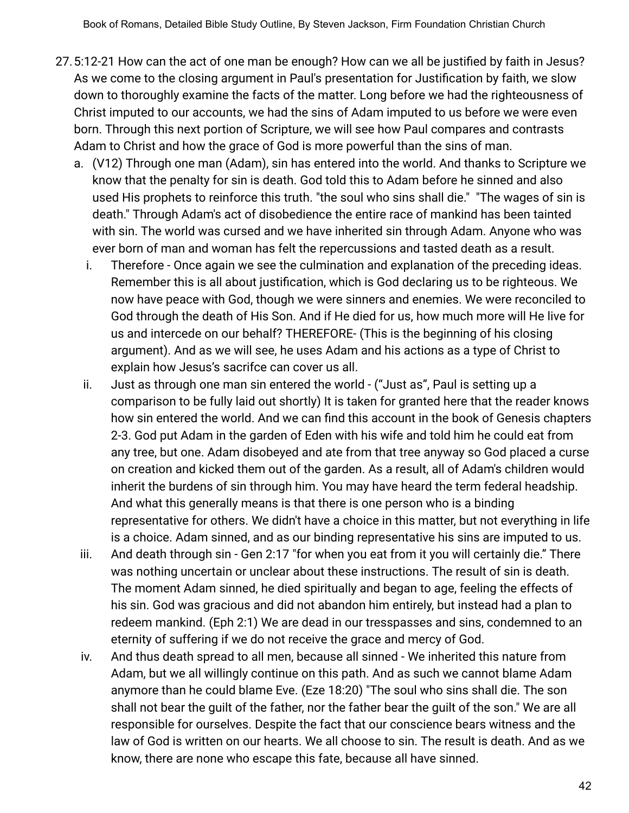- 27.5:12-21 How can the act of one man be enough? How can we all be justified by faith in Jesus? As we come to the closing argument in Paul's presentation for Justification by faith, we slow down to thoroughly examine the facts of the matter. Long before we had the righteousness of Christ imputed to our accounts, we had the sins of Adam imputed to us before we were even born. Through this next portion of Scripture, we will see how Paul compares and contrasts Adam to Christ and how the grace of God is more powerful than the sins of man.
	- a. (V12) Through one man (Adam), sin has entered into the world. And thanks to Scripture we know that the penalty for sin is death. God told this to Adam before he sinned and also used His prophets to reinforce this truth. "the soul who sins shall die." "The wages of sin is death." Through Adam's act of disobedience the entire race of mankind has been tainted with sin. The world was cursed and we have inherited sin through Adam. Anyone who was ever born of man and woman has felt the repercussions and tasted death as a result.
		- i. Therefore Once again we see the culmination and explanation of the preceding ideas. Remember this is all about justification, which is God declaring us to be righteous. We now have peace with God, though we were sinners and enemies. We were reconciled to God through the death of His Son. And if He died for us, how much more will He live for us and intercede on our behalf? THEREFORE- (This is the beginning of his closing argument). And as we will see, he uses Adam and his actions as a type of Christ to explain how Jesus's sacrifce can cover us all.
		- ii. Just as through one man sin entered the world ("Just as", Paul is setting up a comparison to be fully laid out shortly) It is taken for granted here that the reader knows how sin entered the world. And we can find this account in the book of Genesis chapters 2-3. God put Adam in the garden of Eden with his wife and told him he could eat from any tree, but one. Adam disobeyed and ate from that tree anyway so God placed a curse on creation and kicked them out of the garden. As a result, all of Adam's children would inherit the burdens of sin through him. You may have heard the term federal headship. And what this generally means is that there is one person who is a binding representative for others. We didn't have a choice in this matter, but not everything in life is a choice. Adam sinned, and as our binding representative his sins are imputed to us.
	- iii. And death through sin Gen 2:17 "for when you eat from it you will certainly die." There was nothing uncertain or unclear about these instructions. The result of sin is death. The moment Adam sinned, he died spiritually and began to age, feeling the effects of his sin. God was gracious and did not abandon him entirely, but instead had a plan to redeem mankind. (Eph 2:1) We are dead in our tresspasses and sins, condemned to an eternity of suffering if we do not receive the grace and mercy of God.
	- iv. And thus death spread to all men, because all sinned We inherited this nature from Adam, but we all willingly continue on this path. And as such we cannot blame Adam anymore than he could blame Eve. (Eze 18:20) "The soul who sins shall die. The son shall not bear the guilt of the father, nor the father bear the guilt of the son." We are all responsible for ourselves. Despite the fact that our conscience bears witness and the law of God is written on our hearts. We all choose to sin. The result is death. And as we know, there are none who escape this fate, because all have sinned.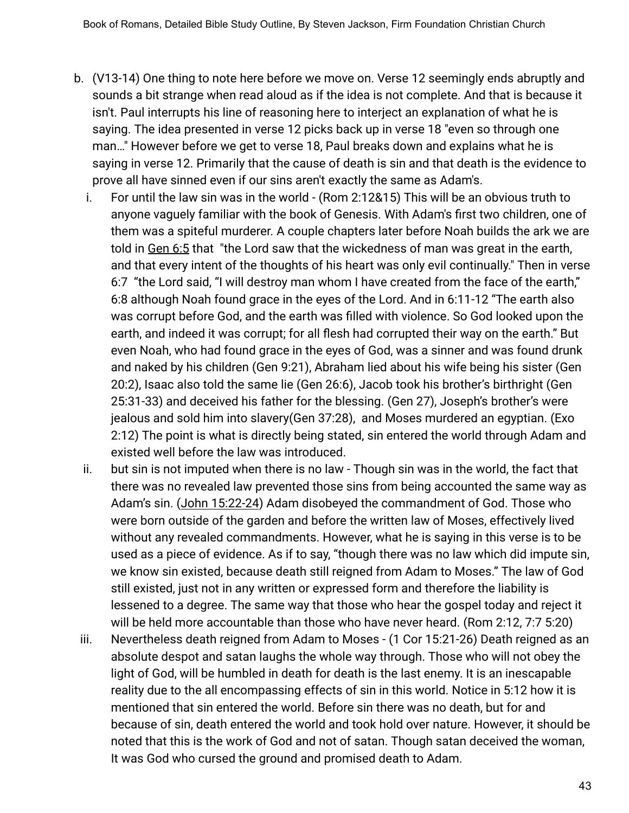- b. (V13-14) One thing to note here before we move on. Verse 12 seemingly ends abruptly and sounds a bit strange when read aloud as if the idea is not complete. And that is because it isn't. Paul interrupts his line of reasoning here to interject an explanation of what he is saying. The idea presented in verse 12 picks back up in verse 18 "even so through one man…" However before we get to verse 18, Paul breaks down and explains what he is saying in verse 12. Primarily that the cause of death is sin and that death is the evidence to prove all have sinned even if our sins aren't exactly the same as Adam's.
	- i. For until the law sin was in the world (Rom 2:12&15) This will be an obvious truth to anyone vaguely familiar with the book of Genesis. With Adam's first two children, one of them was a spiteful murderer. A couple chapters later before Noah builds the ark we are told in Gen 6:5 that "the Lord saw that the wickedness of man was great in the earth, and that every intent of the thoughts of his heart was only evil continually." Then in verse 6:7 "the Lord said, "I will destroy man whom I have created from the face of the earth," 6:8 although Noah found grace in the eyes of the Lord. And in 6:11-12 "The earth also was corrupt before God, and the earth was filled with violence. So God looked upon the earth, and indeed it was corrupt; for all flesh had corrupted their way on the earth." But even Noah, who had found grace in the eyes of God, was a sinner and was found drunk and naked by his children (Gen 9:21), Abraham lied about his wife being his sister (Gen 20:2), Isaac also told the same lie (Gen 26:6), Jacob took his brother's birthright (Gen 25:31-33) and deceived his father for the blessing. (Gen 27), Joseph's brother's were jealous and sold him into slavery(Gen 37:28), and Moses murdered an egyptian. (Exo 2:12) The point is what is directly being stated, sin entered the world through Adam and existed well before the law was introduced.
	- ii. but sin is not imputed when there is no law Though sin was in the world, the fact that there was no revealed law prevented those sins from being accounted the same way as Adam's sin. (John 15:22-24) Adam disobeyed the commandment of God. Those who were born outside of the garden and before the written law of Moses, effectively lived without any revealed commandments. However, what he is saying in this verse is to be used as a piece of evidence. As if to say, "though there was no law which did impute sin, we know sin existed, because death still reigned from Adam to Moses." The law of God still existed, just not in any written or expressed form and therefore the liability is lessened to a degree. The same way that those who hear the gospel today and reject it will be held more accountable than those who have never heard. (Rom 2:12, 7:7 5:20)
- iii. Nevertheless death reigned from Adam to Moses (1 Cor 15:21-26) Death reigned as an absolute despot and satan laughs the whole way through. Those who will not obey the light of God, will be humbled in death for death is the last enemy. It is an inescapable reality due to the all encompassing effects of sin in this world. Notice in 5:12 how it is mentioned that sin entered the world. Before sin there was no death, but for and because of sin, death entered the world and took hold over nature. However, it should be noted that this is the work of God and not of satan. Though satan deceived the woman, It was God who cursed the ground and promised death to Adam.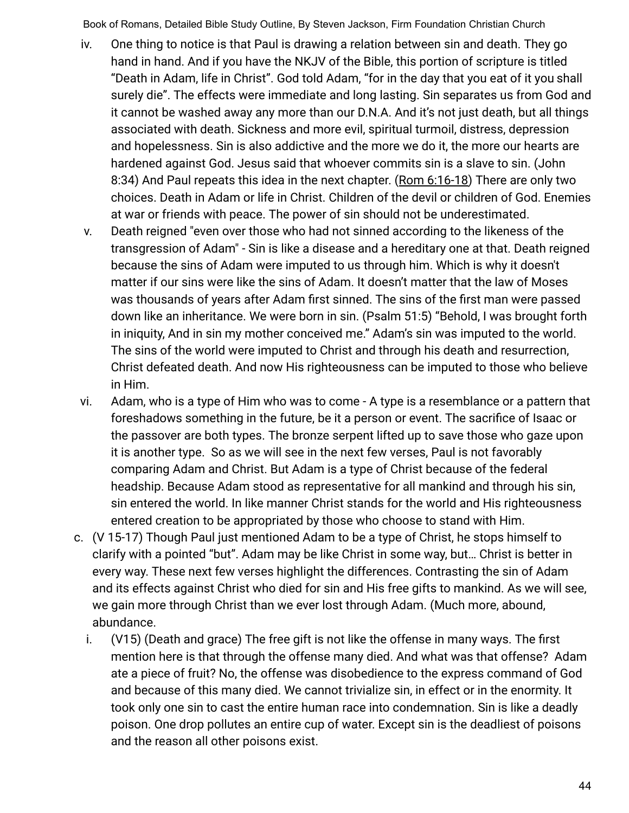- iv. One thing to notice is that Paul is drawing a relation between sin and death. They go hand in hand. And if you have the NKJV of the Bible, this portion of scripture is titled "Death in Adam, life in Christ". God told Adam, "for in the day that you eat of it you shall surely die". The effects were immediate and long lasting. Sin separates us from God and it cannot be washed away any more than our D.N.A. And it's not just death, but all things associated with death. Sickness and more evil, spiritual turmoil, distress, depression and hopelessness. Sin is also addictive and the more we do it, the more our hearts are hardened against God. Jesus said that whoever commits sin is a slave to sin. (John 8:34) And Paul repeats this idea in the next chapter. (Rom 6:16-18) There are only two choices. Death in Adam or life in Christ. Children of the devil or children of God. Enemies at war or friends with peace. The power of sin should not be underestimated.
- v. Death reigned "even over those who had not sinned according to the likeness of the transgression of Adam" - Sin is like a disease and a hereditary one at that. Death reigned because the sins of Adam were imputed to us through him. Which is why it doesn't matter if our sins were like the sins of Adam. It doesn't matter that the law of Moses was thousands of years after Adam first sinned. The sins of the first man were passed down like an inheritance. We were born in sin. (Psalm 51:5) "Behold, I was brought forth in iniquity, And in sin my mother conceived me." Adam's sin was imputed to the world. The sins of the world were imputed to Christ and through his death and resurrection, Christ defeated death. And now His righteousness can be imputed to those who believe in Him.
- vi. Adam, who is a type of Him who was to come A type is a resemblance or a pattern that foreshadows something in the future, be it a person or event. The sacrifice of Isaac or the passover are both types. The bronze serpent lifted up to save those who gaze upon it is another type. So as we will see in the next few verses, Paul is not favorably comparing Adam and Christ. But Adam is a type of Christ because of the federal headship. Because Adam stood as representative for all mankind and through his sin, sin entered the world. In like manner Christ stands for the world and His righteousness entered creation to be appropriated by those who choose to stand with Him.
- c. (V 15-17) Though Paul just mentioned Adam to be a type of Christ, he stops himself to clarify with a pointed "but". Adam may be like Christ in some way, but… Christ is better in every way. These next few verses highlight the differences. Contrasting the sin of Adam and its effects against Christ who died for sin and His free gifts to mankind. As we will see, we gain more through Christ than we ever lost through Adam. (Much more, abound, abundance.
	- i. (V15) (Death and grace) The free gift is not like the offense in many ways. The first mention here is that through the offense many died. And what was that offense? Adam ate a piece of fruit? No, the offense was disobedience to the express command of God and because of this many died. We cannot trivialize sin, in effect or in the enormity. It took only one sin to cast the entire human race into condemnation. Sin is like a deadly poison. One drop pollutes an entire cup of water. Except sin is the deadliest of poisons and the reason all other poisons exist.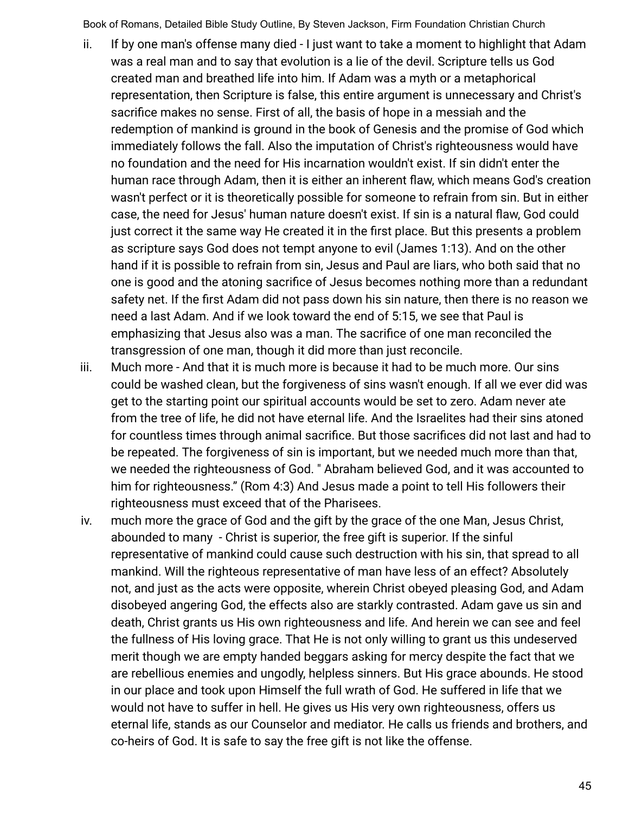- ii. If by one man's offense many died I just want to take a moment to highlight that Adam was a real man and to say that evolution is a lie of the devil. Scripture tells us God created man and breathed life into him. If Adam was a myth or a metaphorical representation, then Scripture is false, this entire argument is unnecessary and Christ's sacrifice makes no sense. First of all, the basis of hope in a messiah and the redemption of mankind is ground in the book of Genesis and the promise of God which immediately follows the fall. Also the imputation of Christ's righteousness would have no foundation and the need for His incarnation wouldn't exist. If sin didn't enter the human race through Adam, then it is either an inherent flaw, which means God's creation wasn't perfect or it is theoretically possible for someone to refrain from sin. But in either case, the need for Jesus' human nature doesn't exist. If sin is a natural flaw, God could just correct it the same way He created it in the first place. But this presents a problem as scripture says God does not tempt anyone to evil (James 1:13). And on the other hand if it is possible to refrain from sin, Jesus and Paul are liars, who both said that no one is good and the atoning sacrifice of Jesus becomes nothing more than a redundant safety net. If the first Adam did not pass down his sin nature, then there is no reason we need a last Adam. And if we look toward the end of 5:15, we see that Paul is emphasizing that Jesus also was a man. The sacrifice of one man reconciled the transgression of one man, though it did more than just reconcile.
- iii. Much more And that it is much more is because it had to be much more. Our sins could be washed clean, but the forgiveness of sins wasn't enough. If all we ever did was get to the starting point our spiritual accounts would be set to zero. Adam never ate from the tree of life, he did not have eternal life. And the Israelites had their sins atoned for countless times through animal sacrifice. But those sacrifices did not last and had to be repeated. The forgiveness of sin is important, but we needed much more than that, we needed the righteousness of God. " Abraham believed God, and it was accounted to him for righteousness." (Rom 4:3) And Jesus made a point to tell His followers their righteousness must exceed that of the Pharisees.
- iv. much more the grace of God and the gift by the grace of the one Man, Jesus Christ, abounded to many - Christ is superior, the free gift is superior. If the sinful representative of mankind could cause such destruction with his sin, that spread to all mankind. Will the righteous representative of man have less of an effect? Absolutely not, and just as the acts were opposite, wherein Christ obeyed pleasing God, and Adam disobeyed angering God, the effects also are starkly contrasted. Adam gave us sin and death, Christ grants us His own righteousness and life. And herein we can see and feel the fullness of His loving grace. That He is not only willing to grant us this undeserved merit though we are empty handed beggars asking for mercy despite the fact that we are rebellious enemies and ungodly, helpless sinners. But His grace abounds. He stood in our place and took upon Himself the full wrath of God. He suffered in life that we would not have to suffer in hell. He gives us His very own righteousness, offers us eternal life, stands as our Counselor and mediator. He calls us friends and brothers, and co-heirs of God. It is safe to say the free gift is not like the offense.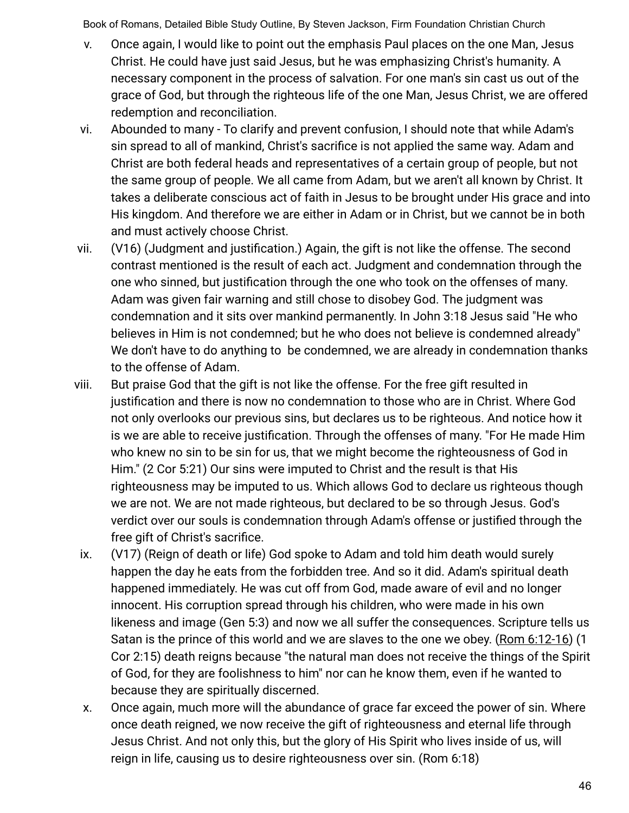- v. Once again, I would like to point out the emphasis Paul places on the one Man, Jesus Christ. He could have just said Jesus, but he was emphasizing Christ's humanity. A necessary component in the process of salvation. For one man's sin cast us out of the grace of God, but through the righteous life of the one Man, Jesus Christ, we are offered redemption and reconciliation.
- vi. Abounded to many To clarify and prevent confusion, I should note that while Adam's sin spread to all of mankind, Christ's sacrifice is not applied the same way. Adam and Christ are both federal heads and representatives of a certain group of people, but not the same group of people. We all came from Adam, but we aren't all known by Christ. It takes a deliberate conscious act of faith in Jesus to be brought under His grace and into His kingdom. And therefore we are either in Adam or in Christ, but we cannot be in both and must actively choose Christ.
- vii. (V16) (Judgment and justification.) Again, the gift is not like the offense. The second contrast mentioned is the result of each act. Judgment and condemnation through the one who sinned, but justification through the one who took on the offenses of many. Adam was given fair warning and still chose to disobey God. The judgment was condemnation and it sits over mankind permanently. In John 3:18 Jesus said "He who believes in Him is not condemned; but he who does not believe is condemned already" We don't have to do anything to be condemned, we are already in condemnation thanks to the offense of Adam.
- viii. But praise God that the gift is not like the offense. For the free gift resulted in justification and there is now no condemnation to those who are in Christ. Where God not only overlooks our previous sins, but declares us to be righteous. And notice how it is we are able to receive justification. Through the offenses of many. "For He made Him who knew no sin to be sin for us, that we might become the righteousness of God in Him." (2 Cor 5:21) Our sins were imputed to Christ and the result is that His righteousness may be imputed to us. Which allows God to declare us righteous though we are not. We are not made righteous, but declared to be so through Jesus. God's verdict over our souls is condemnation through Adam's offense or justified through the free gift of Christ's sacrifice.
- ix. (V17) (Reign of death or life) God spoke to Adam and told him death would surely happen the day he eats from the forbidden tree. And so it did. Adam's spiritual death happened immediately. He was cut off from God, made aware of evil and no longer innocent. His corruption spread through his children, who were made in his own likeness and image (Gen 5:3) and now we all suffer the consequences. Scripture tells us Satan is the prince of this world and we are slaves to the one we obey. (Rom 6:12-16) (1 Cor 2:15) death reigns because "the natural man does not receive the things of the Spirit of God, for they are foolishness to him" nor can he know them, even if he wanted to because they are spiritually discerned.
- x. Once again, much more will the abundance of grace far exceed the power of sin. Where once death reigned, we now receive the gift of righteousness and eternal life through Jesus Christ. And not only this, but the glory of His Spirit who lives inside of us, will reign in life, causing us to desire righteousness over sin. (Rom 6:18)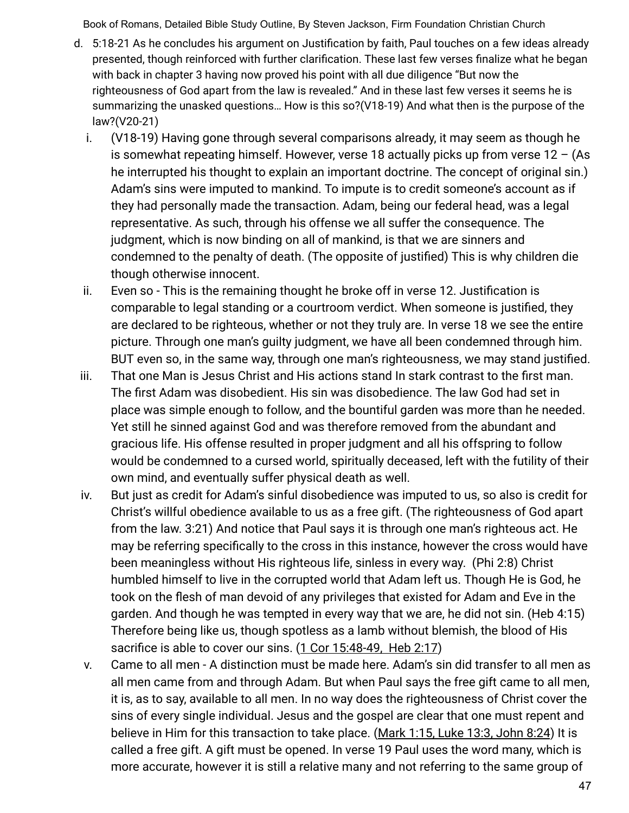- d. 5:18-21 As he concludes his argument on Justification by faith, Paul touches on a few ideas already presented, though reinforced with further clarification. These last few verses finalize what he began with back in chapter 3 having now proved his point with all due diligence "But now the righteousness of God apart from the law is revealed." And in these last few verses it seems he is summarizing the unasked questions… How is this so?(V18-19) And what then is the purpose of the law?(V20-21)
	- i. (V18-19) Having gone through several comparisons already, it may seem as though he is somewhat repeating himself. However, verse 18 actually picks up from verse  $12 - (As$ he interrupted his thought to explain an important doctrine. The concept of original sin.) Adam's sins were imputed to mankind. To impute is to credit someone's account as if they had personally made the transaction. Adam, being our federal head, was a legal representative. As such, through his offense we all suffer the consequence. The judgment, which is now binding on all of mankind, is that we are sinners and condemned to the penalty of death. (The opposite of justified) This is why children die though otherwise innocent.
	- ii. Even so This is the remaining thought he broke off in verse 12. Justification is comparable to legal standing or a courtroom verdict. When someone is justified, they are declared to be righteous, whether or not they truly are. In verse 18 we see the entire picture. Through one man's guilty judgment, we have all been condemned through him. BUT even so, in the same way, through one man's righteousness, we may stand justified.
- iii. That one Man is Jesus Christ and His actions stand In stark contrast to the first man. The first Adam was disobedient. His sin was disobedience. The law God had set in place was simple enough to follow, and the bountiful garden was more than he needed. Yet still he sinned against God and was therefore removed from the abundant and gracious life. His offense resulted in proper judgment and all his offspring to follow would be condemned to a cursed world, spiritually deceased, left with the futility of their own mind, and eventually suffer physical death as well.
- iv. But just as credit for Adam's sinful disobedience was imputed to us, so also is credit for Christ's willful obedience available to us as a free gift. (The righteousness of God apart from the law. 3:21) And notice that Paul says it is through one man's righteous act. He may be referring specifically to the cross in this instance, however the cross would have been meaningless without His righteous life, sinless in every way. (Phi 2:8) Christ humbled himself to live in the corrupted world that Adam left us. Though He is God, he took on the flesh of man devoid of any privileges that existed for Adam and Eve in the garden. And though he was tempted in every way that we are, he did not sin. (Heb 4:15) Therefore being like us, though spotless as a lamb without blemish, the blood of His sacrifice is able to cover our sins. (1 Cor 15:48-49, Heb 2:17)
- v. Came to all men A distinction must be made here. Adam's sin did transfer to all men as all men came from and through Adam. But when Paul says the free gift came to all men, it is, as to say, available to all men. In no way does the righteousness of Christ cover the sins of every single individual. Jesus and the gospel are clear that one must repent and believe in Him for this transaction to take place. (Mark 1:15, Luke 13:3, John 8:24) It is called a free gift. A gift must be opened. In verse 19 Paul uses the word many, which is more accurate, however it is still a relative many and not referring to the same group of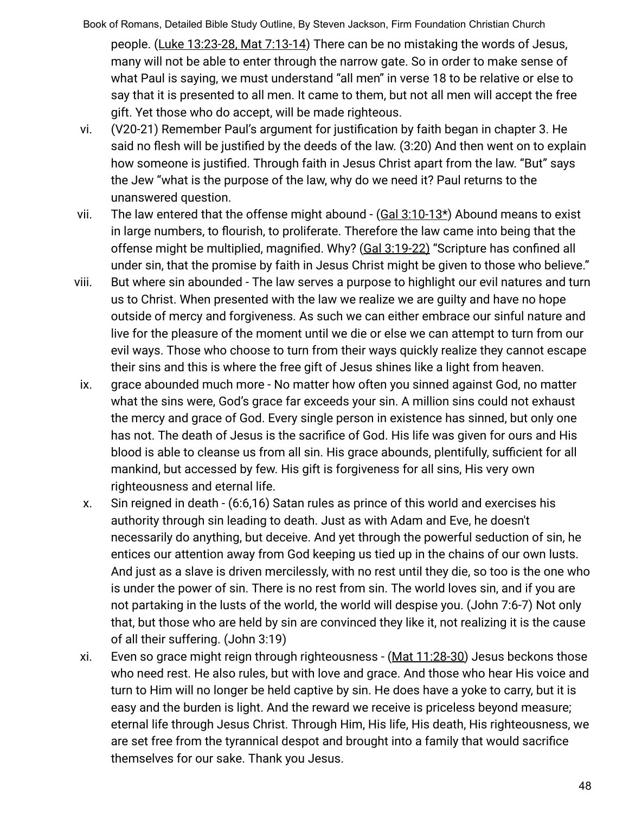Book of Romans, Detailed Bible Study Outline, By Steven Jackson, Firm Foundation Christian Church people. (Luke 13:23-28, Mat 7:13-14) There can be no mistaking the words of Jesus, many will not be able to enter through the narrow gate. So in order to make sense of what Paul is saying, we must understand "all men" in verse 18 to be relative or else to say that it is presented to all men. It came to them, but not all men will accept the free gift. Yet those who do accept, will be made righteous.

- vi. (V20-21) Remember Paul's argument for justification by faith began in chapter 3. He said no flesh will be justified by the deeds of the law. (3:20) And then went on to explain how someone is justified. Through faith in Jesus Christ apart from the law. "But" says the Jew "what is the purpose of the law, why do we need it? Paul returns to the unanswered question.
- vii. The law entered that the offense might abound  $-(\frac{Gal 3:10-13*}{Sch})$  Abound means to exist in large numbers, to flourish, to proliferate. Therefore the law came into being that the offense might be multiplied, magnified. Why? (Gal 3:19-22) "Scripture has confined all under sin, that the promise by faith in Jesus Christ might be given to those who believe."
- viii. But where sin abounded The law serves a purpose to highlight our evil natures and turn us to Christ. When presented with the law we realize we are guilty and have no hope outside of mercy and forgiveness. As such we can either embrace our sinful nature and live for the pleasure of the moment until we die or else we can attempt to turn from our evil ways. Those who choose to turn from their ways quickly realize they cannot escape their sins and this is where the free gift of Jesus shines like a light from heaven.
- ix. grace abounded much more No matter how often you sinned against God, no matter what the sins were, God's grace far exceeds your sin. A million sins could not exhaust the mercy and grace of God. Every single person in existence has sinned, but only one has not. The death of Jesus is the sacrifice of God. His life was given for ours and His blood is able to cleanse us from all sin. His grace abounds, plentifully, sufficient for all mankind, but accessed by few. His gift is forgiveness for all sins, His very own righteousness and eternal life.
- x. Sin reigned in death (6:6,16) Satan rules as prince of this world and exercises his authority through sin leading to death. Just as with Adam and Eve, he doesn't necessarily do anything, but deceive. And yet through the powerful seduction of sin, he entices our attention away from God keeping us tied up in the chains of our own lusts. And just as a slave is driven mercilessly, with no rest until they die, so too is the one who is under the power of sin. There is no rest from sin. The world loves sin, and if you are not partaking in the lusts of the world, the world will despise you. (John 7:6-7) Not only that, but those who are held by sin are convinced they like it, not realizing it is the cause of all their suffering. (John 3:19)
- xi. Even so grace might reign through righteousness (Mat 11:28-30) Jesus beckons those who need rest. He also rules, but with love and grace. And those who hear His voice and turn to Him will no longer be held captive by sin. He does have a yoke to carry, but it is easy and the burden is light. And the reward we receive is priceless beyond measure; eternal life through Jesus Christ. Through Him, His life, His death, His righteousness, we are set free from the tyrannical despot and brought into a family that would sacrifice themselves for our sake. Thank you Jesus.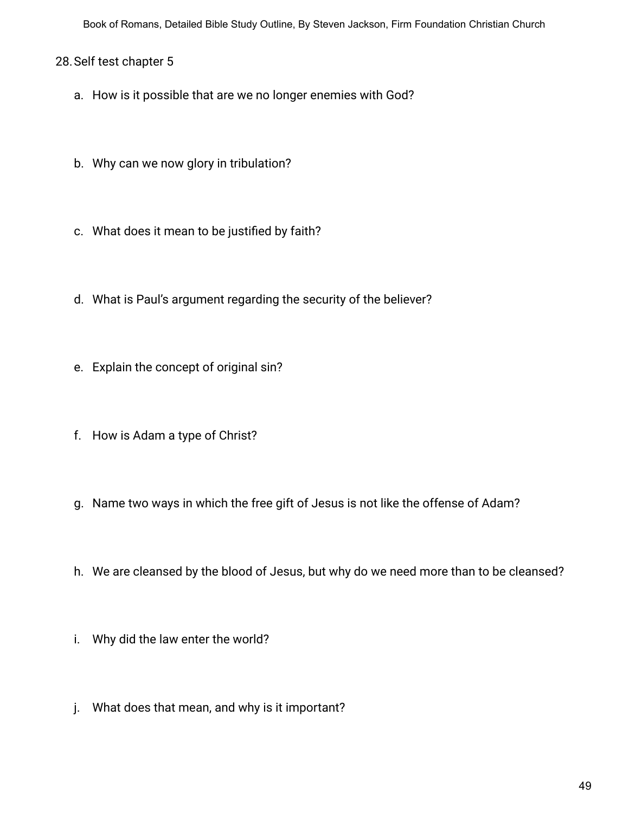## 28.Self test chapter 5

- a. How is it possible that are we no longer enemies with God?
- b. Why can we now glory in tribulation?
- c. What does it mean to be justified by faith?
- d. What is Paul's argument regarding the security of the believer?
- e. Explain the concept of original sin?
- f. How is Adam a type of Christ?
- g. Name two ways in which the free gift of Jesus is not like the offense of Adam?
- h. We are cleansed by the blood of Jesus, but why do we need more than to be cleansed?
- i. Why did the law enter the world?
- j. What does that mean, and why is it important?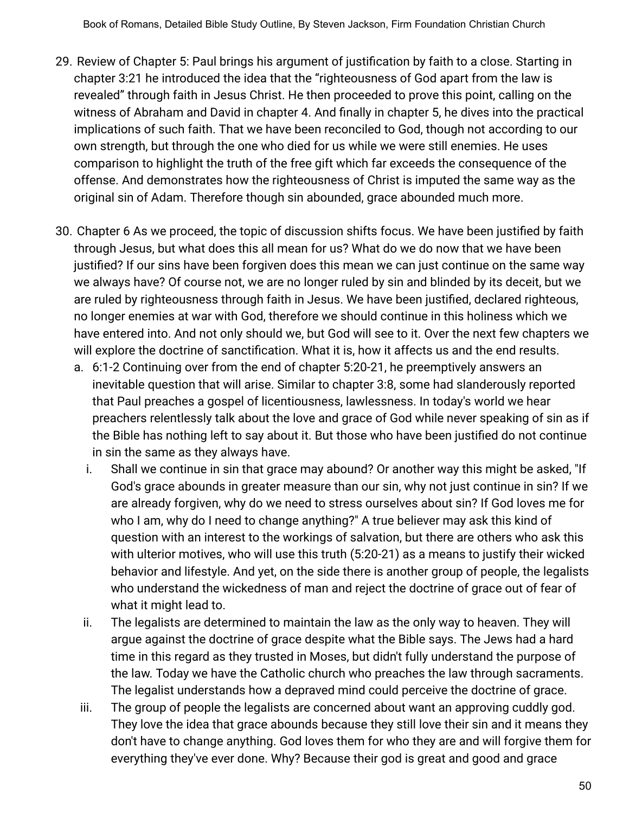- 29. Review of Chapter 5: Paul brings his argument of justification by faith to a close. Starting in chapter 3:21 he introduced the idea that the "righteousness of God apart from the law is revealed" through faith in Jesus Christ. He then proceeded to prove this point, calling on the witness of Abraham and David in chapter 4. And finally in chapter 5, he dives into the practical implications of such faith. That we have been reconciled to God, though not according to our own strength, but through the one who died for us while we were still enemies. He uses comparison to highlight the truth of the free gift which far exceeds the consequence of the offense. And demonstrates how the righteousness of Christ is imputed the same way as the original sin of Adam. Therefore though sin abounded, grace abounded much more.
- 30. Chapter 6 As we proceed, the topic of discussion shifts focus. We have been justified by faith through Jesus, but what does this all mean for us? What do we do now that we have been justified? If our sins have been forgiven does this mean we can just continue on the same way we always have? Of course not, we are no longer ruled by sin and blinded by its deceit, but we are ruled by righteousness through faith in Jesus. We have been justified, declared righteous, no longer enemies at war with God, therefore we should continue in this holiness which we have entered into. And not only should we, but God will see to it. Over the next few chapters we will explore the doctrine of sanctification. What it is, how it affects us and the end results.
	- a. 6:1-2 Continuing over from the end of chapter 5:20-21, he preemptively answers an inevitable question that will arise. Similar to chapter 3:8, some had slanderously reported that Paul preaches a gospel of licentiousness, lawlessness. In today's world we hear preachers relentlessly talk about the love and grace of God while never speaking of sin as if the Bible has nothing left to say about it. But those who have been justified do not continue in sin the same as they always have.
		- i. Shall we continue in sin that grace may abound? Or another way this might be asked, "If God's grace abounds in greater measure than our sin, why not just continue in sin? If we are already forgiven, why do we need to stress ourselves about sin? If God loves me for who I am, why do I need to change anything?" A true believer may ask this kind of question with an interest to the workings of salvation, but there are others who ask this with ulterior motives, who will use this truth (5:20-21) as a means to justify their wicked behavior and lifestyle. And yet, on the side there is another group of people, the legalists who understand the wickedness of man and reject the doctrine of grace out of fear of what it might lead to.
		- ii. The legalists are determined to maintain the law as the only way to heaven. They will argue against the doctrine of grace despite what the Bible says. The Jews had a hard time in this regard as they trusted in Moses, but didn't fully understand the purpose of the law. Today we have the Catholic church who preaches the law through sacraments. The legalist understands how a depraved mind could perceive the doctrine of grace.
	- iii. The group of people the legalists are concerned about want an approving cuddly god. They love the idea that grace abounds because they still love their sin and it means they don't have to change anything. God loves them for who they are and will forgive them for everything they've ever done. Why? Because their god is great and good and grace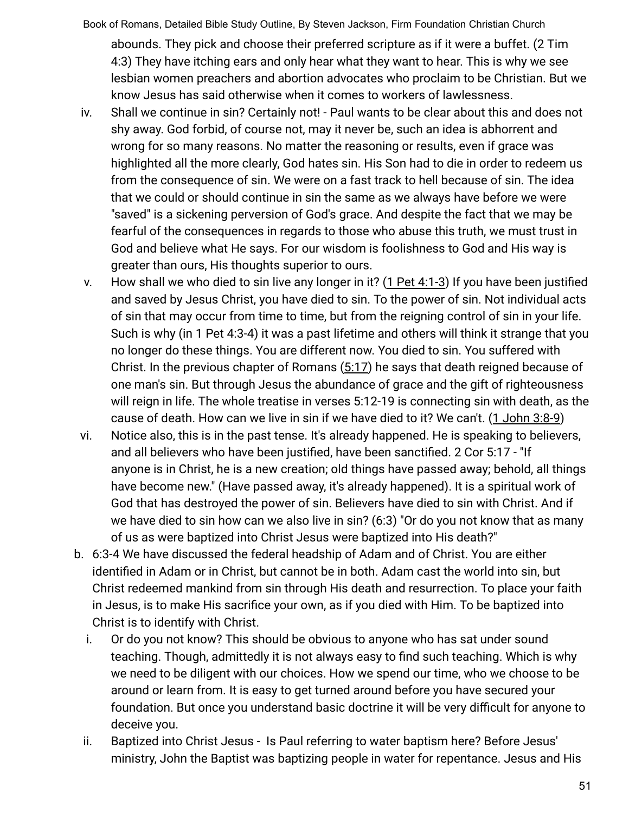- Book of Romans, Detailed Bible Study Outline, By Steven Jackson, Firm Foundation Christian Church abounds. They pick and choose their preferred scripture as if it were a buffet. (2 Tim 4:3) They have itching ears and only hear what they want to hear. This is why we see lesbian women preachers and abortion advocates who proclaim to be Christian. But we know Jesus has said otherwise when it comes to workers of lawlessness.
- iv. Shall we continue in sin? Certainly not! Paul wants to be clear about this and does not shy away. God forbid, of course not, may it never be, such an idea is abhorrent and wrong for so many reasons. No matter the reasoning or results, even if grace was highlighted all the more clearly, God hates sin. His Son had to die in order to redeem us from the consequence of sin. We were on a fast track to hell because of sin. The idea that we could or should continue in sin the same as we always have before we were "saved" is a sickening perversion of God's grace. And despite the fact that we may be fearful of the consequences in regards to those who abuse this truth, we must trust in God and believe what He says. For our wisdom is foolishness to God and His way is greater than ours, His thoughts superior to ours.
- v. How shall we who died to sin live any longer in it? (1 Pet 4:1-3) If you have been justified and saved by Jesus Christ, you have died to sin. To the power of sin. Not individual acts of sin that may occur from time to time, but from the reigning control of sin in your life. Such is why (in 1 Pet 4:3-4) it was a past lifetime and others will think it strange that you no longer do these things. You are different now. You died to sin. You suffered with Christ. In the previous chapter of Romans (5:17) he says that death reigned because of one man's sin. But through Jesus the abundance of grace and the gift of righteousness will reign in life. The whole treatise in verses 5:12-19 is connecting sin with death, as the cause of death. How can we live in sin if we have died to it? We can't. (1 John 3:8-9)
- vi. Notice also, this is in the past tense. It's already happened. He is speaking to believers, and all believers who have been justified, have been sanctified. 2 Cor 5:17 - "If anyone is in Christ, he is a new creation; old things have passed away; behold, all things have become new." (Have passed away, it's already happened). It is a spiritual work of God that has destroyed the power of sin. Believers have died to sin with Christ. And if we have died to sin how can we also live in sin? (6:3) "Or do you not know that as many of us as were baptized into Christ Jesus were baptized into His death?"
- b. 6:3-4 We have discussed the federal headship of Adam and of Christ. You are either identified in Adam or in Christ, but cannot be in both. Adam cast the world into sin, but Christ redeemed mankind from sin through His death and resurrection. To place your faith in Jesus, is to make His sacrifice your own, as if you died with Him. To be baptized into Christ is to identify with Christ.
	- i. Or do you not know? This should be obvious to anyone who has sat under sound teaching. Though, admittedly it is not always easy to find such teaching. Which is why we need to be diligent with our choices. How we spend our time, who we choose to be around or learn from. It is easy to get turned around before you have secured your foundation. But once you understand basic doctrine it will be very difficult for anyone to deceive you.
	- ii. Baptized into Christ Jesus Is Paul referring to water baptism here? Before Jesus' ministry, John the Baptist was baptizing people in water for repentance. Jesus and His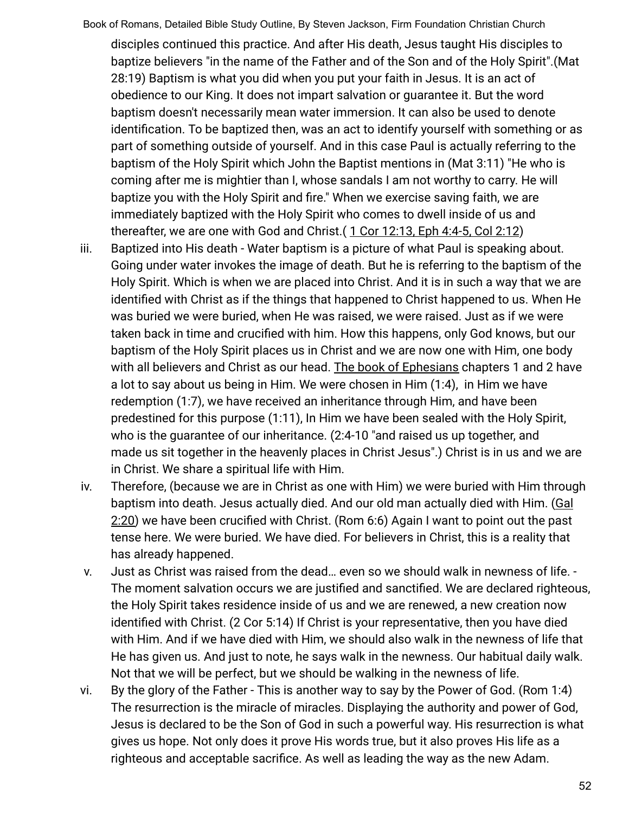disciples continued this practice. And after His death, Jesus taught His disciples to baptize believers "in the name of the Father and of the Son and of the Holy Spirit".(Mat 28:19) Baptism is what you did when you put your faith in Jesus. It is an act of obedience to our King. It does not impart salvation or guarantee it. But the word baptism doesn't necessarily mean water immersion. It can also be used to denote identification. To be baptized then, was an act to identify yourself with something or as part of something outside of yourself. And in this case Paul is actually referring to the baptism of the Holy Spirit which John the Baptist mentions in (Mat 3:11) "He who is coming after me is mightier than I, whose sandals I am not worthy to carry. He will baptize you with the Holy Spirit and fire." When we exercise saving faith, we are immediately baptized with the Holy Spirit who comes to dwell inside of us and thereafter, we are one with God and Christ. $(1$  Cor  $12:13$ , Eph  $4:4-5$ , Col  $2:12)$ 

- iii. Baptized into His death Water baptism is a picture of what Paul is speaking about. Going under water invokes the image of death. But he is referring to the baptism of the Holy Spirit. Which is when we are placed into Christ. And it is in such a way that we are identified with Christ as if the things that happened to Christ happened to us. When He was buried we were buried, when He was raised, we were raised. Just as if we were taken back in time and crucified with him. How this happens, only God knows, but our baptism of the Holy Spirit places us in Christ and we are now one with Him, one body with all believers and Christ as our head. The book of Ephesians chapters 1 and 2 have a lot to say about us being in Him. We were chosen in Him (1:4), in Him we have redemption (1:7), we have received an inheritance through Him, and have been predestined for this purpose (1:11), In Him we have been sealed with the Holy Spirit, who is the guarantee of our inheritance. (2:4-10 "and raised us up together, and made us sit together in the heavenly places in Christ Jesus".) Christ is in us and we are in Christ. We share a spiritual life with Him.
- iv. Therefore, (because we are in Christ as one with Him) we were buried with Him through baptism into death. Jesus actually died. And our old man actually died with Him. (Gal 2:20) we have been crucified with Christ. (Rom 6:6) Again I want to point out the past tense here. We were buried. We have died. For believers in Christ, this is a reality that has already happened.
- v. Just as Christ was raised from the dead… even so we should walk in newness of life. The moment salvation occurs we are justified and sanctified. We are declared righteous, the Holy Spirit takes residence inside of us and we are renewed, a new creation now identified with Christ. (2 Cor 5:14) If Christ is your representative, then you have died with Him. And if we have died with Him, we should also walk in the newness of life that He has given us. And just to note, he says walk in the newness. Our habitual daily walk. Not that we will be perfect, but we should be walking in the newness of life.
- vi. By the glory of the Father This is another way to say by the Power of God. (Rom 1:4) The resurrection is the miracle of miracles. Displaying the authority and power of God, Jesus is declared to be the Son of God in such a powerful way. His resurrection is what gives us hope. Not only does it prove His words true, but it also proves His life as a righteous and acceptable sacrifice. As well as leading the way as the new Adam.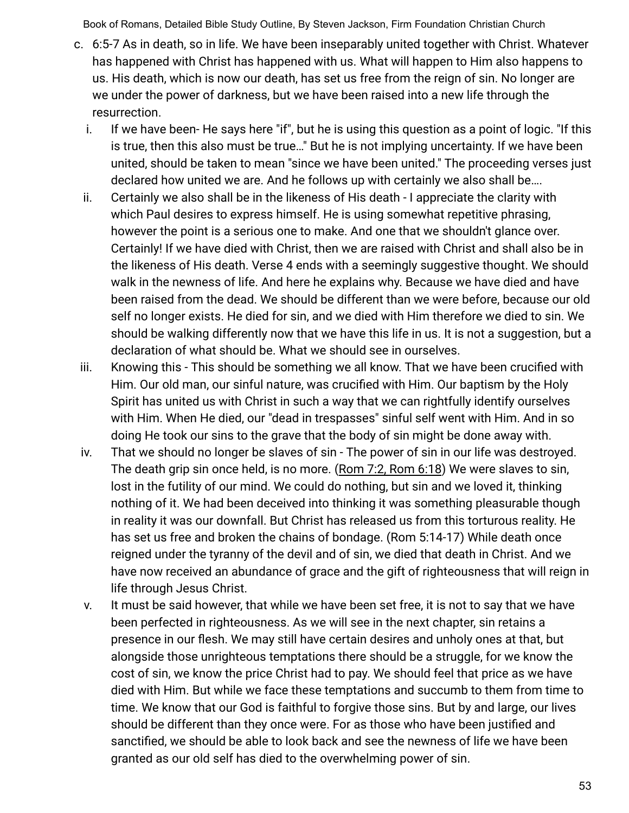- c. 6:5-7 As in death, so in life. We have been inseparably united together with Christ. Whatever has happened with Christ has happened with us. What will happen to Him also happens to us. His death, which is now our death, has set us free from the reign of sin. No longer are we under the power of darkness, but we have been raised into a new life through the resurrection.
	- i. If we have been- He says here "if", but he is using this question as a point of logic. "If this is true, then this also must be true…" But he is not implying uncertainty. If we have been united, should be taken to mean "since we have been united." The proceeding verses just declared how united we are. And he follows up with certainly we also shall be….
	- ii. Certainly we also shall be in the likeness of His death I appreciate the clarity with which Paul desires to express himself. He is using somewhat repetitive phrasing, however the point is a serious one to make. And one that we shouldn't glance over. Certainly! If we have died with Christ, then we are raised with Christ and shall also be in the likeness of His death. Verse 4 ends with a seemingly suggestive thought. We should walk in the newness of life. And here he explains why. Because we have died and have been raised from the dead. We should be different than we were before, because our old self no longer exists. He died for sin, and we died with Him therefore we died to sin. We should be walking differently now that we have this life in us. It is not a suggestion, but a declaration of what should be. What we should see in ourselves.
- iii. Knowing this This should be something we all know. That we have been crucified with Him. Our old man, our sinful nature, was crucified with Him. Our baptism by the Holy Spirit has united us with Christ in such a way that we can rightfully identify ourselves with Him. When He died, our "dead in trespasses" sinful self went with Him. And in so doing He took our sins to the grave that the body of sin might be done away with.
- iv. That we should no longer be slaves of sin The power of sin in our life was destroyed. The death grip sin once held, is no more. (Rom 7:2, Rom 6:18) We were slaves to sin, lost in the futility of our mind. We could do nothing, but sin and we loved it, thinking nothing of it. We had been deceived into thinking it was something pleasurable though in reality it was our downfall. But Christ has released us from this torturous reality. He has set us free and broken the chains of bondage. (Rom 5:14-17) While death once reigned under the tyranny of the devil and of sin, we died that death in Christ. And we have now received an abundance of grace and the gift of righteousness that will reign in life through Jesus Christ.
- v. It must be said however, that while we have been set free, it is not to say that we have been perfected in righteousness. As we will see in the next chapter, sin retains a presence in our flesh. We may still have certain desires and unholy ones at that, but alongside those unrighteous temptations there should be a struggle, for we know the cost of sin, we know the price Christ had to pay. We should feel that price as we have died with Him. But while we face these temptations and succumb to them from time to time. We know that our God is faithful to forgive those sins. But by and large, our lives should be different than they once were. For as those who have been justified and sanctified, we should be able to look back and see the newness of life we have been granted as our old self has died to the overwhelming power of sin.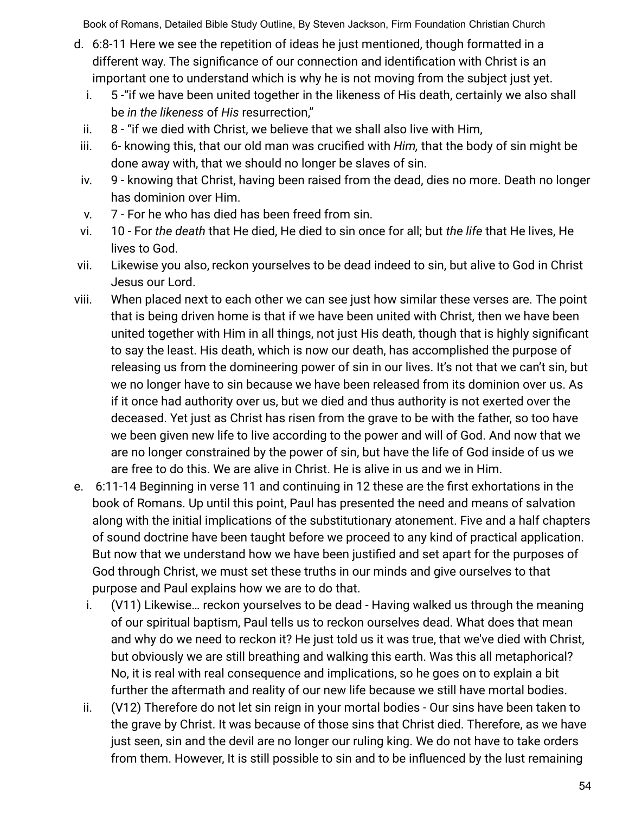- d. 6:8-11 Here we see the repetition of ideas he just mentioned, though formatted in a different way. The significance of our connection and identification with Christ is an important one to understand which is why he is not moving from the subject just yet.
	- i. 5 -"if we have been united together in the likeness of His death, certainly we also shall be *in the likeness* of *His* resurrection,"
	- ii. 8 "if we died with Christ, we believe that we shall also live with Him,
- iii. 6- knowing this, that our old man was crucified with *Him,* that the body of sin might be done away with, that we should no longer be slaves of sin.
- iv. 9 knowing that Christ, having been raised from the dead, dies no more. Death no longer has dominion over Him.
- v. 7 For he who has died has been freed from sin.
- vi. 10 For *the death* that He died, He died to sin once for all; but *the life* that He lives, He lives to God.
- vii. Likewise you also, reckon yourselves to be dead indeed to sin, but alive to God in Christ Jesus our Lord.
- viii. When placed next to each other we can see just how similar these verses are. The point that is being driven home is that if we have been united with Christ, then we have been united together with Him in all things, not just His death, though that is highly significant to say the least. His death, which is now our death, has accomplished the purpose of releasing us from the domineering power of sin in our lives. It's not that we can't sin, but we no longer have to sin because we have been released from its dominion over us. As if it once had authority over us, but we died and thus authority is not exerted over the deceased. Yet just as Christ has risen from the grave to be with the father, so too have we been given new life to live according to the power and will of God. And now that we are no longer constrained by the power of sin, but have the life of God inside of us we are free to do this. We are alive in Christ. He is alive in us and we in Him.
- e. 6:11-14 Beginning in verse 11 and continuing in 12 these are the first exhortations in the book of Romans. Up until this point, Paul has presented the need and means of salvation along with the initial implications of the substitutionary atonement. Five and a half chapters of sound doctrine have been taught before we proceed to any kind of practical application. But now that we understand how we have been justified and set apart for the purposes of God through Christ, we must set these truths in our minds and give ourselves to that purpose and Paul explains how we are to do that.
	- i. (V11) Likewise… reckon yourselves to be dead Having walked us through the meaning of our spiritual baptism, Paul tells us to reckon ourselves dead. What does that mean and why do we need to reckon it? He just told us it was true, that we've died with Christ, but obviously we are still breathing and walking this earth. Was this all metaphorical? No, it is real with real consequence and implications, so he goes on to explain a bit further the aftermath and reality of our new life because we still have mortal bodies.
	- ii. (V12) Therefore do not let sin reign in your mortal bodies Our sins have been taken to the grave by Christ. It was because of those sins that Christ died. Therefore, as we have just seen, sin and the devil are no longer our ruling king. We do not have to take orders from them. However, It is still possible to sin and to be influenced by the lust remaining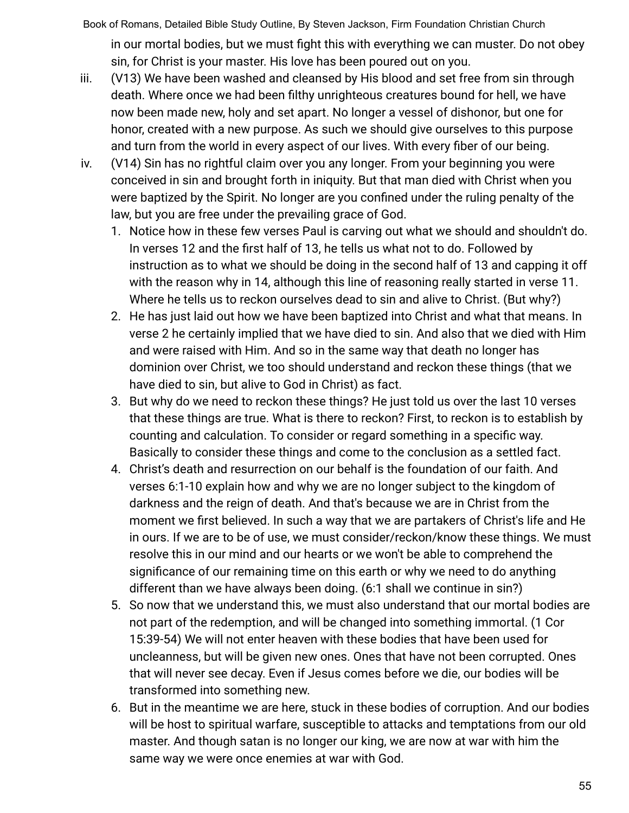Book of Romans, Detailed Bible Study Outline, By Steven Jackson, Firm Foundation Christian Church in our mortal bodies, but we must fight this with everything we can muster. Do not obey sin, for Christ is your master. His love has been poured out on you.

- iii. (V13) We have been washed and cleansed by His blood and set free from sin through death. Where once we had been filthy unrighteous creatures bound for hell, we have now been made new, holy and set apart. No longer a vessel of dishonor, but one for honor, created with a new purpose. As such we should give ourselves to this purpose and turn from the world in every aspect of our lives. With every fiber of our being.
- iv. (V14) Sin has no rightful claim over you any longer. From your beginning you were conceived in sin and brought forth in iniquity. But that man died with Christ when you were baptized by the Spirit. No longer are you confined under the ruling penalty of the law, but you are free under the prevailing grace of God.
	- 1. Notice how in these few verses Paul is carving out what we should and shouldn't do. In verses 12 and the first half of 13, he tells us what not to do. Followed by instruction as to what we should be doing in the second half of 13 and capping it off with the reason why in 14, although this line of reasoning really started in verse 11. Where he tells us to reckon ourselves dead to sin and alive to Christ. (But why?)
	- 2. He has just laid out how we have been baptized into Christ and what that means. In verse 2 he certainly implied that we have died to sin. And also that we died with Him and were raised with Him. And so in the same way that death no longer has dominion over Christ, we too should understand and reckon these things (that we have died to sin, but alive to God in Christ) as fact.
	- 3. But why do we need to reckon these things? He just told us over the last 10 verses that these things are true. What is there to reckon? First, to reckon is to establish by counting and calculation. To consider or regard something in a specific way. Basically to consider these things and come to the conclusion as a settled fact.
	- 4. Christ's death and resurrection on our behalf is the foundation of our faith. And verses 6:1-10 explain how and why we are no longer subject to the kingdom of darkness and the reign of death. And that's because we are in Christ from the moment we first believed. In such a way that we are partakers of Christ's life and He in ours. If we are to be of use, we must consider/reckon/know these things. We must resolve this in our mind and our hearts or we won't be able to comprehend the significance of our remaining time on this earth or why we need to do anything different than we have always been doing. (6:1 shall we continue in sin?)
	- 5. So now that we understand this, we must also understand that our mortal bodies are not part of the redemption, and will be changed into something immortal. (1 Cor 15:39-54) We will not enter heaven with these bodies that have been used for uncleanness, but will be given new ones. Ones that have not been corrupted. Ones that will never see decay. Even if Jesus comes before we die, our bodies will be transformed into something new.
	- 6. But in the meantime we are here, stuck in these bodies of corruption. And our bodies will be host to spiritual warfare, susceptible to attacks and temptations from our old master. And though satan is no longer our king, we are now at war with him the same way we were once enemies at war with God.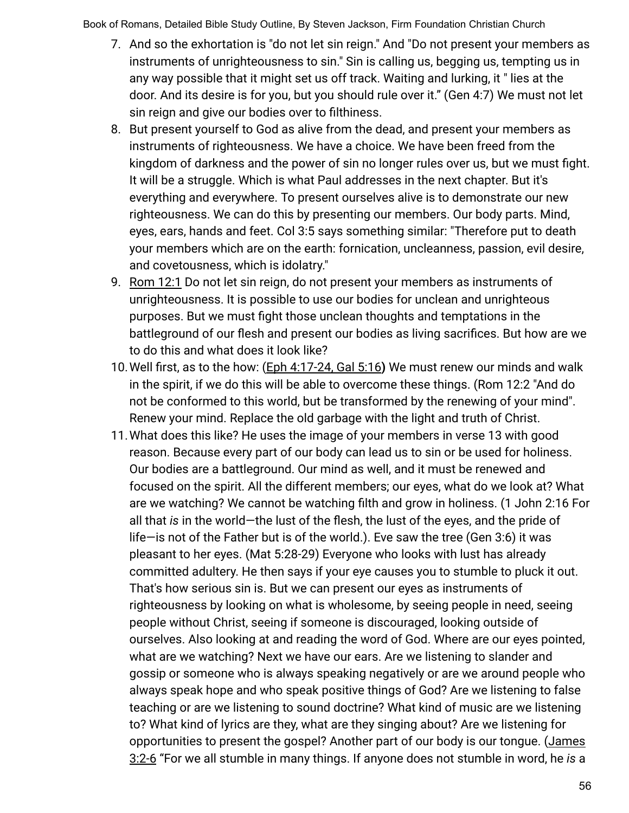- 7. And so the exhortation is "do not let sin reign." And "Do not present your members as instruments of unrighteousness to sin." Sin is calling us, begging us, tempting us in any way possible that it might set us off track. Waiting and lurking, it " lies at the door. And its desire is for you, but you should rule over it." (Gen 4:7) We must not let sin reign and give our bodies over to filthiness.
- 8. But present yourself to God as alive from the dead, and present your members as instruments of righteousness. We have a choice. We have been freed from the kingdom of darkness and the power of sin no longer rules over us, but we must fight. It will be a struggle. Which is what Paul addresses in the next chapter. But it's everything and everywhere. To present ourselves alive is to demonstrate our new righteousness. We can do this by presenting our members. Our body parts. Mind, eyes, ears, hands and feet. Col 3:5 says something similar: "Therefore put to death your members which are on the earth: fornication, uncleanness, passion, evil desire, and covetousness, which is idolatry."
- 9. Rom 12:1 Do not let sin reign, do not present your members as instruments of unrighteousness. It is possible to use our bodies for unclean and unrighteous purposes. But we must fight those unclean thoughts and temptations in the battleground of our flesh and present our bodies as living sacrifices. But how are we to do this and what does it look like?
- 10.Well first, as to the how: (Eph 4:17-24, Gal 5:16**)** We must renew our minds and walk in the spirit, if we do this will be able to overcome these things. (Rom 12:2 "And do not be conformed to this world, but be transformed by the renewing of your mind". Renew your mind. Replace the old garbage with the light and truth of Christ.
- 11.What does this like? He uses the image of your members in verse 13 with good reason. Because every part of our body can lead us to sin or be used for holiness. Our bodies are a battleground. Our mind as well, and it must be renewed and focused on the spirit. All the different members; our eyes, what do we look at? What are we watching? We cannot be watching filth and grow in holiness. (1 John 2:16 For all that *is* in the world—the lust of the flesh, the lust of the eyes, and the pride of life—is not of the Father but is of the world.). Eve saw the tree (Gen 3:6) it was pleasant to her eyes. (Mat 5:28-29) Everyone who looks with lust has already committed adultery. He then says if your eye causes you to stumble to pluck it out. That's how serious sin is. But we can present our eyes as instruments of righteousness by looking on what is wholesome, by seeing people in need, seeing people without Christ, seeing if someone is discouraged, looking outside of ourselves. Also looking at and reading the word of God. Where are our eyes pointed, what are we watching? Next we have our ears. Are we listening to slander and gossip or someone who is always speaking negatively or are we around people who always speak hope and who speak positive things of God? Are we listening to false teaching or are we listening to sound doctrine? What kind of music are we listening to? What kind of lyrics are they, what are they singing about? Are we listening for opportunities to present the gospel? Another part of our body is our tongue. (James 3:2-6 "For we all stumble in many things. If anyone does not stumble in word, he *is* a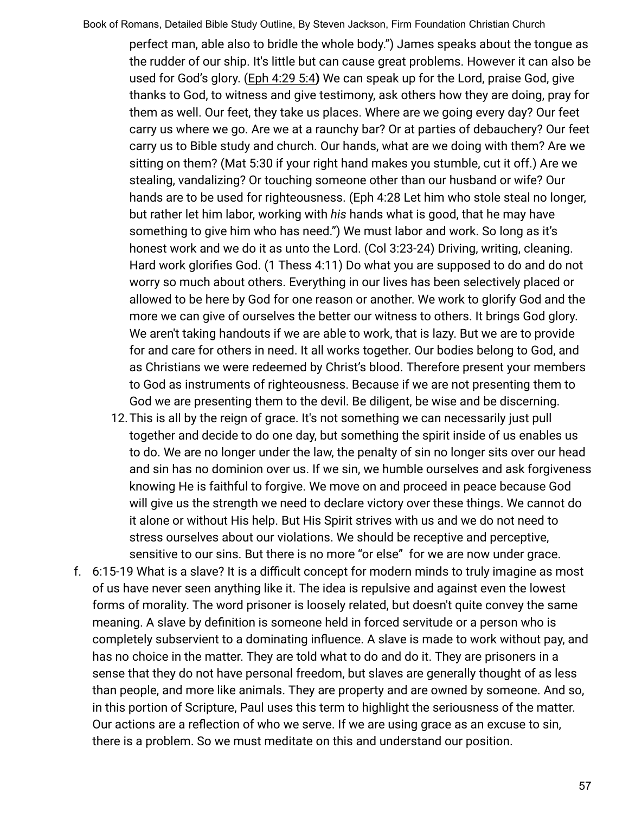perfect man, able also to bridle the whole body.") James speaks about the tongue as the rudder of our ship. It's little but can cause great problems. However it can also be used for God's glory. (Eph 4:29 5:4) We can speak up for the Lord, praise God, give thanks to God, to witness and give testimony, ask others how they are doing, pray for them as well. Our feet, they take us places. Where are we going every day? Our feet carry us where we go. Are we at a raunchy bar? Or at parties of debauchery? Our feet carry us to Bible study and church. Our hands, what are we doing with them? Are we sitting on them? (Mat 5:30 if your right hand makes you stumble, cut it off.) Are we stealing, vandalizing? Or touching someone other than our husband or wife? Our hands are to be used for righteousness. (Eph 4:28 Let him who stole steal no longer, but rather let him labor, working with *his* hands what is good, that he may have something to give him who has need.") We must labor and work. So long as it's honest work and we do it as unto the Lord. (Col 3:23-24) Driving, writing, cleaning. Hard work glorifies God. (1 Thess 4:11) Do what you are supposed to do and do not worry so much about others. Everything in our lives has been selectively placed or allowed to be here by God for one reason or another. We work to glorify God and the more we can give of ourselves the better our witness to others. It brings God glory. We aren't taking handouts if we are able to work, that is lazy. But we are to provide for and care for others in need. It all works together. Our bodies belong to God, and as Christians we were redeemed by Christ's blood. Therefore present your members to God as instruments of righteousness. Because if we are not presenting them to God we are presenting them to the devil. Be diligent, be wise and be discerning.

- 12.This is all by the reign of grace. It's not something we can necessarily just pull together and decide to do one day, but something the spirit inside of us enables us to do. We are no longer under the law, the penalty of sin no longer sits over our head and sin has no dominion over us. If we sin, we humble ourselves and ask forgiveness knowing He is faithful to forgive. We move on and proceed in peace because God will give us the strength we need to declare victory over these things. We cannot do it alone or without His help. But His Spirit strives with us and we do not need to stress ourselves about our violations. We should be receptive and perceptive, sensitive to our sins. But there is no more "or else" for we are now under grace.
- f. 6:15-19 What is a slave? It is a difficult concept for modern minds to truly imagine as most of us have never seen anything like it. The idea is repulsive and against even the lowest forms of morality. The word prisoner is loosely related, but doesn't quite convey the same meaning. A slave by definition is someone held in forced servitude or a person who is completely subservient to a dominating influence. A slave is made to work without pay, and has no choice in the matter. They are told what to do and do it. They are prisoners in a sense that they do not have personal freedom, but slaves are generally thought of as less than people, and more like animals. They are property and are owned by someone. And so, in this portion of Scripture, Paul uses this term to highlight the seriousness of the matter. Our actions are a reflection of who we serve. If we are using grace as an excuse to sin, there is a problem. So we must meditate on this and understand our position.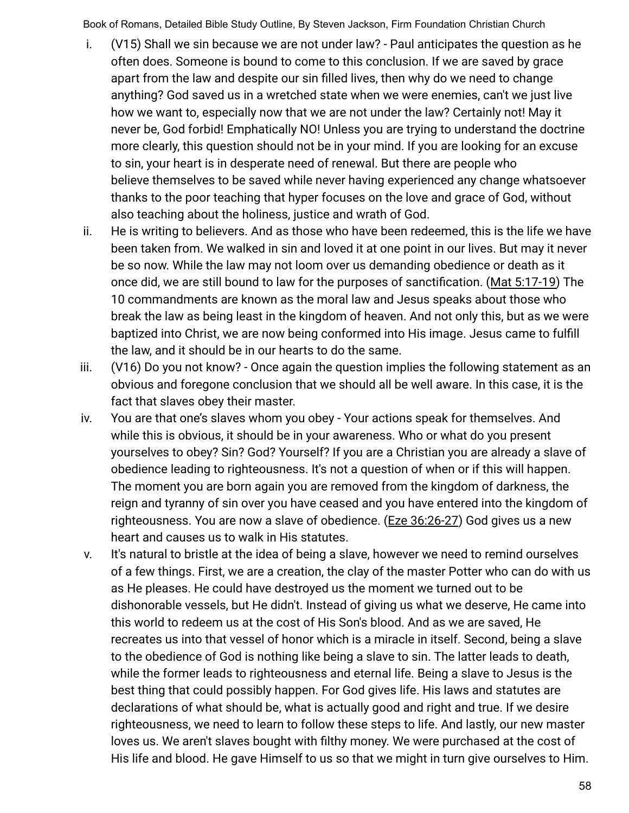- i. (V15) Shall we sin because we are not under law? Paul anticipates the question as he often does. Someone is bound to come to this conclusion. If we are saved by grace apart from the law and despite our sin filled lives, then why do we need to change anything? God saved us in a wretched state when we were enemies, can't we just live how we want to, especially now that we are not under the law? Certainly not! May it never be, God forbid! Emphatically NO! Unless you are trying to understand the doctrine more clearly, this question should not be in your mind. If you are looking for an excuse to sin, your heart is in desperate need of renewal. But there are people who believe themselves to be saved while never having experienced any change whatsoever thanks to the poor teaching that hyper focuses on the love and grace of God, without also teaching about the holiness, justice and wrath of God.
- ii. He is writing to believers. And as those who have been redeemed, this is the life we have been taken from. We walked in sin and loved it at one point in our lives. But may it never be so now. While the law may not loom over us demanding obedience or death as it once did, we are still bound to law for the purposes of sanctification. (Mat 5:17-19) The 10 commandments are known as the moral law and Jesus speaks about those who break the law as being least in the kingdom of heaven. And not only this, but as we were baptized into Christ, we are now being conformed into His image. Jesus came to fulfill the law, and it should be in our hearts to do the same.
- iii. (V16) Do you not know? Once again the question implies the following statement as an obvious and foregone conclusion that we should all be well aware. In this case, it is the fact that slaves obey their master.
- iv. You are that one's slaves whom you obey Your actions speak for themselves. And while this is obvious, it should be in your awareness. Who or what do you present yourselves to obey? Sin? God? Yourself? If you are a Christian you are already a slave of obedience leading to righteousness. It's not a question of when or if this will happen. The moment you are born again you are removed from the kingdom of darkness, the reign and tyranny of sin over you have ceased and you have entered into the kingdom of righteousness. You are now a slave of obedience. (Eze 36:26-27) God gives us a new heart and causes us to walk in His statutes.
- v. It's natural to bristle at the idea of being a slave, however we need to remind ourselves of a few things. First, we are a creation, the clay of the master Potter who can do with us as He pleases. He could have destroyed us the moment we turned out to be dishonorable vessels, but He didn't. Instead of giving us what we deserve, He came into this world to redeem us at the cost of His Son's blood. And as we are saved, He recreates us into that vessel of honor which is a miracle in itself. Second, being a slave to the obedience of God is nothing like being a slave to sin. The latter leads to death, while the former leads to righteousness and eternal life. Being a slave to Jesus is the best thing that could possibly happen. For God gives life. His laws and statutes are declarations of what should be, what is actually good and right and true. If we desire righteousness, we need to learn to follow these steps to life. And lastly, our new master loves us. We aren't slaves bought with filthy money. We were purchased at the cost of His life and blood. He gave Himself to us so that we might in turn give ourselves to Him.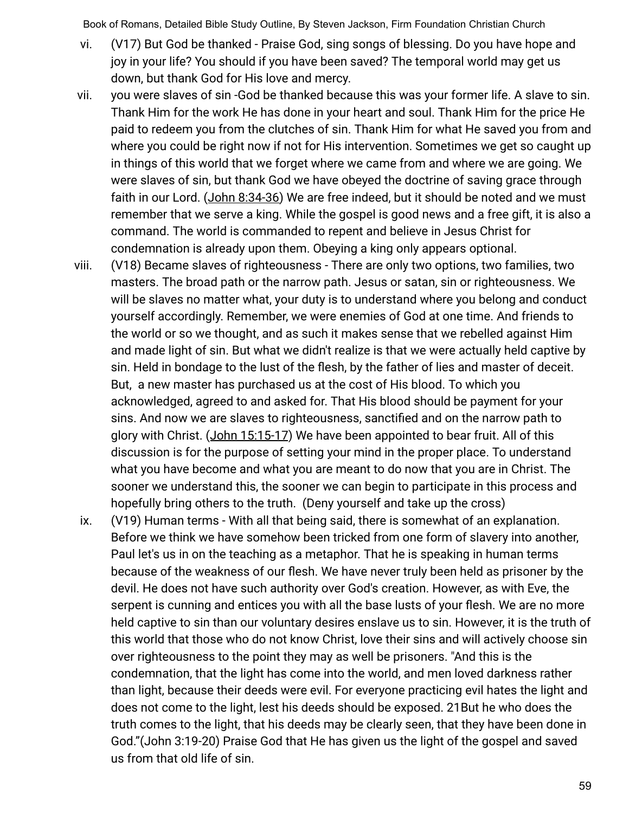- vi. (V17) But God be thanked Praise God, sing songs of blessing. Do you have hope and joy in your life? You should if you have been saved? The temporal world may get us down, but thank God for His love and mercy.
- vii. you were slaves of sin -God be thanked because this was your former life. A slave to sin. Thank Him for the work He has done in your heart and soul. Thank Him for the price He paid to redeem you from the clutches of sin. Thank Him for what He saved you from and where you could be right now if not for His intervention. Sometimes we get so caught up in things of this world that we forget where we came from and where we are going. We were slaves of sin, but thank God we have obeyed the doctrine of saving grace through faith in our Lord. (John 8:34-36) We are free indeed, but it should be noted and we must remember that we serve a king. While the gospel is good news and a free gift, it is also a command. The world is commanded to repent and believe in Jesus Christ for condemnation is already upon them. Obeying a king only appears optional.
- viii. (V18) Became slaves of righteousness There are only two options, two families, two masters. The broad path or the narrow path. Jesus or satan, sin or righteousness. We will be slaves no matter what, your duty is to understand where you belong and conduct yourself accordingly. Remember, we were enemies of God at one time. And friends to the world or so we thought, and as such it makes sense that we rebelled against Him and made light of sin. But what we didn't realize is that we were actually held captive by sin. Held in bondage to the lust of the flesh, by the father of lies and master of deceit. But, a new master has purchased us at the cost of His blood. To which you acknowledged, agreed to and asked for. That His blood should be payment for your sins. And now we are slaves to righteousness, sanctified and on the narrow path to glory with Christ. (John 15:15-17) We have been appointed to bear fruit. All of this discussion is for the purpose of setting your mind in the proper place. To understand what you have become and what you are meant to do now that you are in Christ. The sooner we understand this, the sooner we can begin to participate in this process and hopefully bring others to the truth. (Deny yourself and take up the cross)
- ix. (V19) Human terms With all that being said, there is somewhat of an explanation. Before we think we have somehow been tricked from one form of slavery into another, Paul let's us in on the teaching as a metaphor. That he is speaking in human terms because of the weakness of our flesh. We have never truly been held as prisoner by the devil. He does not have such authority over God's creation. However, as with Eve, the serpent is cunning and entices you with all the base lusts of your flesh. We are no more held captive to sin than our voluntary desires enslave us to sin. However, it is the truth of this world that those who do not know Christ, love their sins and will actively choose sin over righteousness to the point they may as well be prisoners. "And this is the condemnation, that the light has come into the world, and men loved darkness rather than light, because their deeds were evil. For everyone practicing evil hates the light and does not come to the light, lest his deeds should be exposed. 21But he who does the truth comes to the light, that his deeds may be clearly seen, that they have been done in God."(John 3:19-20) Praise God that He has given us the light of the gospel and saved us from that old life of sin.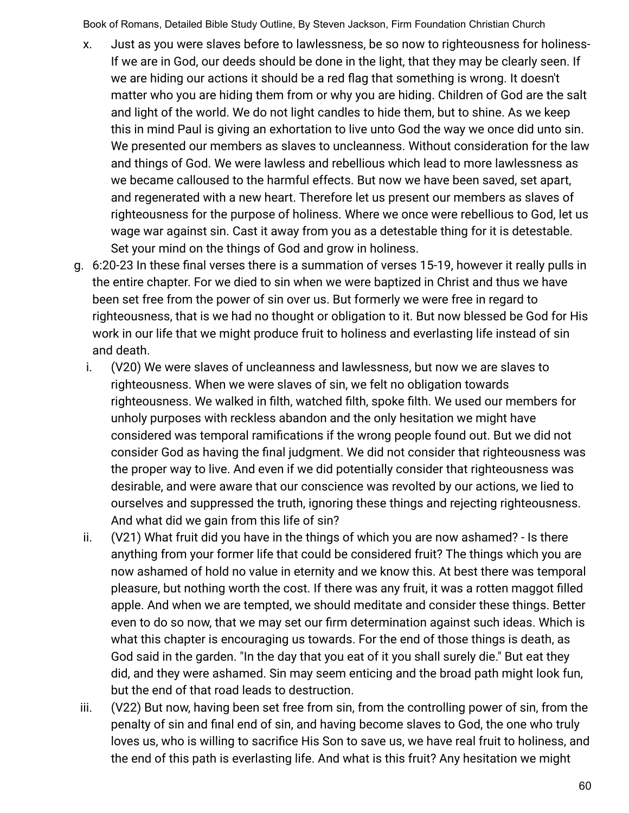- x. Just as you were slaves before to lawlessness, be so now to righteousness for holiness-If we are in God, our deeds should be done in the light, that they may be clearly seen. If we are hiding our actions it should be a red flag that something is wrong. It doesn't matter who you are hiding them from or why you are hiding. Children of God are the salt and light of the world. We do not light candles to hide them, but to shine. As we keep this in mind Paul is giving an exhortation to live unto God the way we once did unto sin. We presented our members as slaves to uncleanness. Without consideration for the law and things of God. We were lawless and rebellious which lead to more lawlessness as we became calloused to the harmful effects. But now we have been saved, set apart, and regenerated with a new heart. Therefore let us present our members as slaves of righteousness for the purpose of holiness. Where we once were rebellious to God, let us wage war against sin. Cast it away from you as a detestable thing for it is detestable. Set your mind on the things of God and grow in holiness.
- g. 6:20-23 In these final verses there is a summation of verses 15-19, however it really pulls in the entire chapter. For we died to sin when we were baptized in Christ and thus we have been set free from the power of sin over us. But formerly we were free in regard to righteousness, that is we had no thought or obligation to it. But now blessed be God for His work in our life that we might produce fruit to holiness and everlasting life instead of sin and death.
	- i. (V20) We were slaves of uncleanness and lawlessness, but now we are slaves to righteousness. When we were slaves of sin, we felt no obligation towards righteousness. We walked in filth, watched filth, spoke filth. We used our members for unholy purposes with reckless abandon and the only hesitation we might have considered was temporal ramifications if the wrong people found out. But we did not consider God as having the final judgment. We did not consider that righteousness was the proper way to live. And even if we did potentially consider that righteousness was desirable, and were aware that our conscience was revolted by our actions, we lied to ourselves and suppressed the truth, ignoring these things and rejecting righteousness. And what did we gain from this life of sin?
	- ii. (V21) What fruit did you have in the things of which you are now ashamed? Is there anything from your former life that could be considered fruit? The things which you are now ashamed of hold no value in eternity and we know this. At best there was temporal pleasure, but nothing worth the cost. If there was any fruit, it was a rotten maggot filled apple. And when we are tempted, we should meditate and consider these things. Better even to do so now, that we may set our firm determination against such ideas. Which is what this chapter is encouraging us towards. For the end of those things is death, as God said in the garden. "In the day that you eat of it you shall surely die." But eat they did, and they were ashamed. Sin may seem enticing and the broad path might look fun, but the end of that road leads to destruction.
- iii. (V22) But now, having been set free from sin, from the controlling power of sin, from the penalty of sin and final end of sin, and having become slaves to God, the one who truly loves us, who is willing to sacrifice His Son to save us, we have real fruit to holiness, and the end of this path is everlasting life. And what is this fruit? Any hesitation we might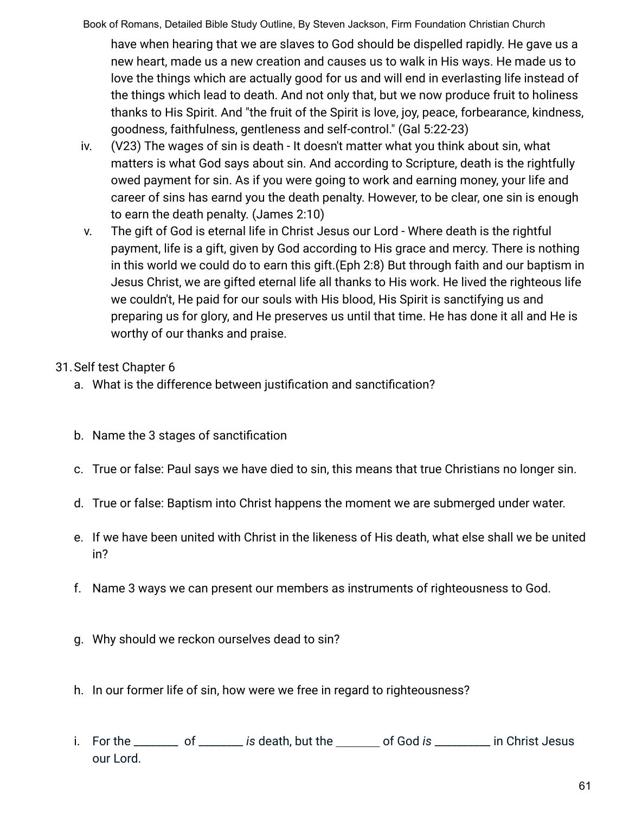have when hearing that we are slaves to God should be dispelled rapidly. He gave us a new heart, made us a new creation and causes us to walk in His ways. He made us to love the things which are actually good for us and will end in everlasting life instead of the things which lead to death. And not only that, but we now produce fruit to holiness thanks to His Spirit. And "the fruit of the Spirit is love, joy, peace, forbearance, kindness, goodness, faithfulness, gentleness and self-control." (Gal 5:22-23)

- iv. (V23) The wages of sin is death It doesn't matter what you think about sin, what matters is what God says about sin. And according to Scripture, death is the rightfully owed payment for sin. As if you were going to work and earning money, your life and career of sins has earnd you the death penalty. However, to be clear, one sin is enough to earn the death penalty. (James 2:10)
- v. The gift of God is eternal life in Christ Jesus our Lord Where death is the rightful payment, life is a gift, given by God according to His grace and mercy. There is nothing in this world we could do to earn this gift.(Eph 2:8) But through faith and our baptism in Jesus Christ, we are gifted eternal life all thanks to His work. He lived the righteous life we couldn't, He paid for our souls with His blood, His Spirit is sanctifying us and preparing us for glory, and He preserves us until that time. He has done it all and He is worthy of our thanks and praise.

## 31.Self test Chapter 6

- a. What is the difference between justification and sanctification?
- b. Name the 3 stages of sanctification
- c. True or false: Paul says we have died to sin, this means that true Christians no longer sin.
- d. True or false: Baptism into Christ happens the moment we are submerged under water.
- e. If we have been united with Christ in the likeness of His death, what else shall we be united in?
- f. Name 3 ways we can present our members as instruments of righteousness to God.
- g. Why should we reckon ourselves dead to sin?
- h. In our former life of sin, how were we free in regard to righteousness?
- i. For the \_\_\_\_\_\_\_\_ of \_\_\_\_\_\_\_\_ *is* death, but the \_\_\_\_\_\_\_\_\_ of God *is* \_\_\_\_\_\_\_\_\_\_ in Christ Jesus our Lord.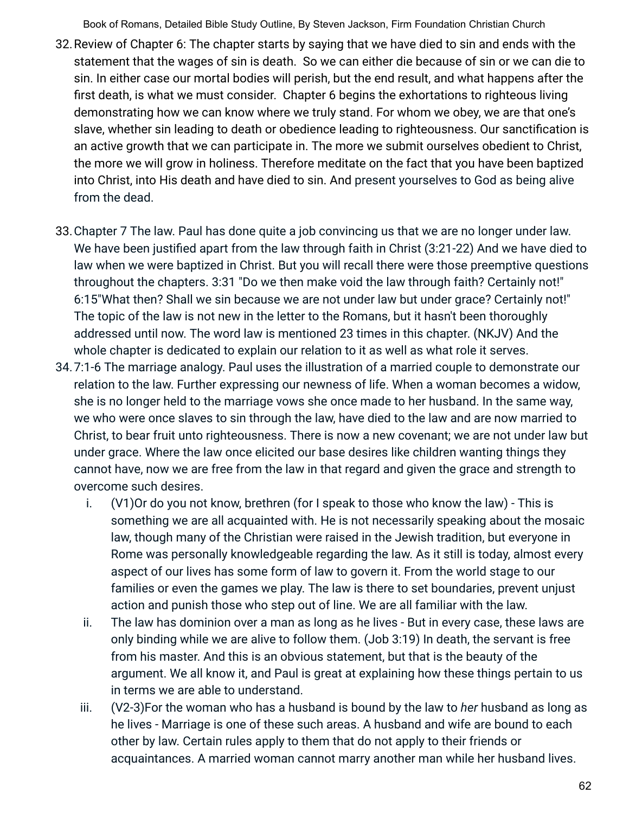- 32.Review of Chapter 6: The chapter starts by saying that we have died to sin and ends with the statement that the wages of sin is death. So we can either die because of sin or we can die to sin. In either case our mortal bodies will perish, but the end result, and what happens after the first death, is what we must consider. Chapter 6 begins the exhortations to righteous living demonstrating how we can know where we truly stand. For whom we obey, we are that one's slave, whether sin leading to death or obedience leading to righteousness. Our sanctification is an active growth that we can participate in. The more we submit ourselves obedient to Christ, the more we will grow in holiness. Therefore meditate on the fact that you have been baptized into Christ, into His death and have died to sin. And present yourselves to God as being alive from the dead.
- 33.Chapter 7 The law. Paul has done quite a job convincing us that we are no longer under law. We have been justified apart from the law through faith in Christ (3:21-22) And we have died to law when we were baptized in Christ. But you will recall there were those preemptive questions throughout the chapters. 3:31 "Do we then make void the law through faith? Certainly not!" 6:15"What then? Shall we sin because we are not under law but under grace? Certainly not!" The topic of the law is not new in the letter to the Romans, but it hasn't been thoroughly addressed until now. The word law is mentioned 23 times in this chapter. (NKJV) And the whole chapter is dedicated to explain our relation to it as well as what role it serves.
- 34.7:1-6 The marriage analogy. Paul uses the illustration of a married couple to demonstrate our relation to the law. Further expressing our newness of life. When a woman becomes a widow, she is no longer held to the marriage vows she once made to her husband. In the same way, we who were once slaves to sin through the law, have died to the law and are now married to Christ, to bear fruit unto righteousness. There is now a new covenant; we are not under law but under grace. Where the law once elicited our base desires like children wanting things they cannot have, now we are free from the law in that regard and given the grace and strength to overcome such desires.
	- i. (V1)Or do you not know, brethren (for I speak to those who know the law) This is something we are all acquainted with. He is not necessarily speaking about the mosaic law, though many of the Christian were raised in the Jewish tradition, but everyone in Rome was personally knowledgeable regarding the law. As it still is today, almost every aspect of our lives has some form of law to govern it. From the world stage to our families or even the games we play. The law is there to set boundaries, prevent unjust action and punish those who step out of line. We are all familiar with the law.
	- ii. The law has dominion over a man as long as he lives But in every case, these laws are only binding while we are alive to follow them. (Job 3:19) In death, the servant is free from his master. And this is an obvious statement, but that is the beauty of the argument. We all know it, and Paul is great at explaining how these things pertain to us in terms we are able to understand.
	- iii. (V2-3)For the woman who has a husband is bound by the law to *her* husband as long as he lives - Marriage is one of these such areas. A husband and wife are bound to each other by law. Certain rules apply to them that do not apply to their friends or acquaintances. A married woman cannot marry another man while her husband lives.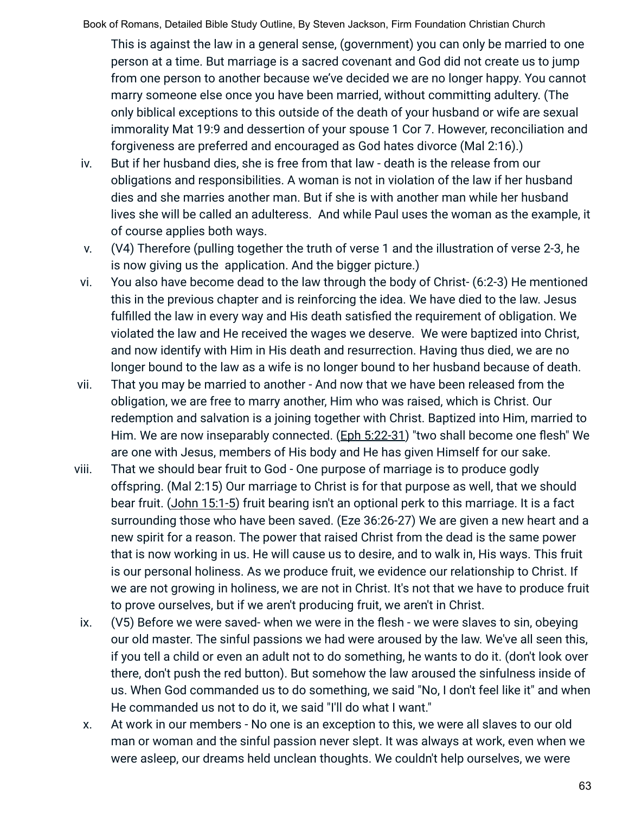This is against the law in a general sense, (government) you can only be married to one person at a time. But marriage is a sacred covenant and God did not create us to jump from one person to another because we've decided we are no longer happy. You cannot marry someone else once you have been married, without committing adultery. (The only biblical exceptions to this outside of the death of your husband or wife are sexual immorality Mat 19:9 and dessertion of your spouse 1 Cor 7. However, reconciliation and forgiveness are preferred and encouraged as God hates divorce (Mal 2:16).)

- iv. But if her husband dies, she is free from that law death is the release from our obligations and responsibilities. A woman is not in violation of the law if her husband dies and she marries another man. But if she is with another man while her husband lives she will be called an adulteress. And while Paul uses the woman as the example, it of course applies both ways.
- v. (V4) Therefore (pulling together the truth of verse 1 and the illustration of verse 2-3, he is now giving us the application. And the bigger picture.)
- vi. You also have become dead to the law through the body of Christ- (6:2-3) He mentioned this in the previous chapter and is reinforcing the idea. We have died to the law. Jesus fulfilled the law in every way and His death satisfied the requirement of obligation. We violated the law and He received the wages we deserve. We were baptized into Christ, and now identify with Him in His death and resurrection. Having thus died, we are no longer bound to the law as a wife is no longer bound to her husband because of death.
- vii. That you may be married to another And now that we have been released from the obligation, we are free to marry another, Him who was raised, which is Christ. Our redemption and salvation is a joining together with Christ. Baptized into Him, married to Him. We are now inseparably connected. (Eph 5:22-31) "two shall become one flesh" We are one with Jesus, members of His body and He has given Himself for our sake.
- viii. That we should bear fruit to God One purpose of marriage is to produce godly offspring. (Mal 2:15) Our marriage to Christ is for that purpose as well, that we should bear fruit. (John 15:1-5) fruit bearing isn't an optional perk to this marriage. It is a fact surrounding those who have been saved. (Eze 36:26-27) We are given a new heart and a new spirit for a reason. The power that raised Christ from the dead is the same power that is now working in us. He will cause us to desire, and to walk in, His ways. This fruit is our personal holiness. As we produce fruit, we evidence our relationship to Christ. If we are not growing in holiness, we are not in Christ. It's not that we have to produce fruit to prove ourselves, but if we aren't producing fruit, we aren't in Christ.
- ix. (V5) Before we were saved- when we were in the flesh we were slaves to sin, obeying our old master. The sinful passions we had were aroused by the law. We've all seen this, if you tell a child or even an adult not to do something, he wants to do it. (don't look over there, don't push the red button). But somehow the law aroused the sinfulness inside of us. When God commanded us to do something, we said "No, I don't feel like it" and when He commanded us not to do it, we said "I'll do what I want."
- x. At work in our members No one is an exception to this, we were all slaves to our old man or woman and the sinful passion never slept. It was always at work, even when we were asleep, our dreams held unclean thoughts. We couldn't help ourselves, we were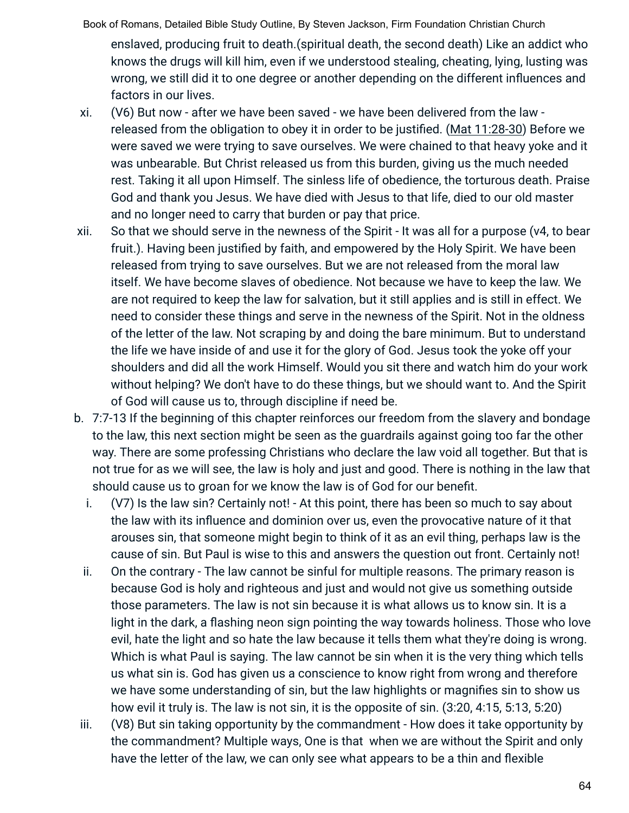Book of Romans, Detailed Bible Study Outline, By Steven Jackson, Firm Foundation Christian Church enslaved, producing fruit to death.(spiritual death, the second death) Like an addict who knows the drugs will kill him, even if we understood stealing, cheating, lying, lusting was wrong, we still did it to one degree or another depending on the different influences and factors in our lives.

- xi. (V6) But now after we have been saved we have been delivered from the law released from the obligation to obey it in order to be justified. (Mat 11:28-30) Before we were saved we were trying to save ourselves. We were chained to that heavy yoke and it was unbearable. But Christ released us from this burden, giving us the much needed rest. Taking it all upon Himself. The sinless life of obedience, the torturous death. Praise God and thank you Jesus. We have died with Jesus to that life, died to our old master and no longer need to carry that burden or pay that price.
- xii. So that we should serve in the newness of the Spirit It was all for a purpose (v4, to bear fruit.). Having been justified by faith, and empowered by the Holy Spirit. We have been released from trying to save ourselves. But we are not released from the moral law itself. We have become slaves of obedience. Not because we have to keep the law. We are not required to keep the law for salvation, but it still applies and is still in effect. We need to consider these things and serve in the newness of the Spirit. Not in the oldness of the letter of the law. Not scraping by and doing the bare minimum. But to understand the life we have inside of and use it for the glory of God. Jesus took the yoke off your shoulders and did all the work Himself. Would you sit there and watch him do your work without helping? We don't have to do these things, but we should want to. And the Spirit of God will cause us to, through discipline if need be.
- b. 7:7-13 If the beginning of this chapter reinforces our freedom from the slavery and bondage to the law, this next section might be seen as the guardrails against going too far the other way. There are some professing Christians who declare the law void all together. But that is not true for as we will see, the law is holy and just and good. There is nothing in the law that should cause us to groan for we know the law is of God for our benefit.
	- i. (V7) Is the law sin? Certainly not! At this point, there has been so much to say about the law with its influence and dominion over us, even the provocative nature of it that arouses sin, that someone might begin to think of it as an evil thing, perhaps law is the cause of sin. But Paul is wise to this and answers the question out front. Certainly not!
	- ii. On the contrary The law cannot be sinful for multiple reasons. The primary reason is because God is holy and righteous and just and would not give us something outside those parameters. The law is not sin because it is what allows us to know sin. It is a light in the dark, a flashing neon sign pointing the way towards holiness. Those who love evil, hate the light and so hate the law because it tells them what they're doing is wrong. Which is what Paul is saying. The law cannot be sin when it is the very thing which tells us what sin is. God has given us a conscience to know right from wrong and therefore we have some understanding of sin, but the law highlights or magnifies sin to show us how evil it truly is. The law is not sin, it is the opposite of sin. (3:20, 4:15, 5:13, 5:20)
- iii. (V8) But sin taking opportunity by the commandment How does it take opportunity by the commandment? Multiple ways, One is that when we are without the Spirit and only have the letter of the law, we can only see what appears to be a thin and flexible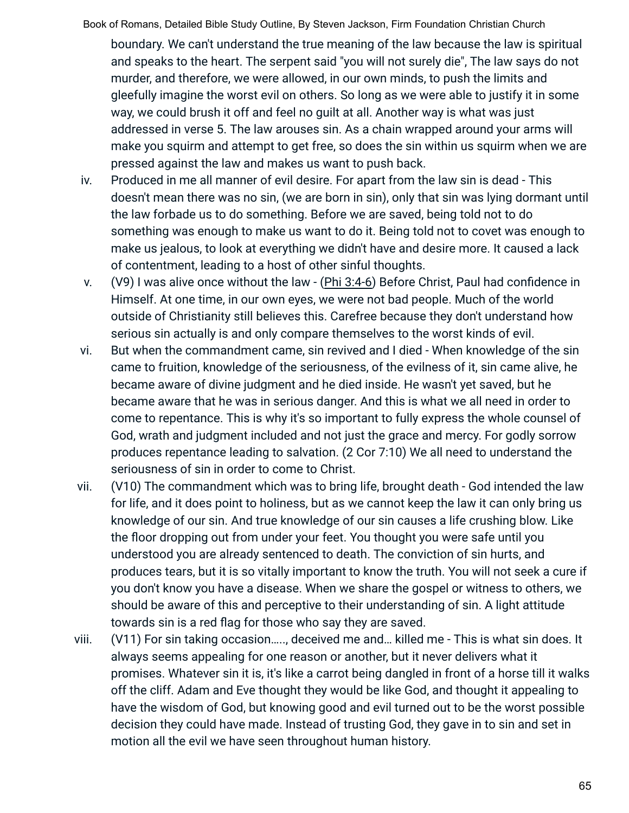boundary. We can't understand the true meaning of the law because the law is spiritual and speaks to the heart. The serpent said "you will not surely die", The law says do not murder, and therefore, we were allowed, in our own minds, to push the limits and gleefully imagine the worst evil on others. So long as we were able to justify it in some way, we could brush it off and feel no guilt at all. Another way is what was just addressed in verse 5. The law arouses sin. As a chain wrapped around your arms will make you squirm and attempt to get free, so does the sin within us squirm when we are pressed against the law and makes us want to push back.

- iv. Produced in me all manner of evil desire. For apart from the law sin is dead This doesn't mean there was no sin, (we are born in sin), only that sin was lying dormant until the law forbade us to do something. Before we are saved, being told not to do something was enough to make us want to do it. Being told not to covet was enough to make us jealous, to look at everything we didn't have and desire more. It caused a lack of contentment, leading to a host of other sinful thoughts.
- v. (V9) I was alive once without the law (Phi 3:4-6) Before Christ, Paul had confidence in Himself. At one time, in our own eyes, we were not bad people. Much of the world outside of Christianity still believes this. Carefree because they don't understand how serious sin actually is and only compare themselves to the worst kinds of evil.
- vi. But when the commandment came, sin revived and I died When knowledge of the sin came to fruition, knowledge of the seriousness, of the evilness of it, sin came alive, he became aware of divine judgment and he died inside. He wasn't yet saved, but he became aware that he was in serious danger. And this is what we all need in order to come to repentance. This is why it's so important to fully express the whole counsel of God, wrath and judgment included and not just the grace and mercy. For godly sorrow produces repentance leading to salvation. (2 Cor 7:10) We all need to understand the seriousness of sin in order to come to Christ.
- vii. (V10) The commandment which was to bring life, brought death God intended the law for life, and it does point to holiness, but as we cannot keep the law it can only bring us knowledge of our sin. And true knowledge of our sin causes a life crushing blow. Like the floor dropping out from under your feet. You thought you were safe until you understood you are already sentenced to death. The conviction of sin hurts, and produces tears, but it is so vitally important to know the truth. You will not seek a cure if you don't know you have a disease. When we share the gospel or witness to others, we should be aware of this and perceptive to their understanding of sin. A light attitude towards sin is a red flag for those who say they are saved.
- viii. (V11) For sin taking occasion….., deceived me and… killed me This is what sin does. It always seems appealing for one reason or another, but it never delivers what it promises. Whatever sin it is, it's like a carrot being dangled in front of a horse till it walks off the cliff. Adam and Eve thought they would be like God, and thought it appealing to have the wisdom of God, but knowing good and evil turned out to be the worst possible decision they could have made. Instead of trusting God, they gave in to sin and set in motion all the evil we have seen throughout human history.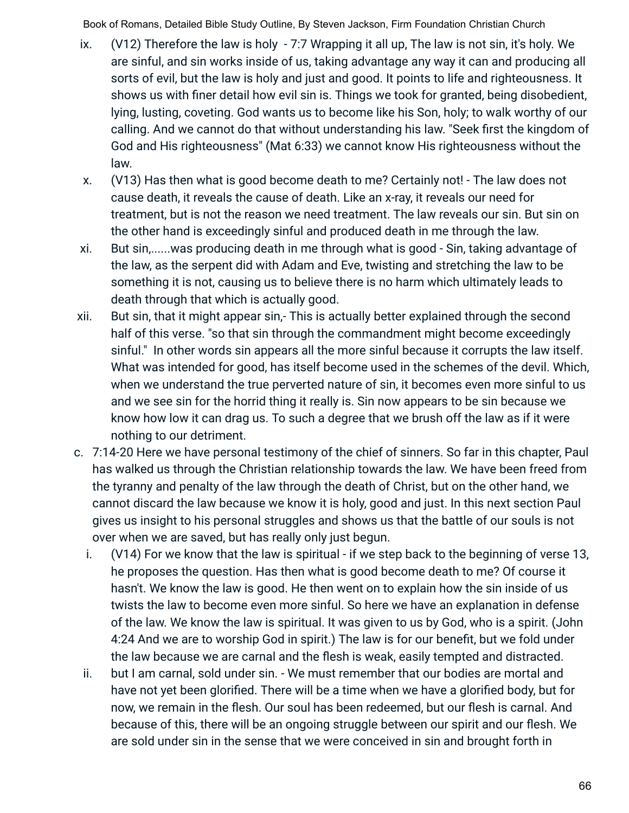- ix. (V12) Therefore the law is holy 7:7 Wrapping it all up, The law is not sin, it's holy. We are sinful, and sin works inside of us, taking advantage any way it can and producing all sorts of evil, but the law is holy and just and good. It points to life and righteousness. It shows us with finer detail how evil sin is. Things we took for granted, being disobedient, lying, lusting, coveting. God wants us to become like his Son, holy; to walk worthy of our calling. And we cannot do that without understanding his law. "Seek first the kingdom of God and His righteousness" (Mat 6:33) we cannot know His righteousness without the law.
- x. (V13) Has then what is good become death to me? Certainly not! The law does not cause death, it reveals the cause of death. Like an x-ray, it reveals our need for treatment, but is not the reason we need treatment. The law reveals our sin. But sin on the other hand is exceedingly sinful and produced death in me through the law.
- xi. But sin,......was producing death in me through what is good Sin, taking advantage of the law, as the serpent did with Adam and Eve, twisting and stretching the law to be something it is not, causing us to believe there is no harm which ultimately leads to death through that which is actually good.
- xii. But sin, that it might appear sin,- This is actually better explained through the second half of this verse. "so that sin through the commandment might become exceedingly sinful." In other words sin appears all the more sinful because it corrupts the law itself. What was intended for good, has itself become used in the schemes of the devil. Which, when we understand the true perverted nature of sin, it becomes even more sinful to us and we see sin for the horrid thing it really is. Sin now appears to be sin because we know how low it can drag us. To such a degree that we brush off the law as if it were nothing to our detriment.
- c. 7:14-20 Here we have personal testimony of the chief of sinners. So far in this chapter, Paul has walked us through the Christian relationship towards the law. We have been freed from the tyranny and penalty of the law through the death of Christ, but on the other hand, we cannot discard the law because we know it is holy, good and just. In this next section Paul gives us insight to his personal struggles and shows us that the battle of our souls is not over when we are saved, but has really only just begun.
	- i. (V14) For we know that the law is spiritual if we step back to the beginning of verse 13, he proposes the question. Has then what is good become death to me? Of course it hasn't. We know the law is good. He then went on to explain how the sin inside of us twists the law to become even more sinful. So here we have an explanation in defense of the law. We know the law is spiritual. It was given to us by God, who is a spirit. (John 4:24 And we are to worship God in spirit.) The law is for our benefit, but we fold under the law because we are carnal and the flesh is weak, easily tempted and distracted.
	- ii. but I am carnal, sold under sin. We must remember that our bodies are mortal and have not yet been glorified. There will be a time when we have a glorified body, but for now, we remain in the flesh. Our soul has been redeemed, but our flesh is carnal. And because of this, there will be an ongoing struggle between our spirit and our flesh. We are sold under sin in the sense that we were conceived in sin and brought forth in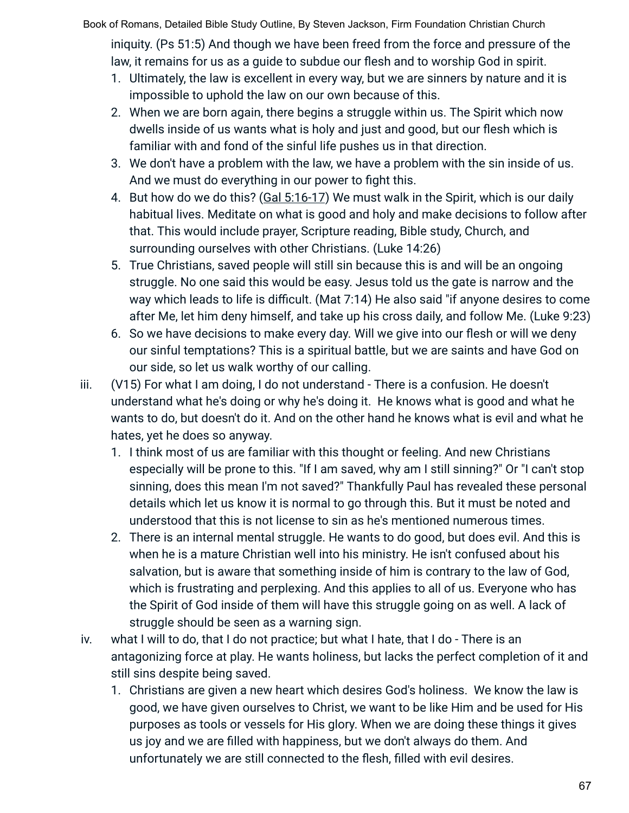Book of Romans, Detailed Bible Study Outline, By Steven Jackson, Firm Foundation Christian Church iniquity. (Ps 51:5) And though we have been freed from the force and pressure of the law, it remains for us as a guide to subdue our flesh and to worship God in spirit.

- 1. Ultimately, the law is excellent in every way, but we are sinners by nature and it is impossible to uphold the law on our own because of this.
- 2. When we are born again, there begins a struggle within us. The Spirit which now dwells inside of us wants what is holy and just and good, but our flesh which is familiar with and fond of the sinful life pushes us in that direction.
- 3. We don't have a problem with the law, we have a problem with the sin inside of us. And we must do everything in our power to fight this.
- 4. But how do we do this? (Gal 5:16-17) We must walk in the Spirit, which is our daily habitual lives. Meditate on what is good and holy and make decisions to follow after that. This would include prayer, Scripture reading, Bible study, Church, and surrounding ourselves with other Christians. (Luke 14:26)
- 5. True Christians, saved people will still sin because this is and will be an ongoing struggle. No one said this would be easy. Jesus told us the gate is narrow and the way which leads to life is difficult. (Mat 7:14) He also said "if anyone desires to come after Me, let him deny himself, and take up his cross daily, and follow Me. (Luke 9:23)
- 6. So we have decisions to make every day. Will we give into our flesh or will we deny our sinful temptations? This is a spiritual battle, but we are saints and have God on our side, so let us walk worthy of our calling.
- iii. (V15) For what I am doing, I do not understand There is a confusion. He doesn't understand what he's doing or why he's doing it. He knows what is good and what he wants to do, but doesn't do it. And on the other hand he knows what is evil and what he hates, yet he does so anyway.
	- 1. I think most of us are familiar with this thought or feeling. And new Christians especially will be prone to this. "If I am saved, why am I still sinning?" Or "I can't stop sinning, does this mean I'm not saved?" Thankfully Paul has revealed these personal details which let us know it is normal to go through this. But it must be noted and understood that this is not license to sin as he's mentioned numerous times.
	- 2. There is an internal mental struggle. He wants to do good, but does evil. And this is when he is a mature Christian well into his ministry. He isn't confused about his salvation, but is aware that something inside of him is contrary to the law of God, which is frustrating and perplexing. And this applies to all of us. Everyone who has the Spirit of God inside of them will have this struggle going on as well. A lack of struggle should be seen as a warning sign.
- iv. what I will to do, that I do not practice; but what I hate, that I do There is an antagonizing force at play. He wants holiness, but lacks the perfect completion of it and still sins despite being saved.
	- 1. Christians are given a new heart which desires God's holiness. We know the law is good, we have given ourselves to Christ, we want to be like Him and be used for His purposes as tools or vessels for His glory. When we are doing these things it gives us joy and we are filled with happiness, but we don't always do them. And unfortunately we are still connected to the flesh, filled with evil desires.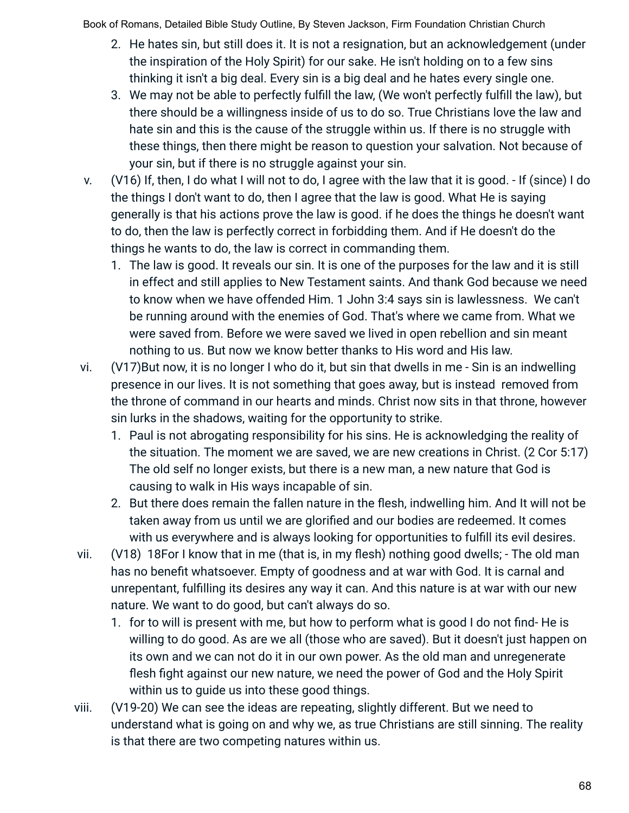- 2. He hates sin, but still does it. It is not a resignation, but an acknowledgement (under the inspiration of the Holy Spirit) for our sake. He isn't holding on to a few sins thinking it isn't a big deal. Every sin is a big deal and he hates every single one.
- 3. We may not be able to perfectly fulfill the law, (We won't perfectly fulfill the law), but there should be a willingness inside of us to do so. True Christians love the law and hate sin and this is the cause of the struggle within us. If there is no struggle with these things, then there might be reason to question your salvation. Not because of your sin, but if there is no struggle against your sin.
- v. (V16) If, then, I do what I will not to do, I agree with the law that it is good. If (since) I do the things I don't want to do, then I agree that the law is good. What He is saying generally is that his actions prove the law is good. if he does the things he doesn't want to do, then the law is perfectly correct in forbidding them. And if He doesn't do the things he wants to do, the law is correct in commanding them.
	- 1. The law is good. It reveals our sin. It is one of the purposes for the law and it is still in effect and still applies to New Testament saints. And thank God because we need to know when we have offended Him. 1 John 3:4 says sin is lawlessness. We can't be running around with the enemies of God. That's where we came from. What we were saved from. Before we were saved we lived in open rebellion and sin meant nothing to us. But now we know better thanks to His word and His law.
- vi. (V17)But now, it is no longer I who do it, but sin that dwells in me Sin is an indwelling presence in our lives. It is not something that goes away, but is instead removed from the throne of command in our hearts and minds. Christ now sits in that throne, however sin lurks in the shadows, waiting for the opportunity to strike.
	- 1. Paul is not abrogating responsibility for his sins. He is acknowledging the reality of the situation. The moment we are saved, we are new creations in Christ. (2 Cor 5:17) The old self no longer exists, but there is a new man, a new nature that God is causing to walk in His ways incapable of sin.
	- 2. But there does remain the fallen nature in the flesh, indwelling him. And It will not be taken away from us until we are glorified and our bodies are redeemed. It comes with us everywhere and is always looking for opportunities to fulfill its evil desires.
- vii. (V18) 18For I know that in me (that is, in my flesh) nothing good dwells; The old man has no benefit whatsoever. Empty of goodness and at war with God. It is carnal and unrepentant, fulfilling its desires any way it can. And this nature is at war with our new nature. We want to do good, but can't always do so.
	- 1. for to will is present with me, but how to perform what is good I do not find- He is willing to do good. As are we all (those who are saved). But it doesn't just happen on its own and we can not do it in our own power. As the old man and unregenerate flesh fight against our new nature, we need the power of God and the Holy Spirit within us to guide us into these good things.
- viii. (V19-20) We can see the ideas are repeating, slightly different. But we need to understand what is going on and why we, as true Christians are still sinning. The reality is that there are two competing natures within us.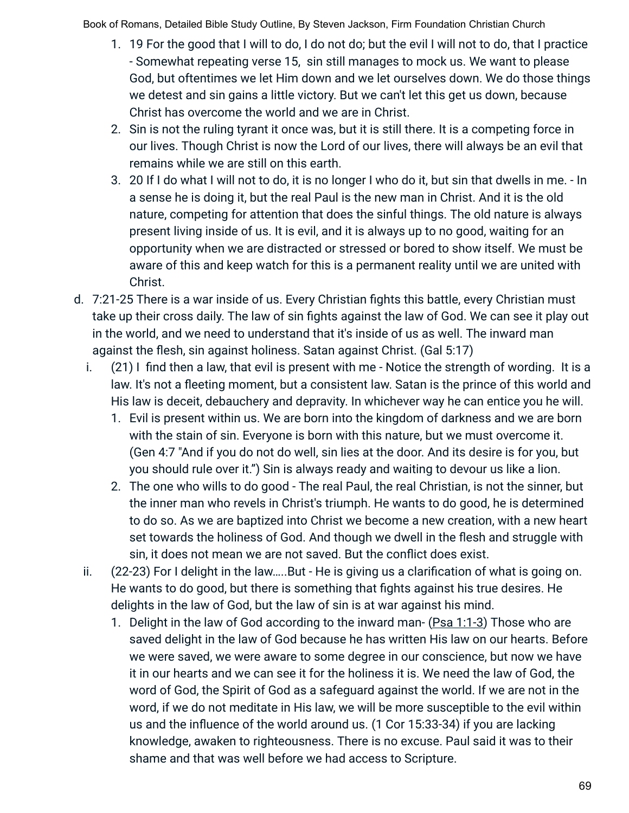- 1. 19 For the good that I will to do, I do not do; but the evil I will not to do, that I practice - Somewhat repeating verse 15, sin still manages to mock us. We want to please God, but oftentimes we let Him down and we let ourselves down. We do those things we detest and sin gains a little victory. But we can't let this get us down, because Christ has overcome the world and we are in Christ.
- 2. Sin is not the ruling tyrant it once was, but it is still there. It is a competing force in our lives. Though Christ is now the Lord of our lives, there will always be an evil that remains while we are still on this earth.
- 3. 20 If I do what I will not to do, it is no longer I who do it, but sin that dwells in me. ‐ In a sense he is doing it, but the real Paul is the new man in Christ. And it is the old nature, competing for attention that does the sinful things. The old nature is always present living inside of us. It is evil, and it is always up to no good, waiting for an opportunity when we are distracted or stressed or bored to show itself. We must be aware of this and keep watch for this is a permanent reality until we are united with Christ.
- d. 7:21-25 There is a war inside of us. Every Christian fights this battle, every Christian must take up their cross daily. The law of sin fights against the law of God. We can see it play out in the world, and we need to understand that it's inside of us as well. The inward man against the flesh, sin against holiness. Satan against Christ. (Gal 5:17)
	- i. (21) I find then a law, that evil is present with me Notice the strength of wording. It is a law. It's not a fleeting moment, but a consistent law. Satan is the prince of this world and His law is deceit, debauchery and depravity. In whichever way he can entice you he will.
		- 1. Evil is present within us. We are born into the kingdom of darkness and we are born with the stain of sin. Everyone is born with this nature, but we must overcome it. (Gen 4:7 "And if you do not do well, sin lies at the door. And its desire is for you, but you should rule over it.") Sin is always ready and waiting to devour us like a lion.
		- 2. The one who wills to do good The real Paul, the real Christian, is not the sinner, but the inner man who revels in Christ's triumph. He wants to do good, he is determined to do so. As we are baptized into Christ we become a new creation, with a new heart set towards the holiness of God. And though we dwell in the flesh and struggle with sin, it does not mean we are not saved. But the conflict does exist.
	- ii. (22-23) For I delight in the law…..But He is giving us a clarification of what is going on. He wants to do good, but there is something that fights against his true desires. He delights in the law of God, but the law of sin is at war against his mind.
		- 1. Delight in the law of God according to the inward man- (Psa 1:1-3) Those who are saved delight in the law of God because he has written His law on our hearts. Before we were saved, we were aware to some degree in our conscience, but now we have it in our hearts and we can see it for the holiness it is. We need the law of God, the word of God, the Spirit of God as a safeguard against the world. If we are not in the word, if we do not meditate in His law, we will be more susceptible to the evil within us and the influence of the world around us. (1 Cor 15:33-34) if you are lacking knowledge, awaken to righteousness. There is no excuse. Paul said it was to their shame and that was well before we had access to Scripture.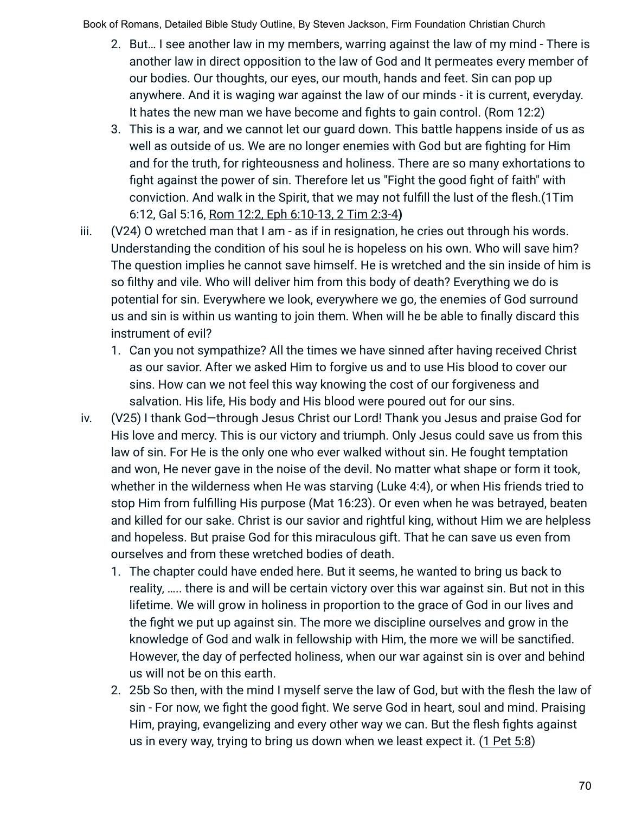- 2. But… I see another law in my members, warring against the law of my mind There is another law in direct opposition to the law of God and It permeates every member of our bodies. Our thoughts, our eyes, our mouth, hands and feet. Sin can pop up anywhere. And it is waging war against the law of our minds - it is current, everyday. It hates the new man we have become and fights to gain control. (Rom 12:2)
- 3. This is a war, and we cannot let our guard down. This battle happens inside of us as well as outside of us. We are no longer enemies with God but are fighting for Him and for the truth, for righteousness and holiness. There are so many exhortations to fight against the power of sin. Therefore let us "Fight the good fight of faith" with conviction. And walk in the Spirit, that we may not fulfill the lust of the flesh.(1Tim 6:12, Gal 5:16, Rom 12:2, Eph 6:10-13, 2 Tim 2:3-4**)**
- iii. (V24) O wretched man that I am as if in resignation, he cries out through his words. Understanding the condition of his soul he is hopeless on his own. Who will save him? The question implies he cannot save himself. He is wretched and the sin inside of him is so filthy and vile. Who will deliver him from this body of death? Everything we do is potential for sin. Everywhere we look, everywhere we go, the enemies of God surround us and sin is within us wanting to join them. When will he be able to finally discard this instrument of evil?
	- 1. Can you not sympathize? All the times we have sinned after having received Christ as our savior. After we asked Him to forgive us and to use His blood to cover our sins. How can we not feel this way knowing the cost of our forgiveness and salvation. His life, His body and His blood were poured out for our sins.
- iv. (V25) I thank God—through Jesus Christ our Lord! Thank you Jesus and praise God for His love and mercy. This is our victory and triumph. Only Jesus could save us from this law of sin. For He is the only one who ever walked without sin. He fought temptation and won, He never gave in the noise of the devil. No matter what shape or form it took, whether in the wilderness when He was starving (Luke 4:4), or when His friends tried to stop Him from fulfilling His purpose (Mat 16:23). Or even when he was betrayed, beaten and killed for our sake. Christ is our savior and rightful king, without Him we are helpless and hopeless. But praise God for this miraculous gift. That he can save us even from ourselves and from these wretched bodies of death.
	- 1. The chapter could have ended here. But it seems, he wanted to bring us back to reality, ….. there is and will be certain victory over this war against sin. But not in this lifetime. We will grow in holiness in proportion to the grace of God in our lives and the fight we put up against sin. The more we discipline ourselves and grow in the knowledge of God and walk in fellowship with Him, the more we will be sanctified. However, the day of perfected holiness, when our war against sin is over and behind us will not be on this earth.
	- 2. 25b So then, with the mind I myself serve the law of God, but with the flesh the law of sin - For now, we fight the good fight. We serve God in heart, soul and mind. Praising Him, praying, evangelizing and every other way we can. But the flesh fights against us in every way, trying to bring us down when we least expect it. (1 Pet 5:8)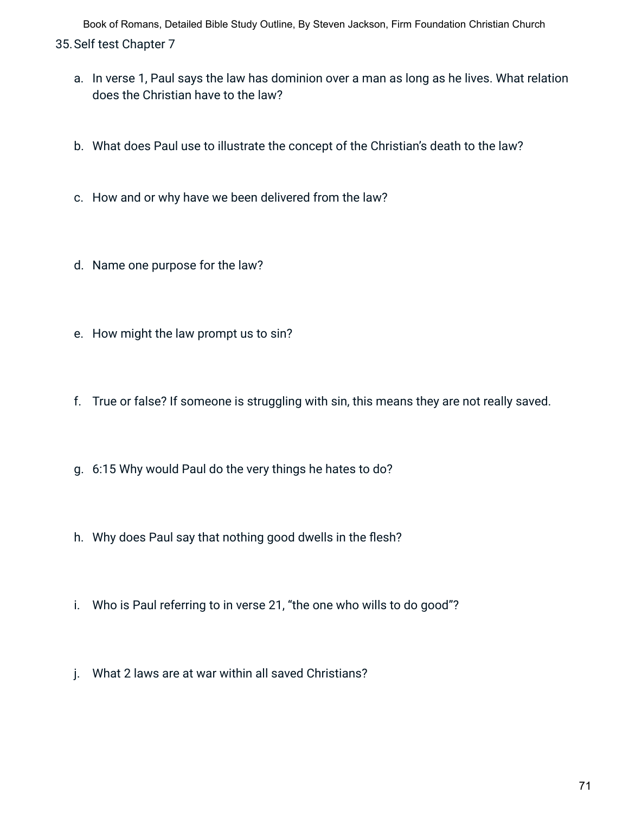- a. In verse 1, Paul says the law has dominion over a man as long as he lives. What relation does the Christian have to the law?
- b. What does Paul use to illustrate the concept of the Christian's death to the law?
- c. How and or why have we been delivered from the law?
- d. Name one purpose for the law?
- e. How might the law prompt us to sin?
- f. True or false? If someone is struggling with sin, this means they are not really saved.
- g. 6:15 Why would Paul do the very things he hates to do?
- h. Why does Paul say that nothing good dwells in the flesh?
- i. Who is Paul referring to in verse 21, "the one who wills to do good"?
- j. What 2 laws are at war within all saved Christians?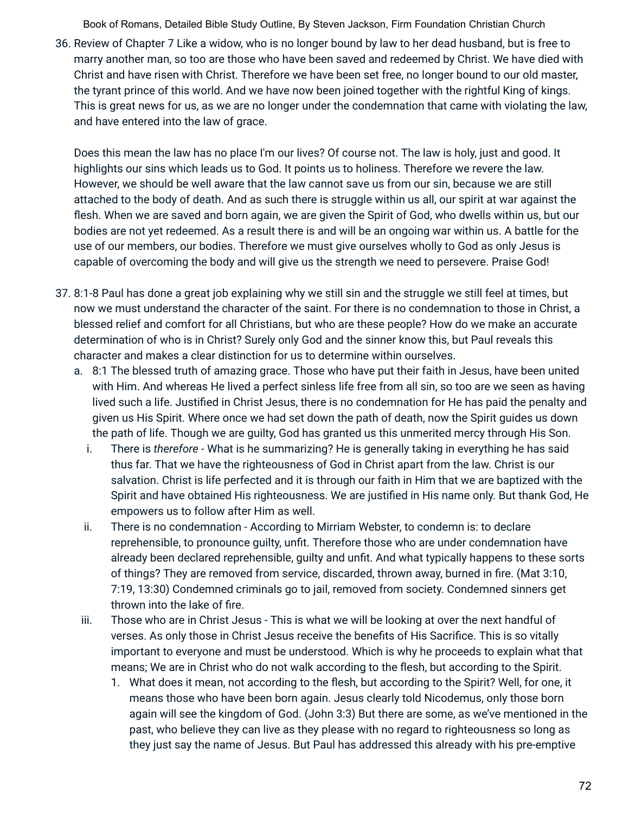36. Review of Chapter 7 Like a widow, who is no longer bound by law to her dead husband, but is free to marry another man, so too are those who have been saved and redeemed by Christ. We have died with Christ and have risen with Christ. Therefore we have been set free, no longer bound to our old master, the tyrant prince of this world. And we have now been joined together with the rightful King of kings. This is great news for us, as we are no longer under the condemnation that came with violating the law, and have entered into the law of grace.

Does this mean the law has no place I'm our lives? Of course not. The law is holy, just and good. It highlights our sins which leads us to God. It points us to holiness. Therefore we revere the law. However, we should be well aware that the law cannot save us from our sin, because we are still attached to the body of death. And as such there is struggle within us all, our spirit at war against the flesh. When we are saved and born again, we are given the Spirit of God, who dwells within us, but our bodies are not yet redeemed. As a result there is and will be an ongoing war within us. A battle for the use of our members, our bodies. Therefore we must give ourselves wholly to God as only Jesus is capable of overcoming the body and will give us the strength we need to persevere. Praise God!

- 37. 8:1-8 Paul has done a great job explaining why we still sin and the struggle we still feel at times, but now we must understand the character of the saint. For there is no condemnation to those in Christ, a blessed relief and comfort for all Christians, but who are these people? How do we make an accurate determination of who is in Christ? Surely only God and the sinner know this, but Paul reveals this character and makes a clear distinction for us to determine within ourselves.
	- a. 8:1 The blessed truth of amazing grace. Those who have put their faith in Jesus, have been united with Him. And whereas He lived a perfect sinless life free from all sin, so too are we seen as having lived such a life. Justified in Christ Jesus, there is no condemnation for He has paid the penalty and given us His Spirit. Where once we had set down the path of death, now the Spirit guides us down the path of life. Though we are guilty, God has granted us this unmerited mercy through His Son.
		- i. There is *therefore* What is he summarizing? He is generally taking in everything he has said thus far. That we have the righteousness of God in Christ apart from the law. Christ is our salvation. Christ is life perfected and it is through our faith in Him that we are baptized with the Spirit and have obtained His righteousness. We are justified in His name only. But thank God, He empowers us to follow after Him as well.
		- ii. There is no condemnation According to Mirriam Webster, to condemn is: to declare reprehensible, to pronounce guilty, unfit. Therefore those who are under condemnation have already been declared reprehensible, guilty and unfit. And what typically happens to these sorts of things? They are removed from service, discarded, thrown away, burned in fire. (Mat 3:10, 7:19, 13:30) Condemned criminals go to jail, removed from society. Condemned sinners get thrown into the lake of fire.
	- iii. Those who are in Christ Jesus This is what we will be looking at over the next handful of verses. As only those in Christ Jesus receive the benefits of His Sacrifice. This is so vitally important to everyone and must be understood. Which is why he proceeds to explain what that means; We are in Christ who do not walk according to the flesh, but according to the Spirit.
		- 1. What does it mean, not according to the flesh, but according to the Spirit? Well, for one, it means those who have been born again. Jesus clearly told Nicodemus, only those born again will see the kingdom of God. (John 3:3) But there are some, as we've mentioned in the past, who believe they can live as they please with no regard to righteousness so long as they just say the name of Jesus. But Paul has addressed this already with his pre-emptive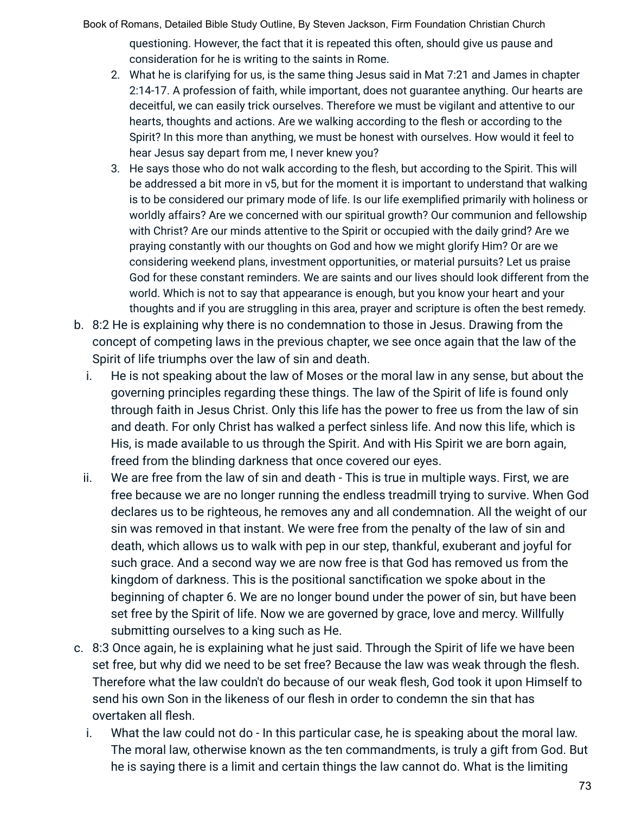Book of Romans, Detailed Bible Study Outline, By Steven Jackson, Firm Foundation Christian Church questioning. However, the fact that it is repeated this often, should give us pause and consideration for he is writing to the saints in Rome.

- 2. What he is clarifying for us, is the same thing Jesus said in Mat 7:21 and James in chapter 2:14-17. A profession of faith, while important, does not guarantee anything. Our hearts are deceitful, we can easily trick ourselves. Therefore we must be vigilant and attentive to our hearts, thoughts and actions. Are we walking according to the flesh or according to the Spirit? In this more than anything, we must be honest with ourselves. How would it feel to hear Jesus say depart from me, I never knew you?
- 3. He says those who do not walk according to the flesh, but according to the Spirit. This will be addressed a bit more in v5, but for the moment it is important to understand that walking is to be considered our primary mode of life. Is our life exemplified primarily with holiness or worldly affairs? Are we concerned with our spiritual growth? Our communion and fellowship with Christ? Are our minds attentive to the Spirit or occupied with the daily grind? Are we praying constantly with our thoughts on God and how we might glorify Him? Or are we considering weekend plans, investment opportunities, or material pursuits? Let us praise God for these constant reminders. We are saints and our lives should look different from the world. Which is not to say that appearance is enough, but you know your heart and your thoughts and if you are struggling in this area, prayer and scripture is often the best remedy.
- b. 8:2 He is explaining why there is no condemnation to those in Jesus. Drawing from the concept of competing laws in the previous chapter, we see once again that the law of the Spirit of life triumphs over the law of sin and death.
	- i. He is not speaking about the law of Moses or the moral law in any sense, but about the governing principles regarding these things. The law of the Spirit of life is found only through faith in Jesus Christ. Only this life has the power to free us from the law of sin and death. For only Christ has walked a perfect sinless life. And now this life, which is His, is made available to us through the Spirit. And with His Spirit we are born again, freed from the blinding darkness that once covered our eyes.
	- ii. We are free from the law of sin and death This is true in multiple ways. First, we are free because we are no longer running the endless treadmill trying to survive. When God declares us to be righteous, he removes any and all condemnation. All the weight of our sin was removed in that instant. We were free from the penalty of the law of sin and death, which allows us to walk with pep in our step, thankful, exuberant and joyful for such grace. And a second way we are now free is that God has removed us from the kingdom of darkness. This is the positional sanctification we spoke about in the beginning of chapter 6. We are no longer bound under the power of sin, but have been set free by the Spirit of life. Now we are governed by grace, love and mercy. Willfully submitting ourselves to a king such as He.
- c. 8:3 Once again, he is explaining what he just said. Through the Spirit of life we have been set free, but why did we need to be set free? Because the law was weak through the flesh. Therefore what the law couldn't do because of our weak flesh, God took it upon Himself to send his own Son in the likeness of our flesh in order to condemn the sin that has overtaken all flesh.
	- i. What the law could not do In this particular case, he is speaking about the moral law. The moral law, otherwise known as the ten commandments, is truly a gift from God. But he is saying there is a limit and certain things the law cannot do. What is the limiting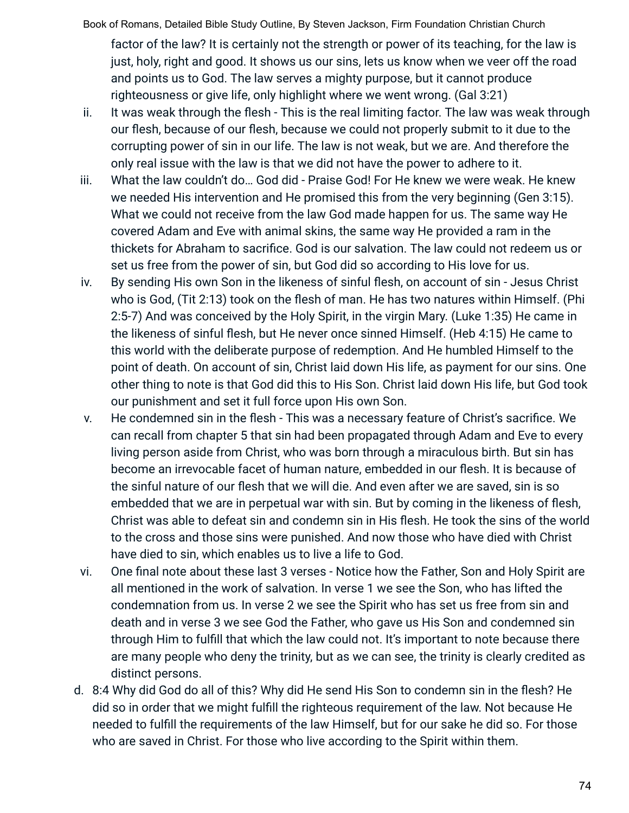Book of Romans, Detailed Bible Study Outline, By Steven Jackson, Firm Foundation Christian Church factor of the law? It is certainly not the strength or power of its teaching, for the law is just, holy, right and good. It shows us our sins, lets us know when we veer off the road and points us to God. The law serves a mighty purpose, but it cannot produce righteousness or give life, only highlight where we went wrong. (Gal 3:21)

- ii. It was weak through the flesh This is the real limiting factor. The law was weak through our flesh, because of our flesh, because we could not properly submit to it due to the corrupting power of sin in our life. The law is not weak, but we are. And therefore the only real issue with the law is that we did not have the power to adhere to it.
- iii. What the law couldn't do… God did Praise God! For He knew we were weak. He knew we needed His intervention and He promised this from the very beginning (Gen 3:15). What we could not receive from the law God made happen for us. The same way He covered Adam and Eve with animal skins, the same way He provided a ram in the thickets for Abraham to sacrifice. God is our salvation. The law could not redeem us or set us free from the power of sin, but God did so according to His love for us.
- iv. By sending His own Son in the likeness of sinful flesh, on account of sin Jesus Christ who is God, (Tit 2:13) took on the flesh of man. He has two natures within Himself. (Phi 2:5-7) And was conceived by the Holy Spirit, in the virgin Mary. (Luke 1:35) He came in the likeness of sinful flesh, but He never once sinned Himself. (Heb 4:15) He came to this world with the deliberate purpose of redemption. And He humbled Himself to the point of death. On account of sin, Christ laid down His life, as payment for our sins. One other thing to note is that God did this to His Son. Christ laid down His life, but God took our punishment and set it full force upon His own Son.
- v. He condemned sin in the flesh This was a necessary feature of Christ's sacrifice. We can recall from chapter 5 that sin had been propagated through Adam and Eve to every living person aside from Christ, who was born through a miraculous birth. But sin has become an irrevocable facet of human nature, embedded in our flesh. It is because of the sinful nature of our flesh that we will die. And even after we are saved, sin is so embedded that we are in perpetual war with sin. But by coming in the likeness of flesh, Christ was able to defeat sin and condemn sin in His flesh. He took the sins of the world to the cross and those sins were punished. And now those who have died with Christ have died to sin, which enables us to live a life to God.
- vi. One final note about these last 3 verses Notice how the Father, Son and Holy Spirit are all mentioned in the work of salvation. In verse 1 we see the Son, who has lifted the condemnation from us. In verse 2 we see the Spirit who has set us free from sin and death and in verse 3 we see God the Father, who gave us His Son and condemned sin through Him to fulfill that which the law could not. It's important to note because there are many people who deny the trinity, but as we can see, the trinity is clearly credited as distinct persons.
- d. 8:4 Why did God do all of this? Why did He send His Son to condemn sin in the flesh? He did so in order that we might fulfill the righteous requirement of the law. Not because He needed to fulfill the requirements of the law Himself, but for our sake he did so. For those who are saved in Christ. For those who live according to the Spirit within them.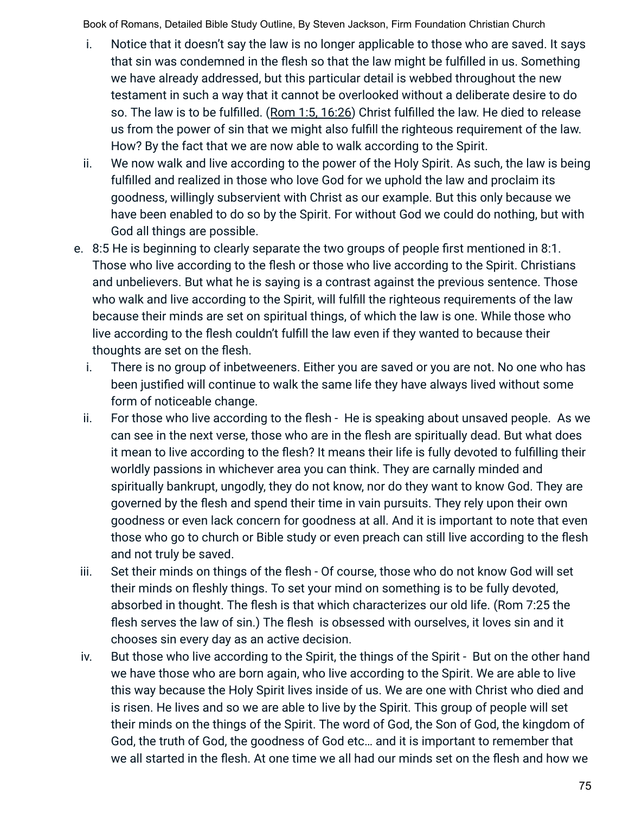- i. Notice that it doesn't say the law is no longer applicable to those who are saved. It says that sin was condemned in the flesh so that the law might be fulfilled in us. Something we have already addressed, but this particular detail is webbed throughout the new testament in such a way that it cannot be overlooked without a deliberate desire to do so. The law is to be fulfilled. (Rom 1:5, 16:26) Christ fulfilled the law. He died to release us from the power of sin that we might also fulfill the righteous requirement of the law. How? By the fact that we are now able to walk according to the Spirit.
- ii. We now walk and live according to the power of the Holy Spirit. As such, the law is being fulfilled and realized in those who love God for we uphold the law and proclaim its goodness, willingly subservient with Christ as our example. But this only because we have been enabled to do so by the Spirit. For without God we could do nothing, but with God all things are possible.
- e. 8:5 He is beginning to clearly separate the two groups of people first mentioned in 8:1. Those who live according to the flesh or those who live according to the Spirit. Christians and unbelievers. But what he is saying is a contrast against the previous sentence. Those who walk and live according to the Spirit, will fulfill the righteous requirements of the law because their minds are set on spiritual things, of which the law is one. While those who live according to the flesh couldn't fulfill the law even if they wanted to because their thoughts are set on the flesh.
	- i. There is no group of inbetweeners. Either you are saved or you are not. No one who has been justified will continue to walk the same life they have always lived without some form of noticeable change.
	- ii. For those who live according to the flesh He is speaking about unsaved people. As we can see in the next verse, those who are in the flesh are spiritually dead. But what does it mean to live according to the flesh? It means their life is fully devoted to fulfilling their worldly passions in whichever area you can think. They are carnally minded and spiritually bankrupt, ungodly, they do not know, nor do they want to know God. They are governed by the flesh and spend their time in vain pursuits. They rely upon their own goodness or even lack concern for goodness at all. And it is important to note that even those who go to church or Bible study or even preach can still live according to the flesh and not truly be saved.
- iii. Set their minds on things of the flesh Of course, those who do not know God will set their minds on fleshly things. To set your mind on something is to be fully devoted, absorbed in thought. The flesh is that which characterizes our old life. (Rom 7:25 the flesh serves the law of sin.) The flesh is obsessed with ourselves, it loves sin and it chooses sin every day as an active decision.
- iv. But those who live according to the Spirit, the things of the Spirit But on the other hand we have those who are born again, who live according to the Spirit. We are able to live this way because the Holy Spirit lives inside of us. We are one with Christ who died and is risen. He lives and so we are able to live by the Spirit. This group of people will set their minds on the things of the Spirit. The word of God, the Son of God, the kingdom of God, the truth of God, the goodness of God etc… and it is important to remember that we all started in the flesh. At one time we all had our minds set on the flesh and how we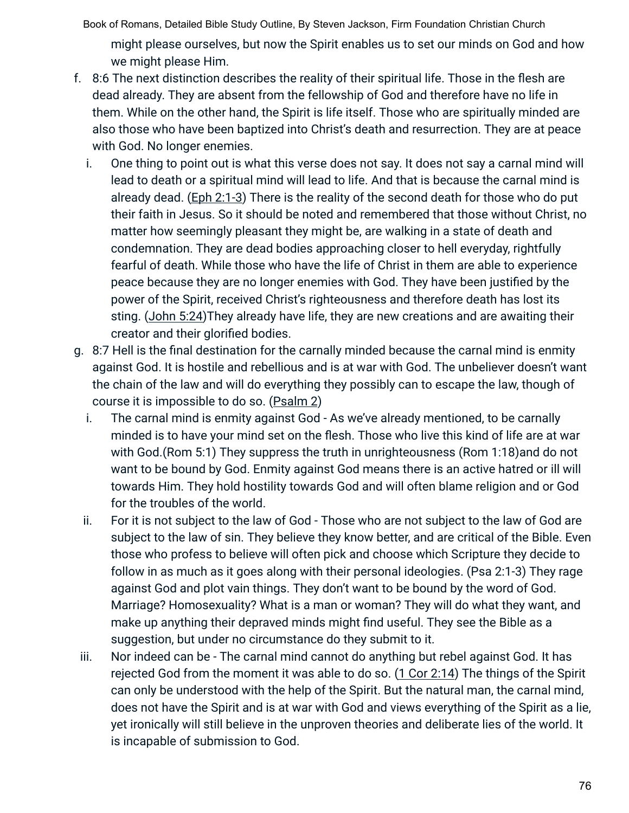Book of Romans, Detailed Bible Study Outline, By Steven Jackson, Firm Foundation Christian Church might please ourselves, but now the Spirit enables us to set our minds on God and how we might please Him.

- f. 8:6 The next distinction describes the reality of their spiritual life. Those in the flesh are dead already. They are absent from the fellowship of God and therefore have no life in them. While on the other hand, the Spirit is life itself. Those who are spiritually minded are also those who have been baptized into Christ's death and resurrection. They are at peace with God. No longer enemies.
	- i. One thing to point out is what this verse does not say. It does not say a carnal mind will lead to death or a spiritual mind will lead to life. And that is because the carnal mind is already dead. (Eph 2:1-3) There is the reality of the second death for those who do put their faith in Jesus. So it should be noted and remembered that those without Christ, no matter how seemingly pleasant they might be, are walking in a state of death and condemnation. They are dead bodies approaching closer to hell everyday, rightfully fearful of death. While those who have the life of Christ in them are able to experience peace because they are no longer enemies with God. They have been justified by the power of the Spirit, received Christ's righteousness and therefore death has lost its sting. (John 5:24)They already have life, they are new creations and are awaiting their creator and their glorified bodies.
- g. 8:7 Hell is the final destination for the carnally minded because the carnal mind is enmity against God. It is hostile and rebellious and is at war with God. The unbeliever doesn't want the chain of the law and will do everything they possibly can to escape the law, though of course it is impossible to do so. (Psalm 2)
	- i. The carnal mind is enmity against God As we've already mentioned, to be carnally minded is to have your mind set on the flesh. Those who live this kind of life are at war with God.(Rom 5:1) They suppress the truth in unrighteousness (Rom 1:18)and do not want to be bound by God. Enmity against God means there is an active hatred or ill will towards Him. They hold hostility towards God and will often blame religion and or God for the troubles of the world.
	- ii. For it is not subject to the law of God Those who are not subject to the law of God are subject to the law of sin. They believe they know better, and are critical of the Bible. Even those who profess to believe will often pick and choose which Scripture they decide to follow in as much as it goes along with their personal ideologies. (Psa 2:1-3) They rage against God and plot vain things. They don't want to be bound by the word of God. Marriage? Homosexuality? What is a man or woman? They will do what they want, and make up anything their depraved minds might find useful. They see the Bible as a suggestion, but under no circumstance do they submit to it.
- iii. Nor indeed can be The carnal mind cannot do anything but rebel against God. It has rejected God from the moment it was able to do so. (1 Cor 2:14) The things of the Spirit can only be understood with the help of the Spirit. But the natural man, the carnal mind, does not have the Spirit and is at war with God and views everything of the Spirit as a lie, yet ironically will still believe in the unproven theories and deliberate lies of the world. It is incapable of submission to God.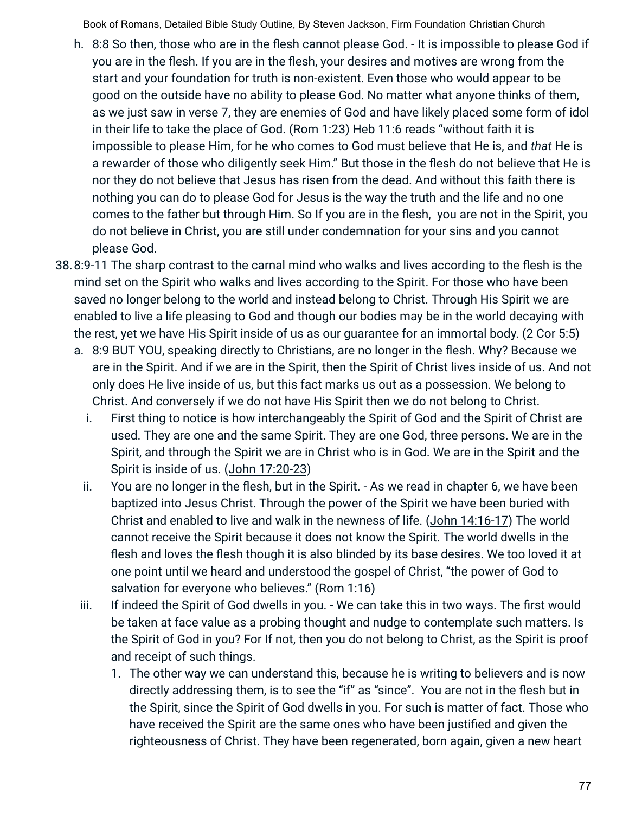- h. 8:8 So then, those who are in the flesh cannot please God. It is impossible to please God if you are in the flesh. If you are in the flesh, your desires and motives are wrong from the start and your foundation for truth is non-existent. Even those who would appear to be good on the outside have no ability to please God. No matter what anyone thinks of them, as we just saw in verse 7, they are enemies of God and have likely placed some form of idol in their life to take the place of God. (Rom 1:23) Heb 11:6 reads "without faith it is impossible to please Him, for he who comes to God must believe that He is, and *that* He is a rewarder of those who diligently seek Him." But those in the flesh do not believe that He is nor they do not believe that Jesus has risen from the dead. And without this faith there is nothing you can do to please God for Jesus is the way the truth and the life and no one comes to the father but through Him. So If you are in the flesh, you are not in the Spirit, you do not believe in Christ, you are still under condemnation for your sins and you cannot please God.
- 38.8:9-11 The sharp contrast to the carnal mind who walks and lives according to the flesh is the mind set on the Spirit who walks and lives according to the Spirit. For those who have been saved no longer belong to the world and instead belong to Christ. Through His Spirit we are enabled to live a life pleasing to God and though our bodies may be in the world decaying with the rest, yet we have His Spirit inside of us as our guarantee for an immortal body. (2 Cor 5:5)
	- a. 8:9 BUT YOU, speaking directly to Christians, are no longer in the flesh. Why? Because we are in the Spirit. And if we are in the Spirit, then the Spirit of Christ lives inside of us. And not only does He live inside of us, but this fact marks us out as a possession. We belong to Christ. And conversely if we do not have His Spirit then we do not belong to Christ.
		- i. First thing to notice is how interchangeably the Spirit of God and the Spirit of Christ are used. They are one and the same Spirit. They are one God, three persons. We are in the Spirit, and through the Spirit we are in Christ who is in God. We are in the Spirit and the Spirit is inside of us. (John 17:20-23)
		- ii. You are no longer in the flesh, but in the Spirit. As we read in chapter 6, we have been baptized into Jesus Christ. Through the power of the Spirit we have been buried with Christ and enabled to live and walk in the newness of life. (John 14:16-17) The world cannot receive the Spirit because it does not know the Spirit. The world dwells in the flesh and loves the flesh though it is also blinded by its base desires. We too loved it at one point until we heard and understood the gospel of Christ, "the power of God to salvation for everyone who believes." (Rom 1:16)
	- iii. If indeed the Spirit of God dwells in you. We can take this in two ways. The first would be taken at face value as a probing thought and nudge to contemplate such matters. Is the Spirit of God in you? For If not, then you do not belong to Christ, as the Spirit is proof and receipt of such things.
		- 1. The other way we can understand this, because he is writing to believers and is now directly addressing them, is to see the "if" as "since". You are not in the flesh but in the Spirit, since the Spirit of God dwells in you. For such is matter of fact. Those who have received the Spirit are the same ones who have been justified and given the righteousness of Christ. They have been regenerated, born again, given a new heart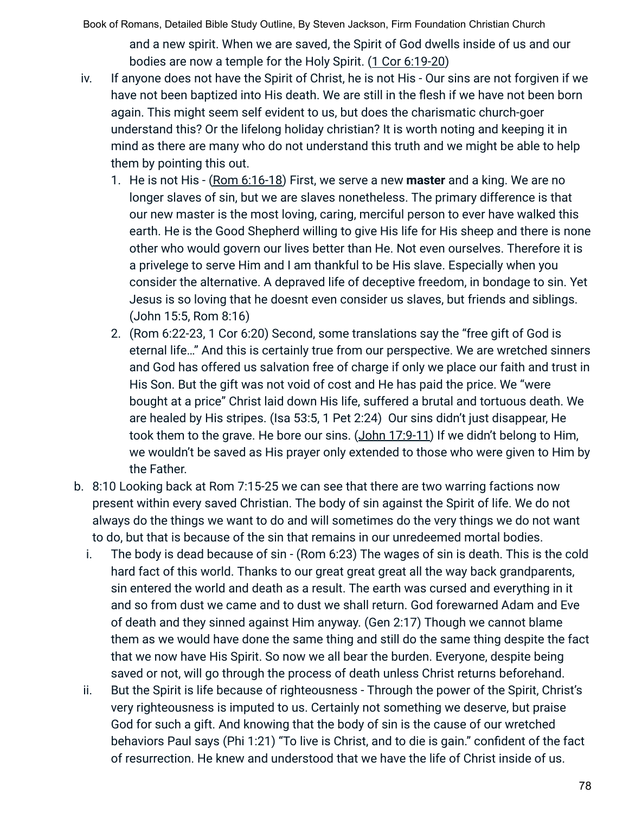Book of Romans, Detailed Bible Study Outline, By Steven Jackson, Firm Foundation Christian Church and a new spirit. When we are saved, the Spirit of God dwells inside of us and our bodies are now a temple for the Holy Spirit. (1 Cor 6:19-20)

- iv. If anyone does not have the Spirit of Christ, he is not His Our sins are not forgiven if we have not been baptized into His death. We are still in the flesh if we have not been born again. This might seem self evident to us, but does the charismatic church-goer understand this? Or the lifelong holiday christian? It is worth noting and keeping it in mind as there are many who do not understand this truth and we might be able to help them by pointing this out.
	- 1. He is not His (Rom 6:16-18) First, we serve a new **master** and a king. We are no longer slaves of sin, but we are slaves nonetheless. The primary difference is that our new master is the most loving, caring, merciful person to ever have walked this earth. He is the Good Shepherd willing to give His life for His sheep and there is none other who would govern our lives better than He. Not even ourselves. Therefore it is a privelege to serve Him and I am thankful to be His slave. Especially when you consider the alternative. A depraved life of deceptive freedom, in bondage to sin. Yet Jesus is so loving that he doesnt even consider us slaves, but friends and siblings. (John 15:5, Rom 8:16)
	- 2. (Rom 6:22-23, 1 Cor 6:20) Second, some translations say the "free gift of God is eternal life…" And this is certainly true from our perspective. We are wretched sinners and God has offered us salvation free of charge if only we place our faith and trust in His Son. But the gift was not void of cost and He has paid the price. We "were bought at a price" Christ laid down His life, suffered a brutal and tortuous death. We are healed by His stripes. (Isa 53:5, 1 Pet 2:24) Our sins didn't just disappear, He took them to the grave. He bore our sins. (John 17:9-11) If we didn't belong to Him. we wouldn't be saved as His prayer only extended to those who were given to Him by the Father.
- b. 8:10 Looking back at Rom 7:15-25 we can see that there are two warring factions now present within every saved Christian. The body of sin against the Spirit of life. We do not always do the things we want to do and will sometimes do the very things we do not want to do, but that is because of the sin that remains in our unredeemed mortal bodies.
	- i. The body is dead because of sin (Rom 6:23) The wages of sin is death. This is the cold hard fact of this world. Thanks to our great great great all the way back grandparents, sin entered the world and death as a result. The earth was cursed and everything in it and so from dust we came and to dust we shall return. God forewarned Adam and Eve of death and they sinned against Him anyway. (Gen 2:17) Though we cannot blame them as we would have done the same thing and still do the same thing despite the fact that we now have His Spirit. So now we all bear the burden. Everyone, despite being saved or not, will go through the process of death unless Christ returns beforehand.
	- ii. But the Spirit is life because of righteousness Through the power of the Spirit, Christ's very righteousness is imputed to us. Certainly not something we deserve, but praise God for such a gift. And knowing that the body of sin is the cause of our wretched behaviors Paul says (Phi 1:21) "To live is Christ, and to die is gain." confident of the fact of resurrection. He knew and understood that we have the life of Christ inside of us.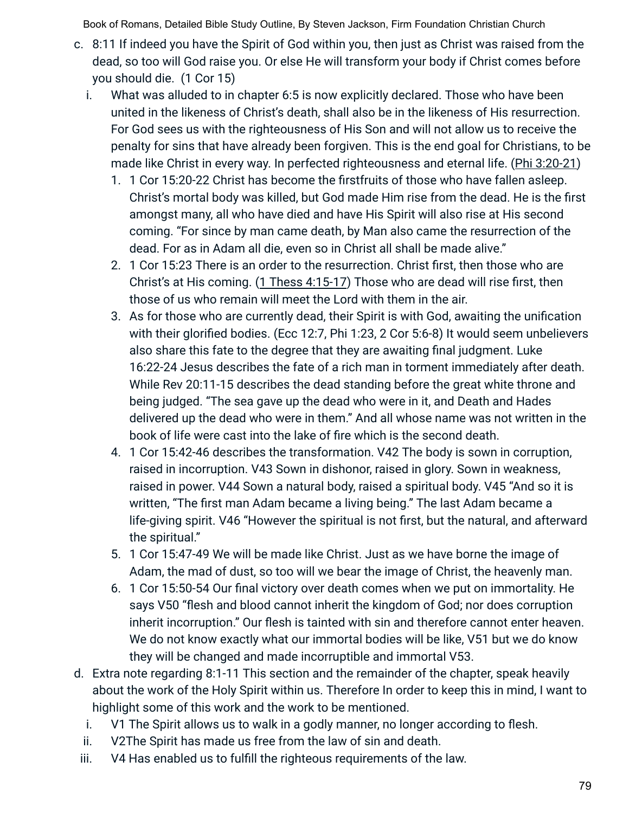- c. 8:11 If indeed you have the Spirit of God within you, then just as Christ was raised from the dead, so too will God raise you. Or else He will transform your body if Christ comes before you should die. (1 Cor 15)
	- i. What was alluded to in chapter 6:5 is now explicitly declared. Those who have been united in the likeness of Christ's death, shall also be in the likeness of His resurrection. For God sees us with the righteousness of His Son and will not allow us to receive the penalty for sins that have already been forgiven. This is the end goal for Christians, to be made like Christ in every way. In perfected righteousness and eternal life. (Phi 3:20-21)
		- 1. 1 Cor 15:20-22 Christ has become the firstfruits of those who have fallen asleep. Christ's mortal body was killed, but God made Him rise from the dead. He is the first amongst many, all who have died and have His Spirit will also rise at His second coming. "For since by man came death, by Man also came the resurrection of the dead. For as in Adam all die, even so in Christ all shall be made alive."
		- 2. 1 Cor 15:23 There is an order to the resurrection. Christ first, then those who are Christ's at His coming. (1 Thess 4:15-17) Those who are dead will rise first, then those of us who remain will meet the Lord with them in the air.
		- 3. As for those who are currently dead, their Spirit is with God, awaiting the unification with their glorified bodies. (Ecc 12:7, Phi 1:23, 2 Cor 5:6-8) It would seem unbelievers also share this fate to the degree that they are awaiting final judgment. Luke 16:22-24 Jesus describes the fate of a rich man in torment immediately after death. While Rev 20:11-15 describes the dead standing before the great white throne and being judged. "The sea gave up the dead who were in it, and Death and Hades delivered up the dead who were in them." And all whose name was not written in the book of life were cast into the lake of fire which is the second death.
		- 4. 1 Cor 15:42-46 describes the transformation. V42 The body is sown in corruption, raised in incorruption. V43 Sown in dishonor, raised in glory. Sown in weakness, raised in power. V44 Sown a natural body, raised a spiritual body. V45 "And so it is written, "The first man Adam became a living being." The last Adam became a life-giving spirit. V46 "However the spiritual is not first, but the natural, and afterward the spiritual."
		- 5. 1 Cor 15:47-49 We will be made like Christ. Just as we have borne the image of Adam, the mad of dust, so too will we bear the image of Christ, the heavenly man.
		- 6. 1 Cor 15:50-54 Our final victory over death comes when we put on immortality. He says V50 "flesh and blood cannot inherit the kingdom of God; nor does corruption inherit incorruption." Our flesh is tainted with sin and therefore cannot enter heaven. We do not know exactly what our immortal bodies will be like, V51 but we do know they will be changed and made incorruptible and immortal V53.
- d. Extra note regarding 8:1-11 This section and the remainder of the chapter, speak heavily about the work of the Holy Spirit within us. Therefore In order to keep this in mind, I want to highlight some of this work and the work to be mentioned.
	- i. V1 The Spirit allows us to walk in a godly manner, no longer according to flesh.
	- ii. V2The Spirit has made us free from the law of sin and death.
- iii. V4 Has enabled us to fulfill the righteous requirements of the law.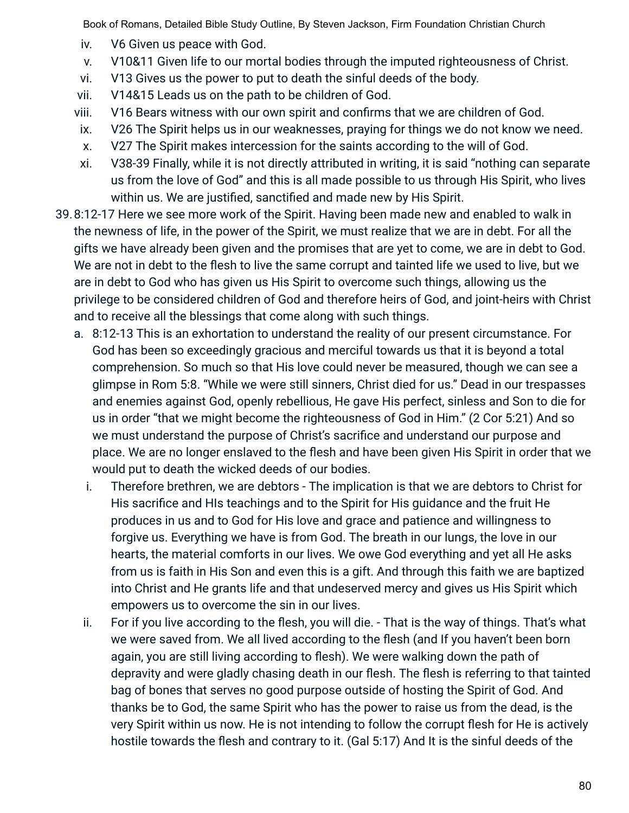- iv. V6 Given us peace with God.
- v. V10&11 Given life to our mortal bodies through the imputed righteousness of Christ.
- vi. V13 Gives us the power to put to death the sinful deeds of the body.
- vii. V14&15 Leads us on the path to be children of God.
- viii. V16 Bears witness with our own spirit and confirms that we are children of God.
- ix. V26 The Spirit helps us in our weaknesses, praying for things we do not know we need.
- x. V27 The Spirit makes intercession for the saints according to the will of God.
- xi. V38-39 Finally, while it is not directly attributed in writing, it is said "nothing can separate us from the love of God" and this is all made possible to us through His Spirit, who lives within us. We are justified, sanctified and made new by His Spirit.
- 39.8:12-17 Here we see more work of the Spirit. Having been made new and enabled to walk in the newness of life, in the power of the Spirit, we must realize that we are in debt. For all the gifts we have already been given and the promises that are yet to come, we are in debt to God. We are not in debt to the flesh to live the same corrupt and tainted life we used to live, but we are in debt to God who has given us His Spirit to overcome such things, allowing us the privilege to be considered children of God and therefore heirs of God, and joint-heirs with Christ and to receive all the blessings that come along with such things.
	- a. 8:12-13 This is an exhortation to understand the reality of our present circumstance. For God has been so exceedingly gracious and merciful towards us that it is beyond a total comprehension. So much so that His love could never be measured, though we can see a glimpse in Rom 5:8. "While we were still sinners, Christ died for us." Dead in our trespasses and enemies against God, openly rebellious, He gave His perfect, sinless and Son to die for us in order "that we might become the righteousness of God in Him." (2 Cor 5:21) And so we must understand the purpose of Christ's sacrifice and understand our purpose and place. We are no longer enslaved to the flesh and have been given His Spirit in order that we would put to death the wicked deeds of our bodies.
		- i. Therefore brethren, we are debtors The implication is that we are debtors to Christ for His sacrifice and HIs teachings and to the Spirit for His guidance and the fruit He produces in us and to God for His love and grace and patience and willingness to forgive us. Everything we have is from God. The breath in our lungs, the love in our hearts, the material comforts in our lives. We owe God everything and yet all He asks from us is faith in His Son and even this is a gift. And through this faith we are baptized into Christ and He grants life and that undeserved mercy and gives us His Spirit which empowers us to overcome the sin in our lives.
		- ii. For if you live according to the flesh, you will die. That is the way of things. That's what we were saved from. We all lived according to the flesh (and If you haven't been born again, you are still living according to flesh). We were walking down the path of depravity and were gladly chasing death in our flesh. The flesh is referring to that tainted bag of bones that serves no good purpose outside of hosting the Spirit of God. And thanks be to God, the same Spirit who has the power to raise us from the dead, is the very Spirit within us now. He is not intending to follow the corrupt flesh for He is actively hostile towards the flesh and contrary to it. (Gal 5:17) And It is the sinful deeds of the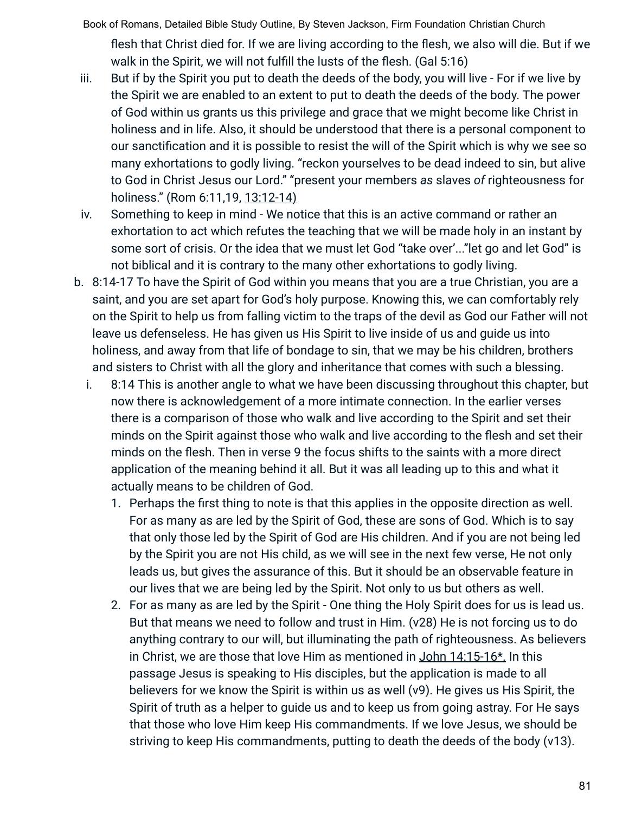Book of Romans, Detailed Bible Study Outline, By Steven Jackson, Firm Foundation Christian Church flesh that Christ died for. If we are living according to the flesh, we also will die. But if we walk in the Spirit, we will not fulfill the lusts of the flesh. (Gal 5:16)

- iii. But if by the Spirit you put to death the deeds of the body, you will live For if we live by the Spirit we are enabled to an extent to put to death the deeds of the body. The power of God within us grants us this privilege and grace that we might become like Christ in holiness and in life. Also, it should be understood that there is a personal component to our sanctification and it is possible to resist the will of the Spirit which is why we see so many exhortations to godly living. "reckon yourselves to be dead indeed to sin, but alive to God in Christ Jesus our Lord." "present your members *as* slaves *of* righteousness for holiness." (Rom 6:11,19, 13:12-14)
- iv. Something to keep in mind We notice that this is an active command or rather an exhortation to act which refutes the teaching that we will be made holy in an instant by some sort of crisis. Or the idea that we must let God "take over'..."let go and let God" is not biblical and it is contrary to the many other exhortations to godly living.
- b. 8:14-17 To have the Spirit of God within you means that you are a true Christian, you are a saint, and you are set apart for God's holy purpose. Knowing this, we can comfortably rely on the Spirit to help us from falling victim to the traps of the devil as God our Father will not leave us defenseless. He has given us His Spirit to live inside of us and guide us into holiness, and away from that life of bondage to sin, that we may be his children, brothers and sisters to Christ with all the glory and inheritance that comes with such a blessing.
	- i. 8:14 This is another angle to what we have been discussing throughout this chapter, but now there is acknowledgement of a more intimate connection. In the earlier verses there is a comparison of those who walk and live according to the Spirit and set their minds on the Spirit against those who walk and live according to the flesh and set their minds on the flesh. Then in verse 9 the focus shifts to the saints with a more direct application of the meaning behind it all. But it was all leading up to this and what it actually means to be children of God.
		- 1. Perhaps the first thing to note is that this applies in the opposite direction as well. For as many as are led by the Spirit of God, these are sons of God. Which is to say that only those led by the Spirit of God are His children. And if you are not being led by the Spirit you are not His child, as we will see in the next few verse, He not only leads us, but gives the assurance of this. But it should be an observable feature in our lives that we are being led by the Spirit. Not only to us but others as well.
		- 2. For as many as are led by the Spirit One thing the Holy Spirit does for us is lead us. But that means we need to follow and trust in Him. (v28) He is not forcing us to do anything contrary to our will, but illuminating the path of righteousness. As believers in Christ, we are those that love Him as mentioned in John 14:15-16\*. In this passage Jesus is speaking to His disciples, but the application is made to all believers for we know the Spirit is within us as well (v9). He gives us His Spirit, the Spirit of truth as a helper to guide us and to keep us from going astray. For He says that those who love Him keep His commandments. If we love Jesus, we should be striving to keep His commandments, putting to death the deeds of the body (v13).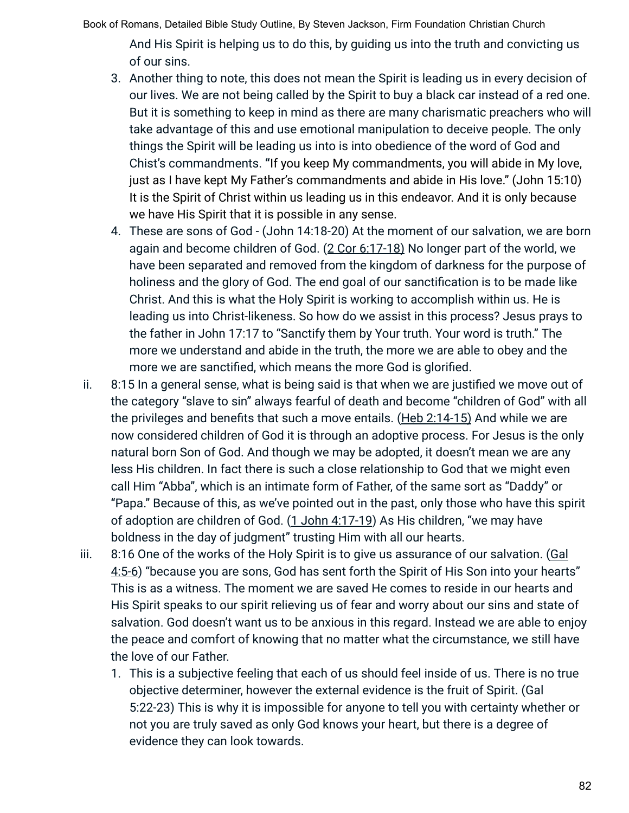Book of Romans, Detailed Bible Study Outline, By Steven Jackson, Firm Foundation Christian Church And His Spirit is helping us to do this, by guiding us into the truth and convicting us

of our sins.

- 3. Another thing to note, this does not mean the Spirit is leading us in every decision of our lives. We are not being called by the Spirit to buy a black car instead of a red one. But it is something to keep in mind as there are many charismatic preachers who will take advantage of this and use emotional manipulation to deceive people. The only things the Spirit will be leading us into is into obedience of the word of God and Chist's commandments. **"**If you keep My commandments, you will abide in My love, just as I have kept My Father's commandments and abide in His love." (John 15:10) It is the Spirit of Christ within us leading us in this endeavor. And it is only because we have His Spirit that it is possible in any sense.
- 4. These are sons of God (John 14:18-20) At the moment of our salvation, we are born again and become children of God. (2 Cor 6:17-18) No longer part of the world, we have been separated and removed from the kingdom of darkness for the purpose of holiness and the glory of God. The end goal of our sanctification is to be made like Christ. And this is what the Holy Spirit is working to accomplish within us. He is leading us into Christ-likeness. So how do we assist in this process? Jesus prays to the father in John 17:17 to "Sanctify them by Your truth. Your word is truth." The more we understand and abide in the truth, the more we are able to obey and the more we are sanctified, which means the more God is glorified.
- ii. 8:15 In a general sense, what is being said is that when we are justified we move out of the category "slave to sin" always fearful of death and become "children of God" with all the privileges and benefits that such a move entails. (Heb 2:14-15) And while we are now considered children of God it is through an adoptive process. For Jesus is the only natural born Son of God. And though we may be adopted, it doesn't mean we are any less His children. In fact there is such a close relationship to God that we might even call Him "Abba", which is an intimate form of Father, of the same sort as "Daddy" or "Papa." Because of this, as we've pointed out in the past, only those who have this spirit of adoption are children of God. (1 John 4:17-19) As His children, "we may have boldness in the day of judgment" trusting Him with all our hearts.
- iii. 8:16 One of the works of the Holy Spirit is to give us assurance of our salvation. (Gal 4:5-6) "because you are sons, God has sent forth the Spirit of His Son into your hearts" This is as a witness. The moment we are saved He comes to reside in our hearts and His Spirit speaks to our spirit relieving us of fear and worry about our sins and state of salvation. God doesn't want us to be anxious in this regard. Instead we are able to enjoy the peace and comfort of knowing that no matter what the circumstance, we still have the love of our Father.
	- 1. This is a subjective feeling that each of us should feel inside of us. There is no true objective determiner, however the external evidence is the fruit of Spirit. (Gal 5:22-23) This is why it is impossible for anyone to tell you with certainty whether or not you are truly saved as only God knows your heart, but there is a degree of evidence they can look towards.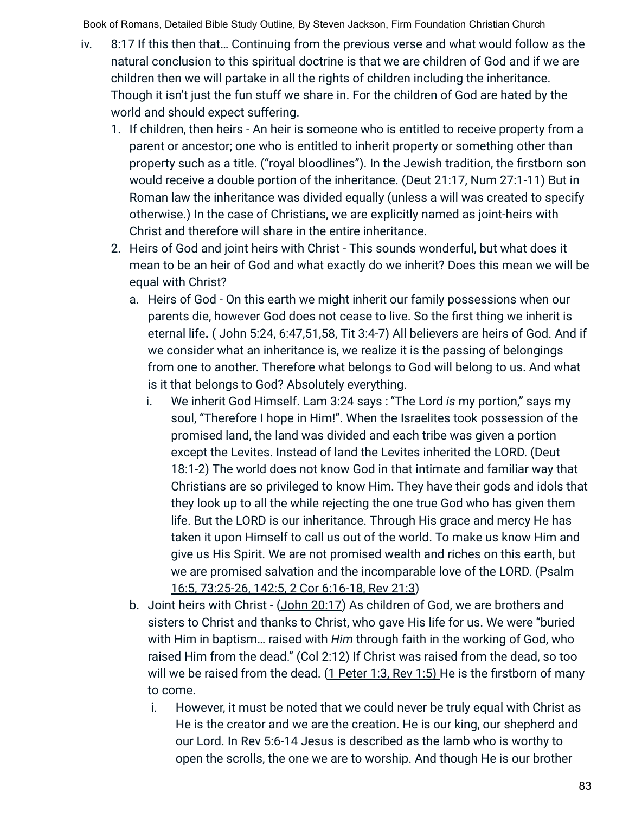- iv. 8:17 If this then that… Continuing from the previous verse and what would follow as the natural conclusion to this spiritual doctrine is that we are children of God and if we are children then we will partake in all the rights of children including the inheritance. Though it isn't just the fun stuff we share in. For the children of God are hated by the world and should expect suffering.
	- 1. If children, then heirs An heir is someone who is entitled to receive property from a parent or ancestor; one who is entitled to inherit property or something other than property such as a title. ("royal bloodlines"). In the Jewish tradition, the firstborn son would receive a double portion of the inheritance. (Deut 21:17, Num 27:1-11) But in Roman law the inheritance was divided equally (unless a will was created to specify otherwise.) In the case of Christians, we are explicitly named as joint-heirs with Christ and therefore will share in the entire inheritance.
	- 2. Heirs of God and joint heirs with Christ This sounds wonderful, but what does it mean to be an heir of God and what exactly do we inherit? Does this mean we will be equal with Christ?
		- a. Heirs of God On this earth we might inherit our family possessions when our parents die, however God does not cease to live. So the first thing we inherit is eternal life**.** ( John 5:24, 6:47,51,58, Tit 3:4-7) All believers are heirs of God. And if we consider what an inheritance is, we realize it is the passing of belongings from one to another. Therefore what belongs to God will belong to us. And what is it that belongs to God? Absolutely everything.
			- i. We inherit God Himself. Lam 3:24 says : "The Lord *is* my portion," says my soul, "Therefore I hope in Him!". When the Israelites took possession of the promised land, the land was divided and each tribe was given a portion except the Levites. Instead of land the Levites inherited the LORD. (Deut 18:1-2) The world does not know God in that intimate and familiar way that Christians are so privileged to know Him. They have their gods and idols that they look up to all the while rejecting the one true God who has given them life. But the LORD is our inheritance. Through His grace and mercy He has taken it upon Himself to call us out of the world. To make us know Him and give us His Spirit. We are not promised wealth and riches on this earth, but we are promised salvation and the incomparable love of the LORD. (Psalm 16:5, 73:25-26, 142:5, 2 Cor 6:16-18, Rev 21:3)
		- b. Joint heirs with Christ (John 20:17) As children of God, we are brothers and sisters to Christ and thanks to Christ, who gave His life for us. We were "buried with Him in baptism… raised with *Him* through faith in the working of God, who raised Him from the dead." (Col 2:12) If Christ was raised from the dead, so too will we be raised from the dead. (1 Peter 1:3, Rev 1:5) He is the firstborn of many to come.
			- i. However, it must be noted that we could never be truly equal with Christ as He is the creator and we are the creation. He is our king, our shepherd and our Lord. In Rev 5:6-14 Jesus is described as the lamb who is worthy to open the scrolls, the one we are to worship. And though He is our brother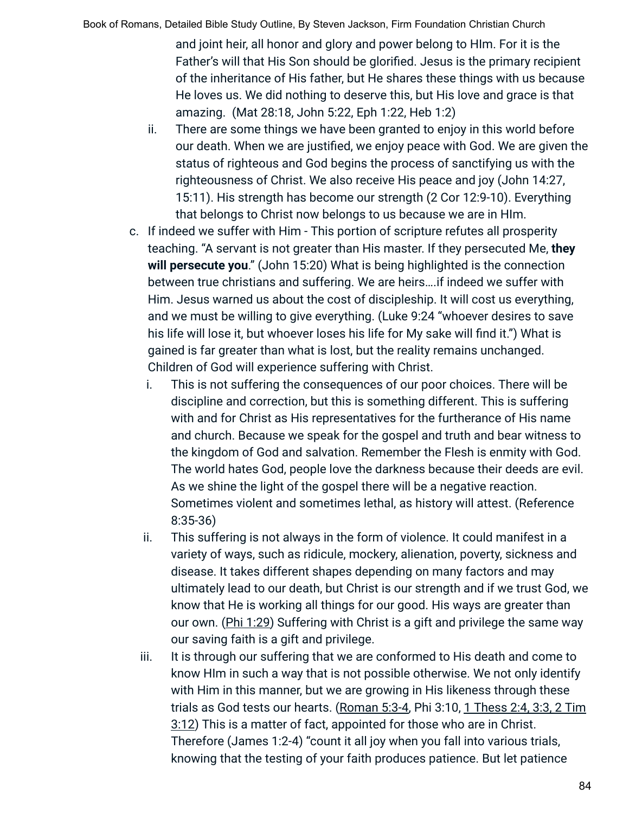and joint heir, all honor and glory and power belong to HIm. For it is the Father's will that His Son should be glorified. Jesus is the primary recipient of the inheritance of His father, but He shares these things with us because He loves us. We did nothing to deserve this, but His love and grace is that amazing. (Mat 28:18, John 5:22, Eph 1:22, Heb 1:2)

- ii. There are some things we have been granted to enjoy in this world before our death. When we are justified, we enjoy peace with God. We are given the status of righteous and God begins the process of sanctifying us with the righteousness of Christ. We also receive His peace and joy (John 14:27, 15:11). His strength has become our strength (2 Cor 12:9-10). Everything that belongs to Christ now belongs to us because we are in HIm.
- c. If indeed we suffer with Him This portion of scripture refutes all prosperity teaching. "A servant is not greater than His master. If they persecuted Me, **they will persecute you**." (John 15:20) What is being highlighted is the connection between true christians and suffering. We are heirs….if indeed we suffer with Him. Jesus warned us about the cost of discipleship. It will cost us everything, and we must be willing to give everything. (Luke 9:24 "whoever desires to save his life will lose it, but whoever loses his life for My sake will find it.") What is gained is far greater than what is lost, but the reality remains unchanged. Children of God will experience suffering with Christ.
	- i. This is not suffering the consequences of our poor choices. There will be discipline and correction, but this is something different. This is suffering with and for Christ as His representatives for the furtherance of His name and church. Because we speak for the gospel and truth and bear witness to the kingdom of God and salvation. Remember the Flesh is enmity with God. The world hates God, people love the darkness because their deeds are evil. As we shine the light of the gospel there will be a negative reaction. Sometimes violent and sometimes lethal, as history will attest. (Reference 8:35-36)
	- ii. This suffering is not always in the form of violence. It could manifest in a variety of ways, such as ridicule, mockery, alienation, poverty, sickness and disease. It takes different shapes depending on many factors and may ultimately lead to our death, but Christ is our strength and if we trust God, we know that He is working all things for our good. His ways are greater than our own. (Phi 1:29) Suffering with Christ is a gift and privilege the same way our saving faith is a gift and privilege.
	- iii. It is through our suffering that we are conformed to His death and come to know HIm in such a way that is not possible otherwise. We not only identify with Him in this manner, but we are growing in His likeness through these trials as God tests our hearts. (Roman 5:3-4, Phi 3:10, 1 Thess 2:4, 3:3, 2 Tim 3:12) This is a matter of fact, appointed for those who are in Christ. Therefore (James 1:2-4) "count it all joy when you fall into various trials, knowing that the testing of your faith produces patience. But let patience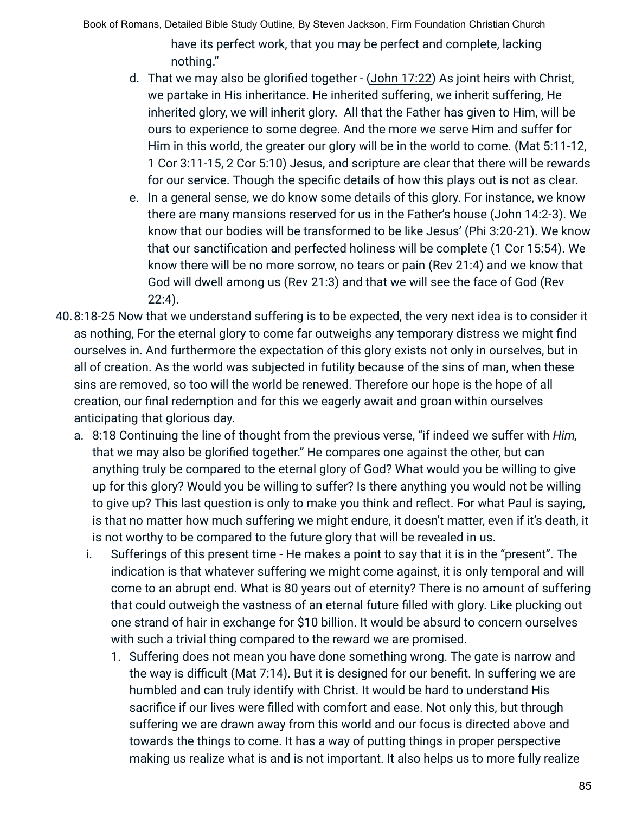have its perfect work, that you may be perfect and complete, lacking nothing."

- d. That we may also be glorified together (John 17:22) As joint heirs with Christ, we partake in His inheritance. He inherited suffering, we inherit suffering, He inherited glory, we will inherit glory. All that the Father has given to Him, will be ours to experience to some degree. And the more we serve Him and suffer for Him in this world, the greater our glory will be in the world to come. (Mat 5:11-12, 1 Cor 3:11-15, 2 Cor 5:10) Jesus, and scripture are clear that there will be rewards for our service. Though the specific details of how this plays out is not as clear.
- e. In a general sense, we do know some details of this glory. For instance, we know there are many mansions reserved for us in the Father's house (John 14:2-3). We know that our bodies will be transformed to be like Jesus' (Phi 3:20-21). We know that our sanctification and perfected holiness will be complete (1 Cor 15:54). We know there will be no more sorrow, no tears or pain (Rev 21:4) and we know that God will dwell among us (Rev 21:3) and that we will see the face of God (Rev 22:4).
- 40.8:18-25 Now that we understand suffering is to be expected, the very next idea is to consider it as nothing, For the eternal glory to come far outweighs any temporary distress we might find ourselves in. And furthermore the expectation of this glory exists not only in ourselves, but in all of creation. As the world was subjected in futility because of the sins of man, when these sins are removed, so too will the world be renewed. Therefore our hope is the hope of all creation, our final redemption and for this we eagerly await and groan within ourselves anticipating that glorious day.
	- a. 8:18 Continuing the line of thought from the previous verse, "if indeed we suffer with *Him,* that we may also be glorified together." He compares one against the other, but can anything truly be compared to the eternal glory of God? What would you be willing to give up for this glory? Would you be willing to suffer? Is there anything you would not be willing to give up? This last question is only to make you think and reflect. For what Paul is saying, is that no matter how much suffering we might endure, it doesn't matter, even if it's death, it is not worthy to be compared to the future glory that will be revealed in us.
		- i. Sufferings of this present time He makes a point to say that it is in the "present". The indication is that whatever suffering we might come against, it is only temporal and will come to an abrupt end. What is 80 years out of eternity? There is no amount of suffering that could outweigh the vastness of an eternal future filled with glory. Like plucking out one strand of hair in exchange for \$10 billion. It would be absurd to concern ourselves with such a trivial thing compared to the reward we are promised.
			- 1. Suffering does not mean you have done something wrong. The gate is narrow and the way is difficult (Mat 7:14). But it is designed for our benefit. In suffering we are humbled and can truly identify with Christ. It would be hard to understand His sacrifice if our lives were filled with comfort and ease. Not only this, but through suffering we are drawn away from this world and our focus is directed above and towards the things to come. It has a way of putting things in proper perspective making us realize what is and is not important. It also helps us to more fully realize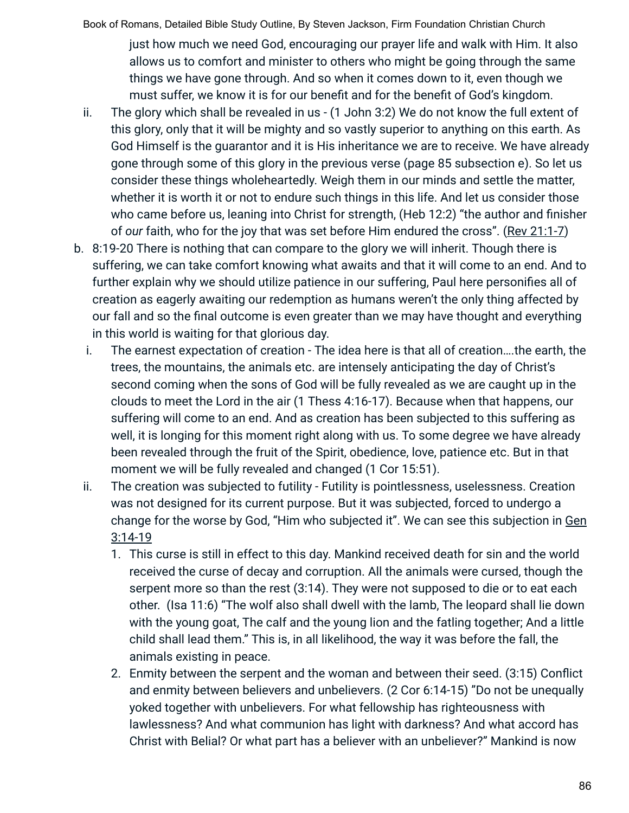just how much we need God, encouraging our prayer life and walk with Him. It also allows us to comfort and minister to others who might be going through the same things we have gone through. And so when it comes down to it, even though we must suffer, we know it is for our benefit and for the benefit of God's kingdom.

- ii. The glory which shall be revealed in us (1 John 3:2) We do not know the full extent of this glory, only that it will be mighty and so vastly superior to anything on this earth. As God Himself is the guarantor and it is His inheritance we are to receive. We have already gone through some of this glory in the previous verse (page 85 subsection e). So let us consider these things wholeheartedly. Weigh them in our minds and settle the matter, whether it is worth it or not to endure such things in this life. And let us consider those who came before us, leaning into Christ for strength, (Heb 12:2) "the author and finisher of *our* faith, who for the joy that was set before Him endured the cross". (Rev 21:1-7)
- b. 8:19-20 There is nothing that can compare to the glory we will inherit. Though there is suffering, we can take comfort knowing what awaits and that it will come to an end. And to further explain why we should utilize patience in our suffering, Paul here personifies all of creation as eagerly awaiting our redemption as humans weren't the only thing affected by our fall and so the final outcome is even greater than we may have thought and everything in this world is waiting for that glorious day.
	- i. The earnest expectation of creation The idea here is that all of creation….the earth, the trees, the mountains, the animals etc. are intensely anticipating the day of Christ's second coming when the sons of God will be fully revealed as we are caught up in the clouds to meet the Lord in the air (1 Thess 4:16-17). Because when that happens, our suffering will come to an end. And as creation has been subjected to this suffering as well, it is longing for this moment right along with us. To some degree we have already been revealed through the fruit of the Spirit, obedience, love, patience etc. But in that moment we will be fully revealed and changed (1 Cor 15:51).
	- ii. The creation was subjected to futility Futility is pointlessness, uselessness. Creation was not designed for its current purpose. But it was subjected, forced to undergo a change for the worse by God, "Him who subjected it". We can see this subjection in Gen 3:14-19
		- 1. This curse is still in effect to this day. Mankind received death for sin and the world received the curse of decay and corruption. All the animals were cursed, though the serpent more so than the rest (3:14). They were not supposed to die or to eat each other. (Isa 11:6) "The wolf also shall dwell with the lamb, The leopard shall lie down with the young goat, The calf and the young lion and the fatling together; And a little child shall lead them." This is, in all likelihood, the way it was before the fall, the animals existing in peace.
		- 2. Enmity between the serpent and the woman and between their seed. (3:15) Conflict and enmity between believers and unbelievers. (2 Cor 6:14-15) "Do not be unequally yoked together with unbelievers. For what fellowship has righteousness with lawlessness? And what communion has light with darkness? And what accord has Christ with Belial? Or what part has a believer with an unbeliever?" Mankind is now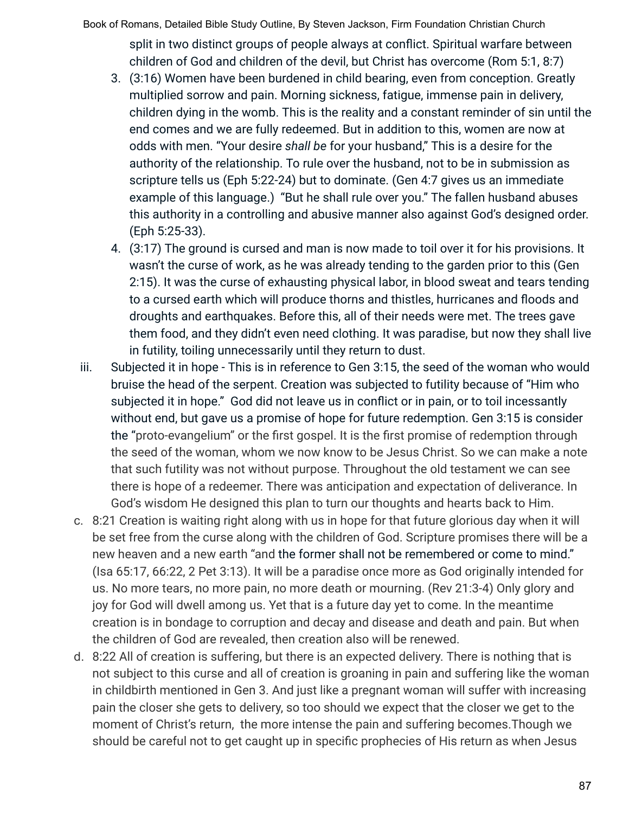Book of Romans, Detailed Bible Study Outline, By Steven Jackson, Firm Foundation Christian Church split in two distinct groups of people always at conflict. Spiritual warfare between children of God and children of the devil, but Christ has overcome (Rom 5:1, 8:7)

- 3. (3:16) Women have been burdened in child bearing, even from conception. Greatly multiplied sorrow and pain. Morning sickness, fatigue, immense pain in delivery, children dying in the womb. This is the reality and a constant reminder of sin until the end comes and we are fully redeemed. But in addition to this, women are now at odds with men. "Your desire *shall be* for your husband," This is a desire for the authority of the relationship. To rule over the husband, not to be in submission as scripture tells us (Eph 5:22-24) but to dominate. (Gen 4:7 gives us an immediate example of this language.) "But he shall rule over you." The fallen husband abuses this authority in a controlling and abusive manner also against God's designed order. (Eph 5:25-33).
- 4. (3:17) The ground is cursed and man is now made to toil over it for his provisions. It wasn't the curse of work, as he was already tending to the garden prior to this (Gen 2:15). It was the curse of exhausting physical labor, in blood sweat and tears tending to a cursed earth which will produce thorns and thistles, hurricanes and floods and droughts and earthquakes. Before this, all of their needs were met. The trees gave them food, and they didn't even need clothing. It was paradise, but now they shall live in futility, toiling unnecessarily until they return to dust.
- iii. Subjected it in hope This is in reference to Gen 3:15, the seed of the woman who would bruise the head of the serpent. Creation was subjected to futility because of "Him who subjected it in hope." God did not leave us in conflict or in pain, or to toil incessantly without end, but gave us a promise of hope for future redemption. Gen 3:15 is consider the "proto-evangelium" or the first gospel. It is the first promise of redemption through the seed of the woman, whom we now know to be Jesus Christ. So we can make a note that such futility was not without purpose. Throughout the old testament we can see there is hope of a redeemer. There was anticipation and expectation of deliverance. In God's wisdom He designed this plan to turn our thoughts and hearts back to Him.
- c. 8:21 Creation is waiting right along with us in hope for that future glorious day when it will be set free from the curse along with the children of God. Scripture promises there will be a new heaven and a new earth "and the former shall not be remembered or come to mind." (Isa 65:17, 66:22, 2 Pet 3:13). It will be a paradise once more as God originally intended for us. No more tears, no more pain, no more death or mourning. (Rev 21:3-4) Only glory and joy for God will dwell among us. Yet that is a future day yet to come. In the meantime creation is in bondage to corruption and decay and disease and death and pain. But when the children of God are revealed, then creation also will be renewed.
- d. 8:22 All of creation is suffering, but there is an expected delivery. There is nothing that is not subject to this curse and all of creation is groaning in pain and suffering like the woman in childbirth mentioned in Gen 3. And just like a pregnant woman will suffer with increasing pain the closer she gets to delivery, so too should we expect that the closer we get to the moment of Christ's return, the more intense the pain and suffering becomes.Though we should be careful not to get caught up in specific prophecies of His return as when Jesus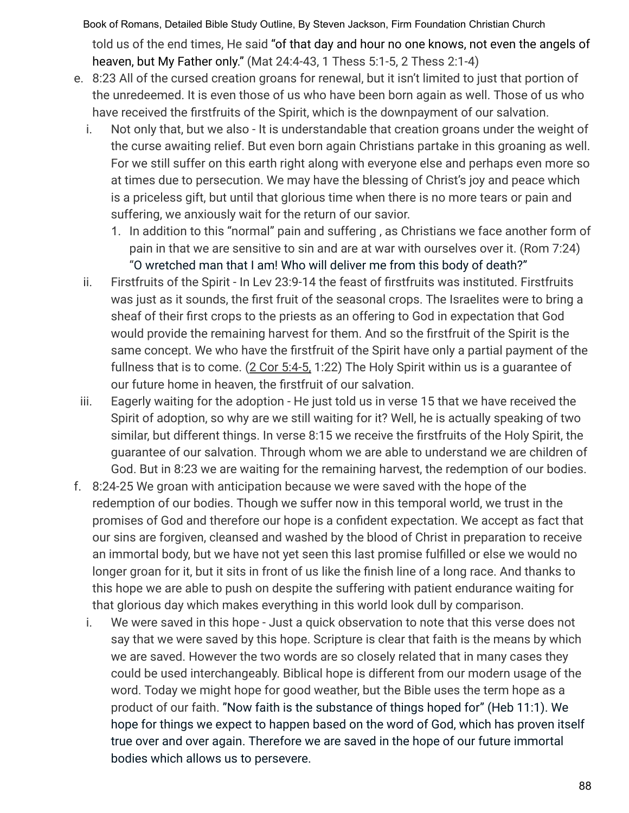Book of Romans, Detailed Bible Study Outline, By Steven Jackson, Firm Foundation Christian Church told us of the end times, He said "of that day and hour no one knows, not even the angels of heaven, but My Father only." (Mat 24:4-43, 1 Thess 5:1-5, 2 Thess 2:1-4)

- e. 8:23 All of the cursed creation groans for renewal, but it isn't limited to just that portion of the unredeemed. It is even those of us who have been born again as well. Those of us who have received the firstfruits of the Spirit, which is the downpayment of our salvation.
	- i. Not only that, but we also It is understandable that creation groans under the weight of the curse awaiting relief. But even born again Christians partake in this groaning as well. For we still suffer on this earth right along with everyone else and perhaps even more so at times due to persecution. We may have the blessing of Christ's joy and peace which is a priceless gift, but until that glorious time when there is no more tears or pain and suffering, we anxiously wait for the return of our savior.
		- 1. In addition to this "normal" pain and suffering , as Christians we face another form of pain in that we are sensitive to sin and are at war with ourselves over it. (Rom 7:24) "O wretched man that I am! Who will deliver me from this body of death?"
	- ii. Firstfruits of the Spirit In Lev 23:9-14 the feast of firstfruits was instituted. Firstfruits was just as it sounds, the first fruit of the seasonal crops. The Israelites were to bring a sheaf of their first crops to the priests as an offering to God in expectation that God would provide the remaining harvest for them. And so the firstfruit of the Spirit is the same concept. We who have the firstfruit of the Spirit have only a partial payment of the fullness that is to come. (2 Cor 5:4-5, 1:22) The Holy Spirit within us is a guarantee of our future home in heaven, the firstfruit of our salvation.
- iii. Eagerly waiting for the adoption He just told us in verse 15 that we have received the Spirit of adoption, so why are we still waiting for it? Well, he is actually speaking of two similar, but different things. In verse 8:15 we receive the firstfruits of the Holy Spirit, the guarantee of our salvation. Through whom we are able to understand we are children of God. But in 8:23 we are waiting for the remaining harvest, the redemption of our bodies.
- f. 8:24-25 We groan with anticipation because we were saved with the hope of the redemption of our bodies. Though we suffer now in this temporal world, we trust in the promises of God and therefore our hope is a confident expectation. We accept as fact that our sins are forgiven, cleansed and washed by the blood of Christ in preparation to receive an immortal body, but we have not yet seen this last promise fulfilled or else we would no longer groan for it, but it sits in front of us like the finish line of a long race. And thanks to this hope we are able to push on despite the suffering with patient endurance waiting for that glorious day which makes everything in this world look dull by comparison.
	- i. We were saved in this hope Just a quick observation to note that this verse does not say that we were saved by this hope. Scripture is clear that faith is the means by which we are saved. However the two words are so closely related that in many cases they could be used interchangeably. Biblical hope is different from our modern usage of the word. Today we might hope for good weather, but the Bible uses the term hope as a product of our faith. "Now faith is the substance of things hoped for" (Heb 11:1). We hope for things we expect to happen based on the word of God, which has proven itself true over and over again. Therefore we are saved in the hope of our future immortal bodies which allows us to persevere.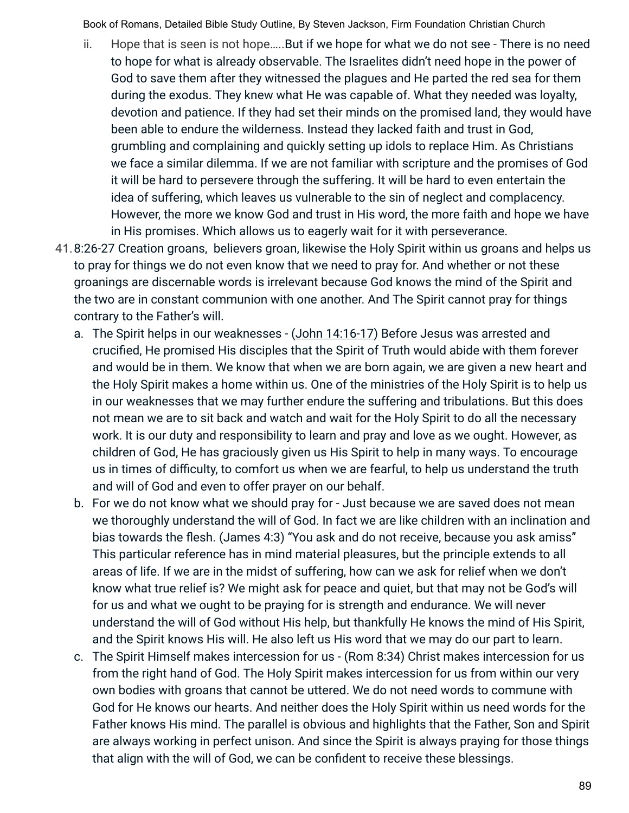- ii. Hope that is seen is not hope…..But if we hope for what we do not see There is no need to hope for what is already observable. The Israelites didn't need hope in the power of God to save them after they witnessed the plagues and He parted the red sea for them during the exodus. They knew what He was capable of. What they needed was loyalty, devotion and patience. If they had set their minds on the promised land, they would have been able to endure the wilderness. Instead they lacked faith and trust in God, grumbling and complaining and quickly setting up idols to replace Him. As Christians we face a similar dilemma. If we are not familiar with scripture and the promises of God it will be hard to persevere through the suffering. It will be hard to even entertain the idea of suffering, which leaves us vulnerable to the sin of neglect and complacency. However, the more we know God and trust in His word, the more faith and hope we have in His promises. Which allows us to eagerly wait for it with perseverance.
- 41.8:26-27 Creation groans, believers groan, likewise the Holy Spirit within us groans and helps us to pray for things we do not even know that we need to pray for. And whether or not these groanings are discernable words is irrelevant because God knows the mind of the Spirit and the two are in constant communion with one another. And The Spirit cannot pray for things contrary to the Father's will.
	- a. The Spirit helps in our weaknesses (John 14:16-17) Before Jesus was arrested and crucified, He promised His disciples that the Spirit of Truth would abide with them forever and would be in them. We know that when we are born again, we are given a new heart and the Holy Spirit makes a home within us. One of the ministries of the Holy Spirit is to help us in our weaknesses that we may further endure the suffering and tribulations. But this does not mean we are to sit back and watch and wait for the Holy Spirit to do all the necessary work. It is our duty and responsibility to learn and pray and love as we ought. However, as children of God, He has graciously given us His Spirit to help in many ways. To encourage us in times of difficulty, to comfort us when we are fearful, to help us understand the truth and will of God and even to offer prayer on our behalf.
	- b. For we do not know what we should pray for Just because we are saved does not mean we thoroughly understand the will of God. In fact we are like children with an inclination and bias towards the flesh. (James 4:3) "You ask and do not receive, because you ask amiss" This particular reference has in mind material pleasures, but the principle extends to all areas of life. If we are in the midst of suffering, how can we ask for relief when we don't know what true relief is? We might ask for peace and quiet, but that may not be God's will for us and what we ought to be praying for is strength and endurance. We will never understand the will of God without His help, but thankfully He knows the mind of His Spirit, and the Spirit knows His will. He also left us His word that we may do our part to learn.
	- c. The Spirit Himself makes intercession for us (Rom 8:34) Christ makes intercession for us from the right hand of God. The Holy Spirit makes intercession for us from within our very own bodies with groans that cannot be uttered. We do not need words to commune with God for He knows our hearts. And neither does the Holy Spirit within us need words for the Father knows His mind. The parallel is obvious and highlights that the Father, Son and Spirit are always working in perfect unison. And since the Spirit is always praying for those things that align with the will of God, we can be confident to receive these blessings.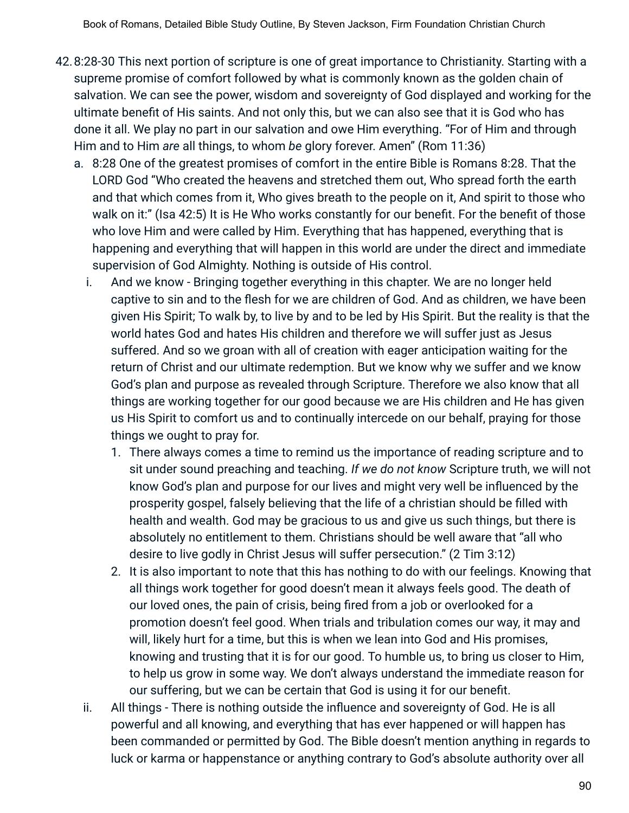- 42.8:28-30 This next portion of scripture is one of great importance to Christianity. Starting with a supreme promise of comfort followed by what is commonly known as the golden chain of salvation. We can see the power, wisdom and sovereignty of God displayed and working for the ultimate benefit of His saints. And not only this, but we can also see that it is God who has done it all. We play no part in our salvation and owe Him everything. "For of Him and through Him and to Him *are* all things, to whom *be* glory forever. Amen" (Rom 11:36)
	- a. 8:28 One of the greatest promises of comfort in the entire Bible is Romans 8:28. That the LORD God "Who created the heavens and stretched them out, Who spread forth the earth and that which comes from it, Who gives breath to the people on it, And spirit to those who walk on it:" (Isa 42:5) It is He Who works constantly for our benefit. For the benefit of those who love Him and were called by Him. Everything that has happened, everything that is happening and everything that will happen in this world are under the direct and immediate supervision of God Almighty. Nothing is outside of His control.
		- i. And we know Bringing together everything in this chapter. We are no longer held captive to sin and to the flesh for we are children of God. And as children, we have been given His Spirit; To walk by, to live by and to be led by His Spirit. But the reality is that the world hates God and hates His children and therefore we will suffer just as Jesus suffered. And so we groan with all of creation with eager anticipation waiting for the return of Christ and our ultimate redemption. But we know why we suffer and we know God's plan and purpose as revealed through Scripture. Therefore we also know that all things are working together for our good because we are His children and He has given us His Spirit to comfort us and to continually intercede on our behalf, praying for those things we ought to pray for.
			- 1. There always comes a time to remind us the importance of reading scripture and to sit under sound preaching and teaching. *If we do not know* Scripture truth, we will not know God's plan and purpose for our lives and might very well be influenced by the prosperity gospel, falsely believing that the life of a christian should be filled with health and wealth. God may be gracious to us and give us such things, but there is absolutely no entitlement to them. Christians should be well aware that "all who desire to live godly in Christ Jesus will suffer persecution." (2 Tim 3:12)
			- 2. It is also important to note that this has nothing to do with our feelings. Knowing that all things work together for good doesn't mean it always feels good. The death of our loved ones, the pain of crisis, being fired from a job or overlooked for a promotion doesn't feel good. When trials and tribulation comes our way, it may and will, likely hurt for a time, but this is when we lean into God and His promises, knowing and trusting that it is for our good. To humble us, to bring us closer to Him, to help us grow in some way. We don't always understand the immediate reason for our suffering, but we can be certain that God is using it for our benefit.
		- ii. All things There is nothing outside the influence and sovereignty of God. He is all powerful and all knowing, and everything that has ever happened or will happen has been commanded or permitted by God. The Bible doesn't mention anything in regards to luck or karma or happenstance or anything contrary to God's absolute authority over all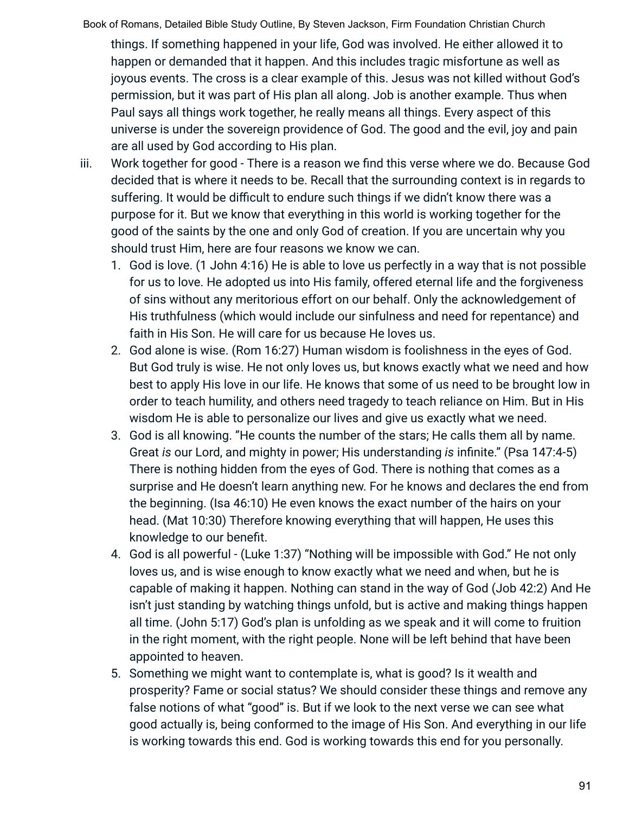things. If something happened in your life, God was involved. He either allowed it to happen or demanded that it happen. And this includes tragic misfortune as well as joyous events. The cross is a clear example of this. Jesus was not killed without God's permission, but it was part of His plan all along. Job is another example. Thus when Paul says all things work together, he really means all things. Every aspect of this universe is under the sovereign providence of God. The good and the evil, joy and pain are all used by God according to His plan.

- iii. Work together for good There is a reason we find this verse where we do. Because God decided that is where it needs to be. Recall that the surrounding context is in regards to suffering. It would be difficult to endure such things if we didn't know there was a purpose for it. But we know that everything in this world is working together for the good of the saints by the one and only God of creation. If you are uncertain why you should trust Him, here are four reasons we know we can.
	- 1. God is love. (1 John 4:16) He is able to love us perfectly in a way that is not possible for us to love. He adopted us into His family, offered eternal life and the forgiveness of sins without any meritorious effort on our behalf. Only the acknowledgement of His truthfulness (which would include our sinfulness and need for repentance) and faith in His Son. He will care for us because He loves us.
	- 2. God alone is wise. (Rom 16:27) Human wisdom is foolishness in the eyes of God. But God truly is wise. He not only loves us, but knows exactly what we need and how best to apply His love in our life. He knows that some of us need to be brought low in order to teach humility, and others need tragedy to teach reliance on Him. But in His wisdom He is able to personalize our lives and give us exactly what we need.
	- 3. God is all knowing. "He counts the number of the stars; He calls them all by name. Great *is* our Lord, and mighty in power; His understanding *is* infinite." (Psa 147:4-5) There is nothing hidden from the eyes of God. There is nothing that comes as a surprise and He doesn't learn anything new. For he knows and declares the end from the beginning. (Isa 46:10) He even knows the exact number of the hairs on your head. (Mat 10:30) Therefore knowing everything that will happen, He uses this knowledge to our benefit.
	- 4. God is all powerful (Luke 1:37) "Nothing will be impossible with God." He not only loves us, and is wise enough to know exactly what we need and when, but he is capable of making it happen. Nothing can stand in the way of God (Job 42:2) And He isn't just standing by watching things unfold, but is active and making things happen all time. (John 5:17) God's plan is unfolding as we speak and it will come to fruition in the right moment, with the right people. None will be left behind that have been appointed to heaven.
	- 5. Something we might want to contemplate is, what is good? Is it wealth and prosperity? Fame or social status? We should consider these things and remove any false notions of what "good" is. But if we look to the next verse we can see what good actually is, being conformed to the image of His Son. And everything in our life is working towards this end. God is working towards this end for you personally.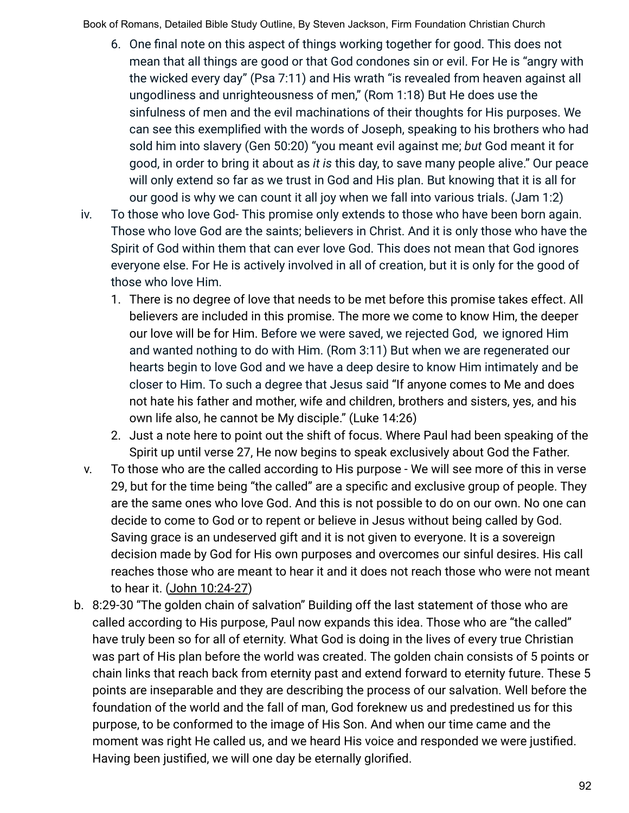- 6. One final note on this aspect of things working together for good. This does not mean that all things are good or that God condones sin or evil. For He is "angry with the wicked every day" (Psa 7:11) and His wrath "is revealed from heaven against all ungodliness and unrighteousness of men," (Rom 1:18) But He does use the sinfulness of men and the evil machinations of their thoughts for His purposes. We can see this exemplified with the words of Joseph, speaking to his brothers who had sold him into slavery (Gen 50:20) "you meant evil against me; *but* God meant it for good, in order to bring it about as *it is* this day, to save many people alive." Our peace will only extend so far as we trust in God and His plan. But knowing that it is all for our good is why we can count it all joy when we fall into various trials. (Jam 1:2)
- iv. To those who love God- This promise only extends to those who have been born again. Those who love God are the saints; believers in Christ. And it is only those who have the Spirit of God within them that can ever love God. This does not mean that God ignores everyone else. For He is actively involved in all of creation, but it is only for the good of those who love Him.
	- 1. There is no degree of love that needs to be met before this promise takes effect. All believers are included in this promise. The more we come to know Him, the deeper our love will be for Him. Before we were saved, we rejected God, we ignored Him and wanted nothing to do with Him. (Rom 3:11) But when we are regenerated our hearts begin to love God and we have a deep desire to know Him intimately and be closer to Him. To such a degree that Jesus said "If anyone comes to Me and does not hate his father and mother, wife and children, brothers and sisters, yes, and his own life also, he cannot be My disciple." (Luke 14:26)
	- 2. Just a note here to point out the shift of focus. Where Paul had been speaking of the Spirit up until verse 27, He now begins to speak exclusively about God the Father.
- v. To those who are the called according to His purpose We will see more of this in verse 29, but for the time being "the called" are a specific and exclusive group of people. They are the same ones who love God. And this is not possible to do on our own. No one can decide to come to God or to repent or believe in Jesus without being called by God. Saving grace is an undeserved gift and it is not given to everyone. It is a sovereign decision made by God for His own purposes and overcomes our sinful desires. His call reaches those who are meant to hear it and it does not reach those who were not meant to hear it. (John 10:24-27)
- b. 8:29-30 "The golden chain of salvation" Building off the last statement of those who are called according to His purpose, Paul now expands this idea. Those who are "the called" have truly been so for all of eternity. What God is doing in the lives of every true Christian was part of His plan before the world was created. The golden chain consists of 5 points or chain links that reach back from eternity past and extend forward to eternity future. These 5 points are inseparable and they are describing the process of our salvation. Well before the foundation of the world and the fall of man, God foreknew us and predestined us for this purpose, to be conformed to the image of His Son. And when our time came and the moment was right He called us, and we heard His voice and responded we were justified. Having been justified, we will one day be eternally glorified.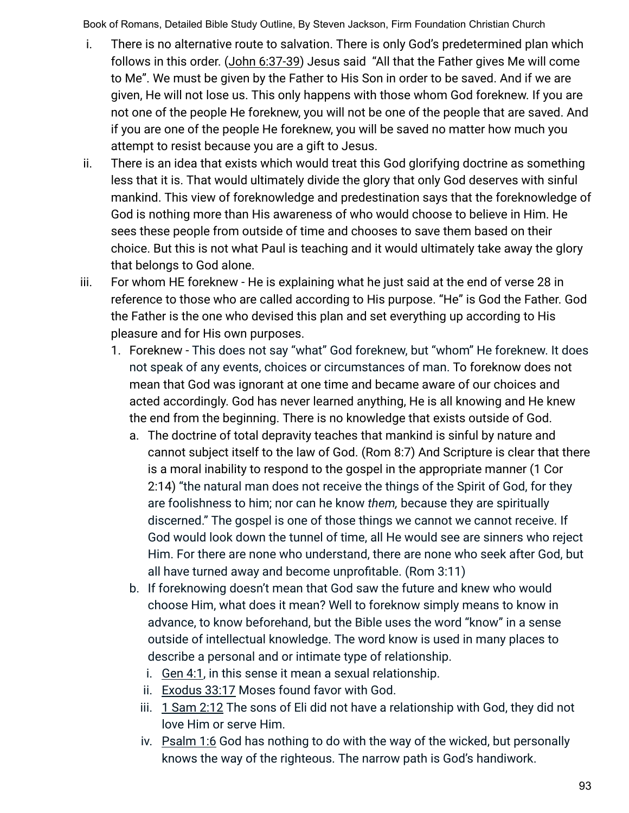- i. There is no alternative route to salvation. There is only God's predetermined plan which follows in this order. (John 6:37-39) Jesus said "All that the Father gives Me will come to Me". We must be given by the Father to His Son in order to be saved. And if we are given, He will not lose us. This only happens with those whom God foreknew. If you are not one of the people He foreknew, you will not be one of the people that are saved. And if you are one of the people He foreknew, you will be saved no matter how much you attempt to resist because you are a gift to Jesus.
- ii. There is an idea that exists which would treat this God glorifying doctrine as something less that it is. That would ultimately divide the glory that only God deserves with sinful mankind. This view of foreknowledge and predestination says that the foreknowledge of God is nothing more than His awareness of who would choose to believe in Him. He sees these people from outside of time and chooses to save them based on their choice. But this is not what Paul is teaching and it would ultimately take away the glory that belongs to God alone.
- iii. For whom HE foreknew He is explaining what he just said at the end of verse 28 in reference to those who are called according to His purpose. "He" is God the Father. God the Father is the one who devised this plan and set everything up according to His pleasure and for His own purposes.
	- 1. Foreknew This does not say "what" God foreknew, but "whom" He foreknew. It does not speak of any events, choices or circumstances of man. To foreknow does not mean that God was ignorant at one time and became aware of our choices and acted accordingly. God has never learned anything, He is all knowing and He knew the end from the beginning. There is no knowledge that exists outside of God.
		- a. The doctrine of total depravity teaches that mankind is sinful by nature and cannot subject itself to the law of God. (Rom 8:7) And Scripture is clear that there is a moral inability to respond to the gospel in the appropriate manner (1 Cor 2:14) "the natural man does not receive the things of the Spirit of God, for they are foolishness to him; nor can he know *them,* because they are spiritually discerned." The gospel is one of those things we cannot we cannot receive. If God would look down the tunnel of time, all He would see are sinners who reject Him. For there are none who understand, there are none who seek after God, but all have turned away and become unprofitable. (Rom 3:11)
		- b. If foreknowing doesn't mean that God saw the future and knew who would choose Him, what does it mean? Well to foreknow simply means to know in advance, to know beforehand, but the Bible uses the word "know" in a sense outside of intellectual knowledge. The word know is used in many places to describe a personal and or intimate type of relationship.
			- i. Gen 4:1, in this sense it mean a sexual relationship.
			- ii. Exodus 33:17 Moses found favor with God.
			- iii. 1 Sam 2:12 The sons of Eli did not have a relationship with God, they did not love Him or serve Him.
			- iv. Psalm 1:6 God has nothing to do with the way of the wicked, but personally knows the way of the righteous. The narrow path is God's handiwork.